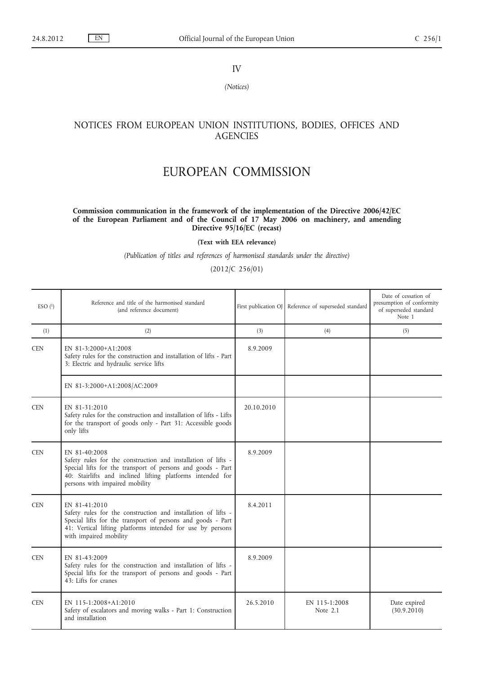IV

*(Notices)*

## NOTICES FROM EUROPEAN UNION INSTITUTIONS, BODIES, OFFICES AND **AGENCIES**

## EUROPEAN COMMISSION

## **Commission communication in the framework of the implementation of the Directive 2006/42/EC of the European Parliament and of the Council of 17 May 2006 on machinery, and amending Directive 95/16/EC (recast)**

**(Text with EEA relevance)**

*(Publication of titles and references of harmonised standards under the directive)*

(2012/C 256/01)

| ESO(1)     | Reference and title of the harmonised standard<br>(and reference document)                                                                                                                                                                    |            | First publication OJ Reference of superseded standard | Date of cessation of<br>presumption of conformity<br>of superseded standard<br>Note 1 |
|------------|-----------------------------------------------------------------------------------------------------------------------------------------------------------------------------------------------------------------------------------------------|------------|-------------------------------------------------------|---------------------------------------------------------------------------------------|
| (1)        | (2)                                                                                                                                                                                                                                           | (3)        | (4)                                                   | (5)                                                                                   |
| <b>CEN</b> | EN 81-3:2000+A1:2008<br>Safety rules for the construction and installation of lifts - Part<br>3: Electric and hydraulic service lifts                                                                                                         | 8.9.2009   |                                                       |                                                                                       |
|            | EN 81-3:2000+A1:2008/AC:2009                                                                                                                                                                                                                  |            |                                                       |                                                                                       |
| <b>CEN</b> | EN 81-31:2010<br>Safety rules for the construction and installation of lifts - Lifts<br>for the transport of goods only - Part 31: Accessible goods<br>only lifts                                                                             | 20.10.2010 |                                                       |                                                                                       |
| <b>CEN</b> | EN 81-40:2008<br>Safety rules for the construction and installation of lifts -<br>Special lifts for the transport of persons and goods - Part<br>40: Stairlifts and inclined lifting platforms intended for<br>persons with impaired mobility | 8.9.2009   |                                                       |                                                                                       |
| <b>CEN</b> | EN 81-41:2010<br>Safety rules for the construction and installation of lifts -<br>Special lifts for the transport of persons and goods - Part<br>41: Vertical lifting platforms intended for use by persons<br>with impaired mobility         | 8.4.2011   |                                                       |                                                                                       |
| <b>CEN</b> | EN 81-43:2009<br>Safety rules for the construction and installation of lifts -<br>Special lifts for the transport of persons and goods - Part<br>$43$ : Lifts for cranes                                                                      | 8.9.2009   |                                                       |                                                                                       |
| <b>CEN</b> | EN 115-1:2008+A1:2010<br>Safety of escalators and moving walks - Part 1: Construction<br>and installation                                                                                                                                     | 26.5.2010  | EN 115-1:2008<br>Note 2.1                             | Date expired<br>(30.9.2010)                                                           |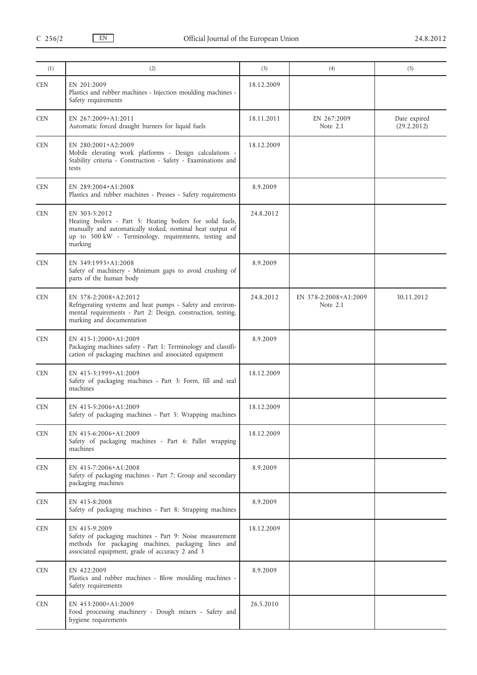| (1)        | (2)                                                                                                                                                                                                          | (3)        | (4)                                 | (5)                         |
|------------|--------------------------------------------------------------------------------------------------------------------------------------------------------------------------------------------------------------|------------|-------------------------------------|-----------------------------|
| <b>CEN</b> | EN 201:2009<br>Plastics and rubber machines - Injection moulding machines -<br>Safety requirements                                                                                                           | 18.12.2009 |                                     |                             |
| <b>CEN</b> | EN 267:2009+A1:2011<br>Automatic forced draught burners for liquid fuels                                                                                                                                     | 18.11.2011 | EN 267:2009<br>Note 2.1             | Date expired<br>(29.2.2012) |
| <b>CEN</b> | EN 280:2001+A2:2009<br>Mobile elevating work platforms - Design calculations -<br>Stability criteria - Construction - Safety - Examinations and<br>tests                                                     | 18.12.2009 |                                     |                             |
| <b>CEN</b> | EN 289:2004+A1:2008<br>Plastics and rubber machines - Presses - Safety requirements                                                                                                                          | 8.9.2009   |                                     |                             |
| <b>CEN</b> | EN 303-5:2012<br>Heating boilers - Part 5: Heating boilers for solid fuels,<br>manually and automatically stoked, nominal heat output of<br>up to 500 kW - Terminology, requirements, testing and<br>marking | 24.8.2012  |                                     |                             |
| <b>CEN</b> | EN 349:1993+A1:2008<br>Safety of machinery - Minimum gaps to avoid crushing of<br>parts of the human body                                                                                                    | 8.9.2009   |                                     |                             |
| <b>CEN</b> | EN 378-2:2008+A2:2012<br>Refrigerating systems and heat pumps - Safety and environ-<br>mental requirements - Part 2: Design, construction, testing,<br>marking and documentation                             | 24.8.2012  | EN 378-2:2008+A1:2009<br>Note $2.1$ | 30.11.2012                  |
| <b>CEN</b> | EN 415-1:2000+A1:2009<br>Packaging machines safety - Part 1: Terminology and classifi-<br>cation of packaging machines and associated equipment                                                              | 8.9.2009   |                                     |                             |
| <b>CEN</b> | EN 415-3:1999+A1:2009<br>Safety of packaging machines - Part 3: Form, fill and seal<br>machines                                                                                                              | 18.12.2009 |                                     |                             |
| <b>CEN</b> | EN 415-5:2006+A1:2009<br>Safety of packaging machines - Part 5: Wrapping machines                                                                                                                            | 18.12.2009 |                                     |                             |
| <b>CEN</b> | EN 415-6:2006+A1:2009<br>Safety of packaging machines - Part 6: Pallet wrapping<br>machines                                                                                                                  | 18.12.2009 |                                     |                             |
| <b>CEN</b> | EN 415-7:2006+A1:2008<br>Safety of packaging machines - Part 7: Group and secondary<br>packaging machines                                                                                                    | 8.9.2009   |                                     |                             |
| <b>CEN</b> | EN 415-8:2008<br>Safety of packaging machines - Part 8: Strapping machines                                                                                                                                   | 8.9.2009   |                                     |                             |
| <b>CEN</b> | EN 415-9:2009<br>Safety of packaging machines - Part 9: Noise measurement<br>methods for packaging machines, packaging lines and<br>associated equipment, grade of accuracy 2 and 3                          | 18.12.2009 |                                     |                             |
| <b>CEN</b> | EN 422:2009<br>Plastics and rubber machines - Blow moulding machines -<br>Safety requirements                                                                                                                | 8.9.2009   |                                     |                             |
| <b>CEN</b> | EN 453:2000+A1:2009<br>Food processing machinery - Dough mixers - Safety and<br>hygiene requirements                                                                                                         | 26.5.2010  |                                     |                             |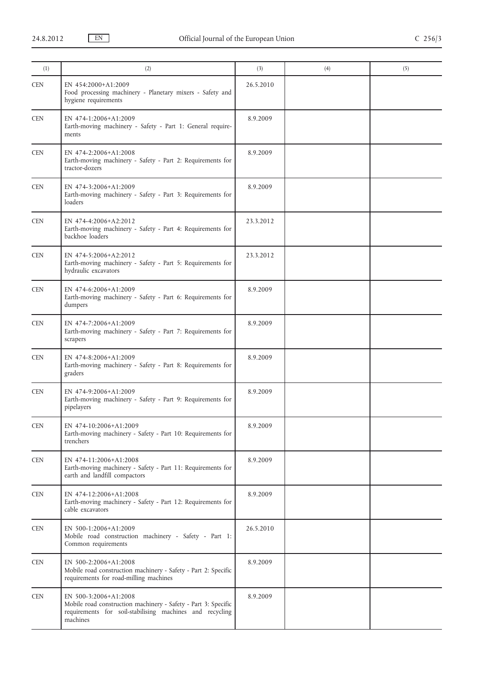| (1)        | (2)                                                                                                                                                             | (3)       | (4) | (5) |
|------------|-----------------------------------------------------------------------------------------------------------------------------------------------------------------|-----------|-----|-----|
| <b>CEN</b> | EN 454:2000+A1:2009<br>Food processing machinery - Planetary mixers - Safety and<br>hygiene requirements                                                        | 26.5.2010 |     |     |
| <b>CEN</b> | EN 474-1:2006+A1:2009<br>Earth-moving machinery - Safety - Part 1: General require-<br>ments                                                                    | 8.9.2009  |     |     |
| <b>CEN</b> | EN 474-2:2006+A1:2008<br>Earth-moving machinery - Safety - Part 2: Requirements for<br>tractor-dozers                                                           | 8.9.2009  |     |     |
| <b>CEN</b> | EN 474-3:2006+A1:2009<br>Earth-moving machinery - Safety - Part 3: Requirements for<br>loaders                                                                  | 8.9.2009  |     |     |
| <b>CEN</b> | EN 474-4:2006+A2:2012<br>Earth-moving machinery - Safety - Part 4: Requirements for<br>backhoe loaders                                                          | 23.3.2012 |     |     |
| <b>CEN</b> | EN 474-5:2006+A2:2012<br>Earth-moving machinery - Safety - Part 5: Requirements for<br>hydraulic excavators                                                     | 23.3.2012 |     |     |
| <b>CEN</b> | EN 474-6:2006+A1:2009<br>Earth-moving machinery - Safety - Part 6: Requirements for<br>dumpers                                                                  | 8.9.2009  |     |     |
| <b>CEN</b> | EN 474-7:2006+A1:2009<br>Earth-moving machinery - Safety - Part 7: Requirements for<br>scrapers                                                                 | 8.9.2009  |     |     |
| <b>CEN</b> | EN 474-8:2006+A1:2009<br>Earth-moving machinery - Safety - Part 8: Requirements for<br>graders                                                                  | 8.9.2009  |     |     |
| <b>CEN</b> | EN 474-9:2006+A1:2009<br>Earth-moving machinery - Safety - Part 9: Requirements for<br>pipelayers                                                               | 8.9.2009  |     |     |
| <b>CEN</b> | EN 474-10:2006+A1:2009<br>Earth-moving machinery - Safety - Part 10: Requirements for<br>trenchers                                                              | 8.9.2009  |     |     |
| <b>CEN</b> | EN 474-11:2006+A1:2008<br>Earth-moving machinery - Safety - Part 11: Requirements for<br>earth and landfill compactors                                          | 8.9.2009  |     |     |
| <b>CEN</b> | EN 474-12:2006+A1:2008<br>Earth-moving machinery - Safety - Part 12: Requirements for<br>cable excavators                                                       | 8.9.2009  |     |     |
| <b>CEN</b> | EN 500-1:2006+A1:2009<br>Mobile road construction machinery - Safety - Part 1:<br>Common requirements                                                           | 26.5.2010 |     |     |
| <b>CEN</b> | EN 500-2:2006+A1:2008<br>Mobile road construction machinery - Safety - Part 2: Specific<br>requirements for road-milling machines                               | 8.9.2009  |     |     |
| <b>CEN</b> | EN 500-3:2006+A1:2008<br>Mobile road construction machinery - Safety - Part 3: Specific<br>requirements for soil-stabilising machines and recycling<br>machines | 8.9.2009  |     |     |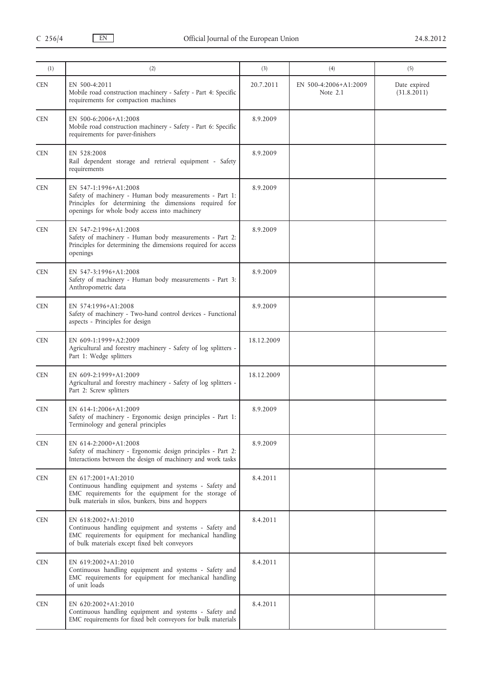| (1)        | (2)                                                                                                                                                                                          | (3)        | (4)                               | (5)                         |
|------------|----------------------------------------------------------------------------------------------------------------------------------------------------------------------------------------------|------------|-----------------------------------|-----------------------------|
| <b>CEN</b> | EN 500-4:2011<br>Mobile road construction machinery - Safety - Part 4: Specific<br>requirements for compaction machines                                                                      | 20.7.2011  | EN 500-4:2006+A1:2009<br>Note 2.1 | Date expired<br>(31.8.2011) |
| <b>CEN</b> | EN 500-6:2006+A1:2008<br>Mobile road construction machinery - Safety - Part 6: Specific<br>requirements for paver-finishers                                                                  | 8.9.2009   |                                   |                             |
| <b>CEN</b> | EN 528:2008<br>Rail dependent storage and retrieval equipment - Safety<br>requirements                                                                                                       | 8.9.2009   |                                   |                             |
| <b>CEN</b> | EN 547-1:1996+A1:2008<br>Safety of machinery - Human body measurements - Part 1:<br>Principles for determining the dimensions required for<br>openings for whole body access into machinery  | 8.9.2009   |                                   |                             |
| <b>CEN</b> | EN 547-2:1996+A1:2008<br>Safety of machinery - Human body measurements - Part 2:<br>Principles for determining the dimensions required for access<br>openings                                | 8.9.2009   |                                   |                             |
| <b>CEN</b> | EN 547-3:1996+A1:2008<br>Safety of machinery - Human body measurements - Part 3:<br>Anthropometric data                                                                                      | 8.9.2009   |                                   |                             |
| <b>CEN</b> | EN 574:1996+A1:2008<br>Safety of machinery - Two-hand control devices - Functional<br>aspects - Principles for design                                                                        | 8.9.2009   |                                   |                             |
| <b>CEN</b> | EN 609-1:1999+A2:2009<br>Agricultural and forestry machinery - Safety of log splitters -<br>Part 1: Wedge splitters                                                                          | 18.12.2009 |                                   |                             |
| <b>CEN</b> | EN 609-2:1999+A1:2009<br>Agricultural and forestry machinery - Safety of log splitters -<br>Part 2: Screw splitters                                                                          | 18.12.2009 |                                   |                             |
| <b>CEN</b> | EN 614-1:2006+A1:2009<br>Safety of machinery - Ergonomic design principles - Part 1:<br>Terminology and general principles                                                                   | 8.9.2009   |                                   |                             |
| <b>CEN</b> | EN 614-2:2000+A1:2008<br>Safety of machinery - Ergonomic design principles - Part 2:<br>Interactions between the design of machinery and work tasks                                          | 8.9.2009   |                                   |                             |
| CEN        | EN 617:2001+A1:2010<br>Continuous handling equipment and systems - Safety and<br>EMC requirements for the equipment for the storage of<br>bulk materials in silos, bunkers, bins and hoppers | 8.4.2011   |                                   |                             |
| <b>CEN</b> | EN 618:2002+A1:2010<br>Continuous handling equipment and systems - Safety and<br>EMC requirements for equipment for mechanical handling<br>of bulk materials except fixed belt conveyors     | 8.4.2011   |                                   |                             |
| CEN        | EN 619:2002+A1:2010<br>Continuous handling equipment and systems - Safety and<br>EMC requirements for equipment for mechanical handling<br>of unit loads                                     | 8.4.2011   |                                   |                             |
| <b>CEN</b> | EN 620:2002+A1:2010<br>Continuous handling equipment and systems - Safety and<br>EMC requirements for fixed belt conveyors for bulk materials                                                | 8.4.2011   |                                   |                             |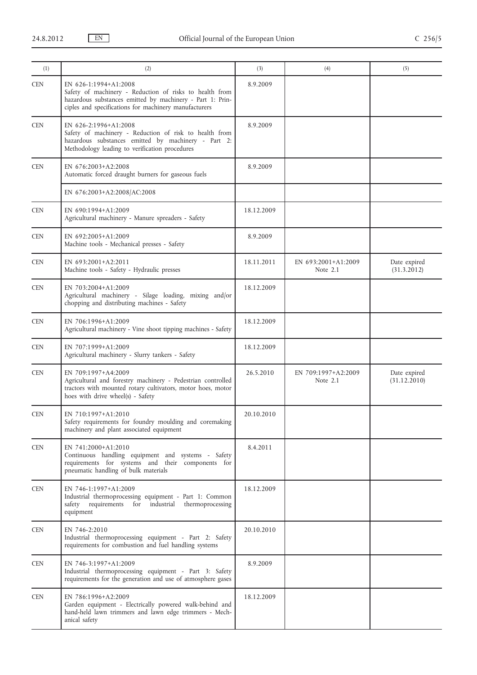| (2)                                                                                                                                                                                                    | (3)        | (4)                               | (5)                          |
|--------------------------------------------------------------------------------------------------------------------------------------------------------------------------------------------------------|------------|-----------------------------------|------------------------------|
| EN 626-1:1994+A1:2008<br>Safety of machinery - Reduction of risks to health from<br>hazardous substances emitted by machinery - Part 1: Prin-<br>ciples and specifications for machinery manufacturers | 8.9.2009   |                                   |                              |
| EN 626-2:1996+A1:2008<br>Safety of machinery - Reduction of risk to health from<br>hazardous substances emitted by machinery - Part 2:<br>Methodology leading to verification procedures               | 8.9.2009   |                                   |                              |
| EN 676:2003+A2:2008<br>Automatic forced draught burners for gaseous fuels                                                                                                                              | 8.9.2009   |                                   |                              |
| EN 676:2003+A2:2008/AC:2008                                                                                                                                                                            |            |                                   |                              |
| EN 690:1994+A1:2009<br>Agricultural machinery - Manure spreaders - Safety                                                                                                                              | 18.12.2009 |                                   |                              |
| EN 692:2005+A1:2009<br>Machine tools - Mechanical presses - Safety                                                                                                                                     | 8.9.2009   |                                   |                              |
| EN 693:2001+A2:2011<br>Machine tools - Safety - Hydraulic presses                                                                                                                                      | 18.11.2011 | EN 693:2001+A1:2009<br>Note $2.1$ | Date expired<br>(31.3.2012)  |
| EN 703:2004+A1:2009<br>Agricultural machinery - Silage loading, mixing and/or<br>chopping and distributing machines - Safety                                                                           | 18.12.2009 |                                   |                              |
| EN 706:1996+A1:2009<br>Agricultural machinery - Vine shoot tipping machines - Safety                                                                                                                   | 18.12.2009 |                                   |                              |
| EN 707:1999+A1:2009<br>Agricultural machinery - Slurry tankers - Safety                                                                                                                                | 18.12.2009 |                                   |                              |
| EN 709:1997+A4:2009<br>Agricultural and forestry machinery - Pedestrian controlled<br>tractors with mounted rotary cultivators, motor hoes, motor<br>hoes with drive wheel(s) - Safety                 | 26.5.2010  | EN 709:1997+A2:2009<br>Note $2.1$ | Date expired<br>(31.12.2010) |
| EN 710:1997+A1:2010<br>Safety requirements for foundry moulding and coremaking<br>machinery and plant associated equipment                                                                             | 20.10.2010 |                                   |                              |
| EN 741:2000+A1:2010<br>Continuous handling equipment and systems - Safety<br>requirements for systems and their components for<br>pneumatic handling of bulk materials                                 | 8.4.2011   |                                   |                              |
| EN 746-1:1997+A1:2009<br>Industrial thermoprocessing equipment - Part 1: Common<br>safety requirements for industrial thermoprocessing<br>equipment                                                    | 18.12.2009 |                                   |                              |
| EN 746-2:2010<br>Industrial thermoprocessing equipment - Part 2: Safety<br>requirements for combustion and fuel handling systems                                                                       | 20.10.2010 |                                   |                              |
| EN 746-3:1997+A1:2009<br>Industrial thermoprocessing equipment - Part 3: Safety<br>requirements for the generation and use of atmosphere gases                                                         | 8.9.2009   |                                   |                              |
| EN 786:1996+A2:2009<br>Garden equipment - Electrically powered walk-behind and<br>hand-held lawn trimmers and lawn edge trimmers - Mech-<br>anical safety                                              | 18.12.2009 |                                   |                              |
|                                                                                                                                                                                                        |            |                                   |                              |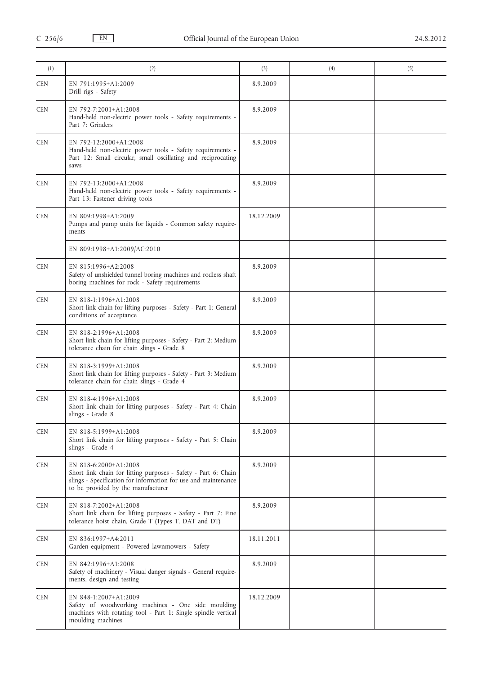| (1)        | (2)                                                                                                                                                                                             | (3)        | (4) | (5) |
|------------|-------------------------------------------------------------------------------------------------------------------------------------------------------------------------------------------------|------------|-----|-----|
| <b>CEN</b> | EN 791:1995+A1:2009<br>Drill rigs - Safety                                                                                                                                                      | 8.9.2009   |     |     |
| <b>CEN</b> | EN 792-7:2001+A1:2008<br>Hand-held non-electric power tools - Safety requirements -<br>Part 7: Grinders                                                                                         | 8.9.2009   |     |     |
| <b>CEN</b> | EN 792-12:2000+A1:2008<br>Hand-held non-electric power tools - Safety requirements -<br>Part 12: Small circular, small oscillating and reciprocating<br>saws                                    | 8.9.2009   |     |     |
| <b>CEN</b> | EN 792-13:2000+A1:2008<br>Hand-held non-electric power tools - Safety requirements -<br>Part 13: Fastener driving tools                                                                         | 8.9.2009   |     |     |
| <b>CEN</b> | EN 809:1998+A1:2009<br>Pumps and pump units for liquids - Common safety require-<br>ments                                                                                                       | 18.12.2009 |     |     |
|            | EN 809:1998+A1:2009/AC:2010                                                                                                                                                                     |            |     |     |
| <b>CEN</b> | EN 815:1996+A2:2008<br>Safety of unshielded tunnel boring machines and rodless shaft<br>boring machines for rock - Safety requirements                                                          | 8.9.2009   |     |     |
| <b>CEN</b> | EN 818-1:1996+A1:2008<br>Short link chain for lifting purposes - Safety - Part 1: General<br>conditions of acceptance                                                                           | 8.9.2009   |     |     |
| <b>CEN</b> | EN 818-2:1996+A1:2008<br>Short link chain for lifting purposes - Safety - Part 2: Medium<br>tolerance chain for chain slings - Grade 8                                                          | 8.9.2009   |     |     |
| <b>CEN</b> | EN 818-3:1999+A1:2008<br>Short link chain for lifting purposes - Safety - Part 3: Medium<br>tolerance chain for chain slings - Grade 4                                                          | 8.9.2009   |     |     |
| <b>CEN</b> | EN 818-4:1996+A1:2008<br>Short link chain for lifting purposes - Safety - Part 4: Chain<br>slings - Grade 8                                                                                     | 8.9.2009   |     |     |
| <b>CEN</b> | EN 818-5:1999+A1:2008<br>Short link chain for lifting purposes - Safety - Part 5: Chain<br>slings - Grade 4                                                                                     | 8.9.2009   |     |     |
| <b>CEN</b> | EN 818-6:2000+A1:2008<br>Short link chain for lifting purposes - Safety - Part 6: Chain<br>slings - Specification for information for use and maintenance<br>to be provided by the manufacturer | 8.9.2009   |     |     |
| <b>CEN</b> | EN 818-7:2002+A1:2008<br>Short link chain for lifting purposes - Safety - Part 7: Fine<br>tolerance hoist chain, Grade T (Types T, DAT and DT)                                                  | 8.9.2009   |     |     |
| <b>CEN</b> | EN 836:1997+A4:2011<br>Garden equipment - Powered lawnmowers - Safety                                                                                                                           | 18.11.2011 |     |     |
| <b>CEN</b> | EN 842:1996+A1:2008<br>Safety of machinery - Visual danger signals - General require-<br>ments, design and testing                                                                              | 8.9.2009   |     |     |
| <b>CEN</b> | EN 848-1:2007+A1:2009<br>Safety of woodworking machines - One side moulding<br>machines with rotating tool - Part 1: Single spindle vertical<br>moulding machines                               | 18.12.2009 |     |     |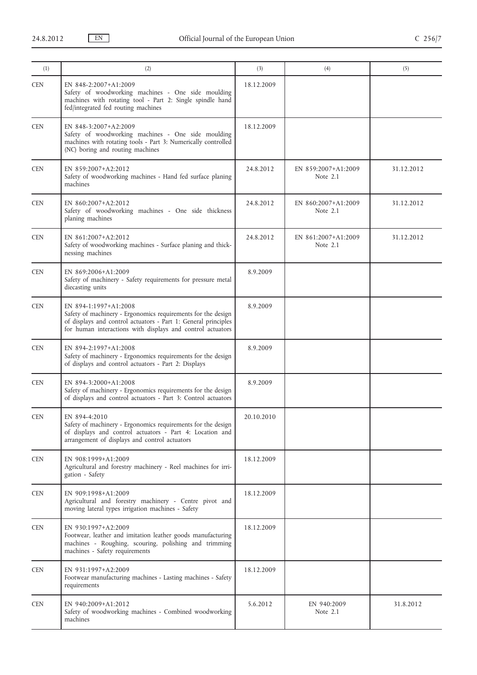| (1)                         | (2)                                                                                                                                                                                                                   | (3)        | (4)                               | (5)        |
|-----------------------------|-----------------------------------------------------------------------------------------------------------------------------------------------------------------------------------------------------------------------|------------|-----------------------------------|------------|
| <b>CEN</b>                  | EN 848-2:2007+A1:2009<br>Safety of woodworking machines - One side moulding                                                                                                                                           | 18.12.2009 |                                   |            |
|                             | machines with rotating tool - Part 2: Single spindle hand<br>fed/integrated fed routing machines                                                                                                                      |            |                                   |            |
| <b>CEN</b>                  | EN 848-3:2007+A2:2009<br>Safety of woodworking machines - One side moulding<br>machines with rotating tools - Part 3: Numerically controlled<br>(NC) boring and routing machines                                      | 18.12.2009 |                                   |            |
| <b>CEN</b>                  | EN 859:2007+A2:2012<br>Safety of woodworking machines - Hand fed surface planing<br>machines                                                                                                                          | 24.8.2012  | EN 859:2007+A1:2009<br>Note 2.1   | 31.12.2012 |
| <b>CEN</b>                  | EN 860:2007+A2:2012<br>Safety of woodworking machines - One side thickness<br>planing machines                                                                                                                        | 24.8.2012  | EN 860:2007+A1:2009<br>Note $2.1$ | 31.12.2012 |
| <b>CEN</b>                  | EN 861:2007+A2:2012<br>Safety of woodworking machines - Surface planing and thick-<br>nessing machines                                                                                                                | 24.8.2012  | EN 861:2007+A1:2009<br>Note 2.1   | 31.12.2012 |
| <b>CEN</b>                  | EN 869:2006+A1:2009<br>Safety of machinery - Safety requirements for pressure metal<br>diecasting units                                                                                                               | 8.9.2009   |                                   |            |
| <b>CEN</b>                  | EN 894-1:1997+A1:2008<br>Safety of machinery - Ergonomics requirements for the design<br>of displays and control actuators - Part 1: General principles<br>for human interactions with displays and control actuators | 8.9.2009   |                                   |            |
| <b>CEN</b>                  | EN 894-2:1997+A1:2008<br>Safety of machinery - Ergonomics requirements for the design<br>of displays and control actuators - Part 2: Displays                                                                         | 8.9.2009   |                                   |            |
| <b>CEN</b>                  | EN 894-3:2000+A1:2008<br>Safety of machinery - Ergonomics requirements for the design<br>of displays and control actuators - Part 3: Control actuators                                                                | 8.9.2009   |                                   |            |
| $\ensuremath{\mathsf{CEN}}$ | EN 894-4:2010<br>Safety of machinery - Ergonomics requirements for the design<br>of displays and control actuators - Part 4: Location and<br>arrangement of displays and control actuators                            | 20.10.2010 |                                   |            |
| <b>CEN</b>                  | EN 908:1999+A1:2009<br>Agricultural and forestry machinery - Reel machines for irri-<br>gation - Safety                                                                                                               | 18.12.2009 |                                   |            |
| <b>CEN</b>                  | EN 909:1998+A1:2009<br>Agricultural and forestry machinery - Centre pivot and<br>moving lateral types irrigation machines - Safety                                                                                    | 18.12.2009 |                                   |            |
| <b>CEN</b>                  | EN 930:1997+A2:2009<br>Footwear, leather and imitation leather goods manufacturing<br>machines - Roughing, scouring, polishing and trimming<br>machines - Safety requirements                                         | 18.12.2009 |                                   |            |
| <b>CEN</b>                  | EN 931:1997+A2:2009<br>Footwear manufacturing machines - Lasting machines - Safety<br>requirements                                                                                                                    | 18.12.2009 |                                   |            |
| <b>CEN</b>                  | EN 940:2009+A1:2012<br>Safety of woodworking machines - Combined woodworking<br>machines                                                                                                                              | 5.6.2012   | EN 940:2009<br>Note $2.1$         | 31.8.2012  |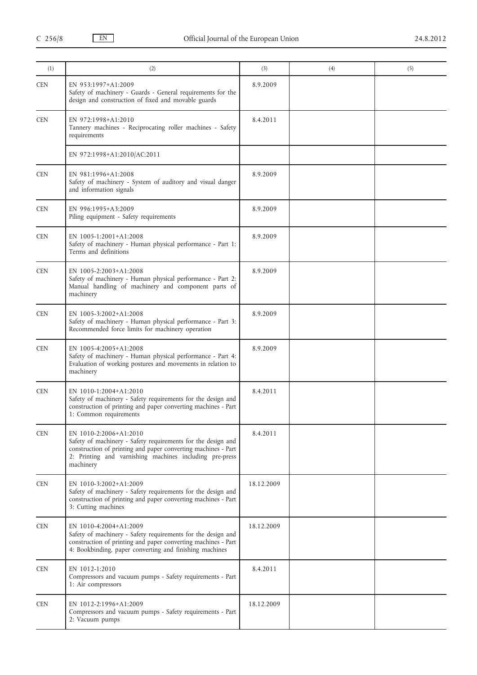| (1)        | (2)                                                                                                                                                                                                                             | (3)        | (4) | (5) |
|------------|---------------------------------------------------------------------------------------------------------------------------------------------------------------------------------------------------------------------------------|------------|-----|-----|
| <b>CEN</b> | EN 953:1997+A1:2009<br>Safety of machinery - Guards - General requirements for the<br>design and construction of fixed and movable guards                                                                                       | 8.9.2009   |     |     |
| <b>CEN</b> | EN 972:1998+A1:2010<br>Tannery machines - Reciprocating roller machines - Safety<br>requirements                                                                                                                                | 8.4.2011   |     |     |
|            | EN 972:1998+A1:2010/AC:2011                                                                                                                                                                                                     |            |     |     |
| <b>CEN</b> | EN 981:1996+A1:2008<br>Safety of machinery - System of auditory and visual danger<br>and information signals                                                                                                                    | 8.9.2009   |     |     |
| <b>CEN</b> | EN 996:1995+A3:2009<br>Piling equipment - Safety requirements                                                                                                                                                                   | 8.9.2009   |     |     |
| <b>CEN</b> | EN 1005-1:2001+A1:2008<br>Safety of machinery - Human physical performance - Part 1:<br>Terms and definitions                                                                                                                   | 8.9.2009   |     |     |
| <b>CEN</b> | EN 1005-2:2003+A1:2008<br>Safety of machinery - Human physical performance - Part 2:<br>Manual handling of machinery and component parts of<br>machinery                                                                        | 8.9.2009   |     |     |
| <b>CEN</b> | EN 1005-3:2002+A1:2008<br>Safety of machinery - Human physical performance - Part 3:<br>Recommended force limits for machinery operation                                                                                        | 8.9.2009   |     |     |
| <b>CEN</b> | EN 1005-4:2005+A1:2008<br>Safety of machinery - Human physical performance - Part 4:<br>Evaluation of working postures and movements in relation to<br>machinery                                                                | 8.9.2009   |     |     |
| <b>CEN</b> | EN 1010-1:2004+A1:2010<br>Safety of machinery - Safety requirements for the design and<br>construction of printing and paper converting machines - Part<br>1: Common requirements                                               | 8.4.2011   |     |     |
| <b>CEN</b> | EN 1010-2:2006+A1:2010<br>Safety of machinery - Safety requirements for the design and<br>construction of printing and paper converting machines - Part<br>2: Printing and varnishing machines including pre-press<br>machinery | 8.4.2011   |     |     |
| <b>CEN</b> | EN 1010-3:2002+A1:2009<br>Safety of machinery - Safety requirements for the design and<br>construction of printing and paper converting machines - Part<br>3: Cutting machines                                                  | 18.12.2009 |     |     |
| <b>CEN</b> | EN 1010-4:2004+A1:2009<br>Safety of machinery - Safety requirements for the design and<br>construction of printing and paper converting machines - Part<br>4: Bookbinding, paper converting and finishing machines              | 18.12.2009 |     |     |
| <b>CEN</b> | EN 1012-1:2010<br>Compressors and vacuum pumps - Safety requirements - Part<br>1: Air compressors                                                                                                                               | 8.4.2011   |     |     |
| <b>CEN</b> | EN 1012-2:1996+A1:2009<br>Compressors and vacuum pumps - Safety requirements - Part<br>2: Vacuum pumps                                                                                                                          | 18.12.2009 |     |     |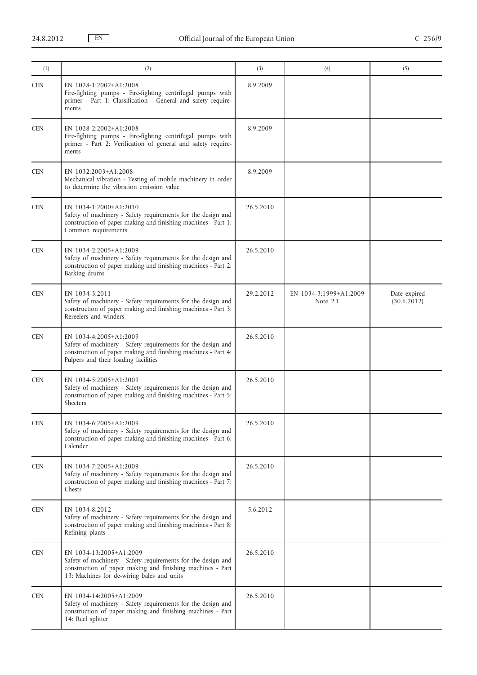| (1)        | (2)                                                                                                                                                                                                 | (3)       | (4)                                | (5)                         |
|------------|-----------------------------------------------------------------------------------------------------------------------------------------------------------------------------------------------------|-----------|------------------------------------|-----------------------------|
| <b>CEN</b> | EN 1028-1:2002+A1:2008<br>Fire-fighting pumps - Fire-fighting centrifugal pumps with<br>primer - Part 1: Classification - General and safety require-<br>ments                                      | 8.9.2009  |                                    |                             |
| <b>CEN</b> | EN 1028-2:2002+A1:2008<br>Fire-fighting pumps - Fire-fighting centrifugal pumps with<br>primer - Part 2: Verification of general and safety require-<br>ments                                       | 8.9.2009  |                                    |                             |
| <b>CEN</b> | EN 1032:2003+A1:2008<br>Mechanical vibration - Testing of mobile machinery in order<br>to determine the vibration emission value                                                                    | 8.9.2009  |                                    |                             |
| <b>CEN</b> | EN 1034-1:2000+A1:2010<br>Safety of machinery - Safety requirements for the design and<br>construction of paper making and finishing machines - Part 1:<br>Common requirements                      | 26.5.2010 |                                    |                             |
| <b>CEN</b> | EN 1034-2:2005+A1:2009<br>Safety of machinery - Safety requirements for the design and<br>construction of paper making and finishing machines - Part 2:<br>Barking drums                            | 26.5.2010 |                                    |                             |
| <b>CEN</b> | EN 1034-3:2011<br>Safety of machinery - Safety requirements for the design and<br>construction of paper making and finishing machines - Part 3:<br>Rereelers and winders                            | 29.2.2012 | EN 1034-3:1999+A1:2009<br>Note 2.1 | Date expired<br>(30.6.2012) |
| <b>CEN</b> | EN 1034-4:2005+A1:2009<br>Safety of machinery - Safety requirements for the design and<br>construction of paper making and finishing machines - Part 4:<br>Pulpers and their loading facilities     | 26.5.2010 |                                    |                             |
| <b>CEN</b> | EN 1034-5:2005+A1:2009<br>Safety of machinery - Safety requirements for the design and<br>construction of paper making and finishing machines - Part 5:<br>Sheeters                                 | 26.5.2010 |                                    |                             |
| <b>CEN</b> | EN 1034-6:2005+A1:2009<br>Safety of machinery - Safety requirements for the design and<br>construction of paper making and finishing machines - Part 6:<br>Calender                                 | 26.5.2010 |                                    |                             |
| <b>CEN</b> | EN 1034-7:2005+A1:2009<br>Safety of machinery - Safety requirements for the design and<br>construction of paper making and finishing machines - Part 7:<br>Chests                                   | 26.5.2010 |                                    |                             |
| <b>CEN</b> | EN 1034-8:2012<br>Safety of machinery - Safety requirements for the design and<br>construction of paper making and finishing machines - Part 8:<br>Refining plants                                  | 5.6.2012  |                                    |                             |
| <b>CEN</b> | EN 1034-13:2005+A1:2009<br>Safety of machinery - Safety requirements for the design and<br>construction of paper making and finishing machines - Part<br>13: Machines for de-wiring bales and units | 26.5.2010 |                                    |                             |
| <b>CEN</b> | EN 1034-14:2005+A1:2009<br>Safety of machinery - Safety requirements for the design and<br>construction of paper making and finishing machines - Part<br>14: Reel splitter                          | 26.5.2010 |                                    |                             |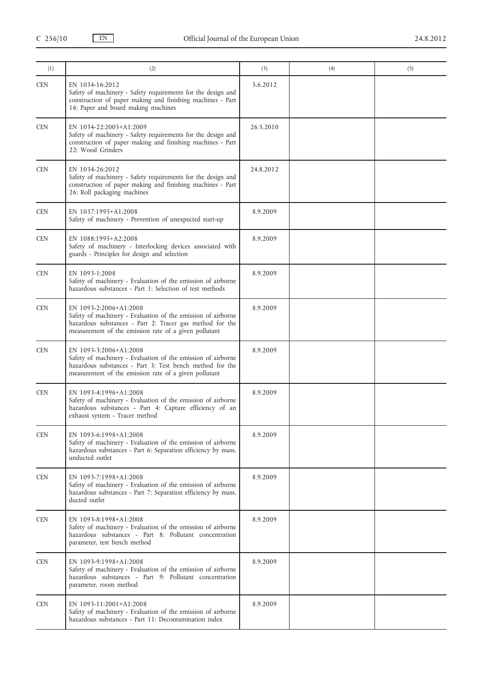| (1)        | (2)                                                                                                                                                                                                         | (3)       | (4) | (5) |
|------------|-------------------------------------------------------------------------------------------------------------------------------------------------------------------------------------------------------------|-----------|-----|-----|
| <b>CEN</b> | EN 1034-16:2012<br>Safety of machinery - Safety requirements for the design and<br>construction of paper making and finishing machines - Part<br>16: Paper and board making machines                        | 5.6.2012  |     |     |
| <b>CEN</b> | EN 1034-22:2005+A1:2009<br>Safety of machinery - Safety requirements for the design and<br>construction of paper making and finishing machines - Part<br>22: Wood Grinders                                  | 26.5.2010 |     |     |
| <b>CEN</b> | EN 1034-26:2012<br>Safety of machinery - Safety requirements for the design and<br>construction of paper making and finishing machines - Part<br>26: Roll packaging machines                                | 24.8.2012 |     |     |
| <b>CEN</b> | EN 1037:1995+A1:2008<br>Safety of machinery - Prevention of unexpected start-up                                                                                                                             | 8.9.2009  |     |     |
| <b>CEN</b> | EN 1088:1995+A2:2008<br>Safety of machinery - Interlocking devices associated with<br>guards - Principles for design and selection                                                                          | 8.9.2009  |     |     |
| <b>CEN</b> | EN 1093-1:2008<br>Safety of machinery - Evaluation of the emission of airborne<br>hazardous substances - Part 1: Selection of test methods                                                                  | 8.9.2009  |     |     |
| <b>CEN</b> | EN 1093-2:2006+A1:2008<br>Safety of machinery - Evaluation of the emission of airborne<br>hazardous substances - Part 2: Tracer gas method for the<br>measurement of the emission rate of a given pollutant | 8.9.2009  |     |     |
| <b>CEN</b> | EN 1093-3:2006+A1:2008<br>Safety of machinery - Evaluation of the emission of airborne<br>hazardous substances - Part 3: Test bench method for the<br>measurement of the emission rate of a given pollutant | 8.9.2009  |     |     |
| <b>CEN</b> | EN 1093-4:1996+A1:2008<br>Safety of machinery - Evaluation of the emission of airborne<br>hazardous substances - Part 4: Capture efficiency of an<br>exhaust system - Tracer method                         | 8.9.2009  |     |     |
| <b>CEN</b> | EN 1093-6:1998+A1:2008<br>Safety of machinery - Evaluation of the emission of airborne<br>hazardous substances - Part 6: Separation efficiency by mass,<br>unducted outlet                                  | 8.9.2009  |     |     |
| <b>CEN</b> | EN 1093-7:1998+A1:2008<br>Safety of machinery - Evaluation of the emission of airborne<br>hazardous substances - Part 7: Separation efficiency by mass,<br>ducted outlet                                    | 8.9.2009  |     |     |
| <b>CEN</b> | EN 1093-8:1998+A1:2008<br>Safety of machinery - Evaluation of the emission of airborne<br>hazardous substances - Part 8: Pollutant concentration<br>parameter, test bench method                            | 8.9.2009  |     |     |
| <b>CEN</b> | EN 1093-9:1998+A1:2008<br>Safety of machinery - Evaluation of the emission of airborne<br>hazardous substances - Part 9: Pollutant concentration<br>parameter, room method                                  | 8.9.2009  |     |     |
| <b>CEN</b> | EN 1093-11:2001+A1:2008<br>Safety of machinery - Evaluation of the emission of airborne<br>hazardous substances - Part 11: Decontamination index                                                            | 8.9.2009  |     |     |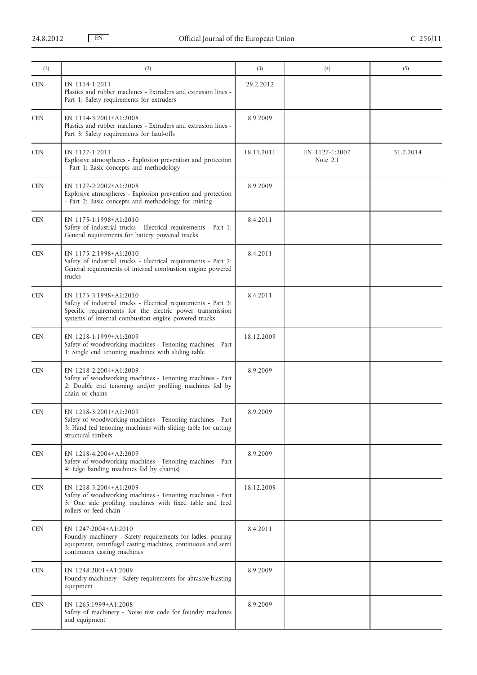| (1)        | (2)                                                                                                                                                                                                            | (3)        | (4)                        | (5)       |
|------------|----------------------------------------------------------------------------------------------------------------------------------------------------------------------------------------------------------------|------------|----------------------------|-----------|
| <b>CEN</b> | EN 1114-1:2011<br>Plastics and rubber machines - Extruders and extrusion lines -<br>Part 1: Safety requirements for extruders                                                                                  | 29.2.2012  |                            |           |
| <b>CEN</b> | EN 1114-3:2001+A1:2008<br>Plastics and rubber machines - Extruders and extrusion lines -<br>Part 3: Safety requirements for haul-offs                                                                          | 8.9.2009   |                            |           |
| <b>CEN</b> | EN 1127-1:2011<br>Explosive atmospheres - Explosion prevention and protection<br>- Part 1: Basic concepts and methodology                                                                                      | 18.11.2011 | EN 1127-1:2007<br>Note 2.1 | 31.7.2014 |
| <b>CEN</b> | EN 1127-2:2002+A1:2008<br>Explosive atmospheres - Explosion prevention and protection<br>- Part 2: Basic concepts and methodology for mining                                                                   | 8.9.2009   |                            |           |
| <b>CEN</b> | EN 1175-1:1998+A1:2010<br>Safety of industrial trucks - Electrical requirements - Part 1:<br>General requirements for battery powered trucks                                                                   | 8.4.2011   |                            |           |
| <b>CEN</b> | EN 1175-2:1998+A1:2010<br>Safety of industrial trucks - Electrical requirements - Part 2:<br>General requirements of internal combustion engine powered<br>trucks                                              | 8.4.2011   |                            |           |
| <b>CEN</b> | EN 1175-3:1998+A1:2010<br>Safety of industrial trucks - Electrical requirements - Part 3:<br>Specific requirements for the electric power transmission<br>systems of internal combustion engine powered trucks | 8.4.2011   |                            |           |
| <b>CEN</b> | EN 1218-1:1999+A1:2009<br>Safety of woodworking machines - Tenoning machines - Part<br>1: Single end tenoning machines with sliding table                                                                      | 18.12.2009 |                            |           |
| <b>CEN</b> | EN 1218-2:2004+A1:2009<br>Safety of woodworking machines - Tenoning machines - Part<br>2: Double end tenoning and/or profiling machines fed by<br>chain or chains                                              | 8.9.2009   |                            |           |
| <b>CEN</b> | EN 1218-3:2001+A1:2009<br>Safety of woodworking machines - Tenoning machines - Part<br>3: Hand fed tenoning machines with sliding table for cutting<br>structural timbers                                      | 8.9.2009   |                            |           |
| <b>CEN</b> | EN 1218-4:2004+A2:2009<br>Safety of woodworking machines - Tenoning machines - Part<br>4: Edge banding machines fed by chain(s)                                                                                | 8.9.2009   |                            |           |
| <b>CEN</b> | EN 1218-5:2004+A1:2009<br>Safety of woodworking machines - Tenoning machines - Part<br>5: One side profiling machines with fixed table and feed<br>rollers or feed chain                                       | 18.12.2009 |                            |           |
| <b>CEN</b> | EN 1247:2004+A1:2010<br>Foundry machinery - Safety requirements for ladles, pouring<br>equipment, centrifugal casting machines, continuous and semi<br>continuous casting machines                             | 8.4.2011   |                            |           |
| <b>CEN</b> | EN 1248:2001+A1:2009<br>Foundry machinery - Safety requirements for abrasive blasting<br>equipment                                                                                                             | 8.9.2009   |                            |           |
| <b>CEN</b> | EN 1265:1999+A1:2008<br>Safety of machinery - Noise test code for foundry machines<br>and equipment                                                                                                            | 8.9.2009   |                            |           |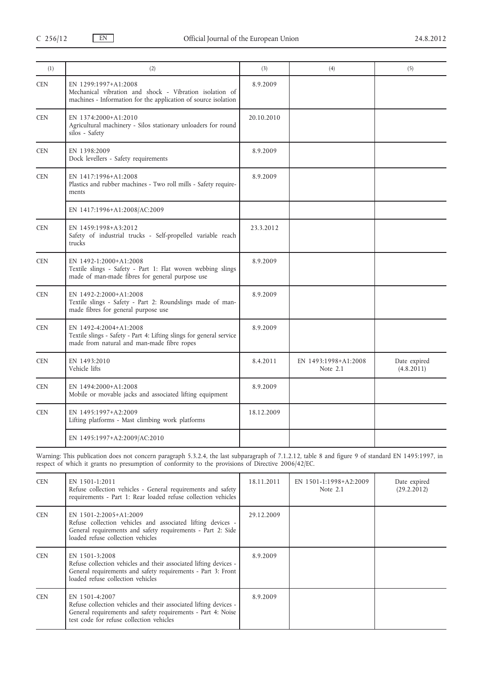| (1)        | (2)                                                                                                                                               | (3)        | (4)                              | (5)                        |
|------------|---------------------------------------------------------------------------------------------------------------------------------------------------|------------|----------------------------------|----------------------------|
| <b>CEN</b> | EN 1299:1997+A1:2008<br>Mechanical vibration and shock - Vibration isolation of<br>machines - Information for the application of source isolation | 8.9.2009   |                                  |                            |
| <b>CEN</b> | EN 1374:2000+A1:2010<br>Agricultural machinery - Silos stationary unloaders for round<br>silos - Safety                                           | 20.10.2010 |                                  |                            |
| <b>CEN</b> | EN 1398:2009<br>Dock levellers - Safety requirements                                                                                              | 8.9.2009   |                                  |                            |
| <b>CEN</b> | EN 1417:1996+A1:2008<br>Plastics and rubber machines - Two roll mills - Safety require-<br>ments                                                  | 8.9.2009   |                                  |                            |
|            | EN 1417:1996+A1:2008/AC:2009                                                                                                                      |            |                                  |                            |
| <b>CEN</b> | EN 1459:1998+A3:2012<br>Safety of industrial trucks - Self-propelled variable reach<br>trucks                                                     | 23.3.2012  |                                  |                            |
| <b>CEN</b> | EN 1492-1:2000+A1:2008<br>Textile slings - Safety - Part 1: Flat woven webbing slings<br>made of man-made fibres for general purpose use          | 8.9.2009   |                                  |                            |
| <b>CEN</b> | EN 1492-2:2000+A1:2008<br>Textile slings - Safety - Part 2: Roundslings made of man-<br>made fibres for general purpose use                       | 8.9.2009   |                                  |                            |
| <b>CEN</b> | EN 1492-4:2004+A1:2008<br>Textile slings - Safety - Part 4: Lifting slings for general service<br>made from natural and man-made fibre ropes      | 8.9.2009   |                                  |                            |
| <b>CEN</b> | EN 1493:2010<br>Vehicle lifts                                                                                                                     | 8.4.2011   | EN 1493:1998+A1:2008<br>Note 2.1 | Date expired<br>(4.8.2011) |
| <b>CEN</b> | EN 1494:2000+A1:2008<br>Mobile or movable jacks and associated lifting equipment                                                                  | 8.9.2009   |                                  |                            |
| <b>CEN</b> | EN 1495:1997+A2:2009<br>Lifting platforms - Mast climbing work platforms                                                                          | 18.12.2009 |                                  |                            |
|            | EN 1495:1997+A2:2009/AC:2010                                                                                                                      |            |                                  |                            |

Warning: This publication does not concern paragraph 5.3.2.4, the last subparagraph of 7.1.2.12, table 8 and figure 9 of standard EN 1495:1997, in respect of which it grants no presumption of conformity to the provisions of Directive 2006/42/EC.

| <b>CEN</b> | EN 1501-1:2011<br>Refuse collection vehicles - General requirements and safety<br>requirements - Part 1: Rear loaded refuse collection vehicles                                                 | 18.11.2011 | EN 1501-1:1998+A2:2009<br>Note $2.1$ | Date expired<br>(29.2.2012) |
|------------|-------------------------------------------------------------------------------------------------------------------------------------------------------------------------------------------------|------------|--------------------------------------|-----------------------------|
| <b>CEN</b> | EN 1501-2:2005+A1:2009<br>Refuse collection vehicles and associated lifting devices -<br>General requirements and safety requirements - Part 2: Side<br>loaded refuse collection vehicles       | 29.12.2009 |                                      |                             |
| <b>CEN</b> | EN 1501-3:2008<br>Refuse collection vehicles and their associated lifting devices -<br>General requirements and safety requirements - Part 3: Front<br>loaded refuse collection vehicles        | 8.9.2009   |                                      |                             |
| <b>CEN</b> | EN 1501-4:2007<br>Refuse collection vehicles and their associated lifting devices -<br>General requirements and safety requirements - Part 4: Noise<br>test code for refuse collection vehicles | 8.9.2009   |                                      |                             |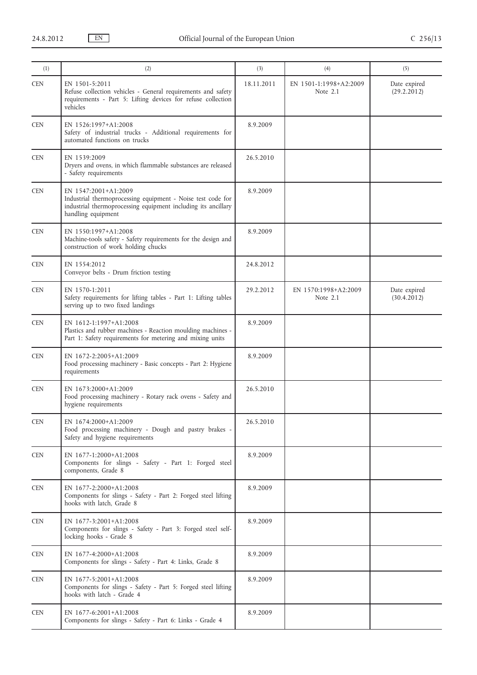| (1)        | (2)                                                                                                                                                                        | (3)        | (4)                                | (5)                         |
|------------|----------------------------------------------------------------------------------------------------------------------------------------------------------------------------|------------|------------------------------------|-----------------------------|
| <b>CEN</b> | EN 1501-5:2011<br>Refuse collection vehicles - General requirements and safety<br>requirements - Part 5: Lifting devices for refuse collection<br>vehicles                 | 18.11.2011 | EN 1501-1:1998+A2:2009<br>Note 2.1 | Date expired<br>(29.2.2012) |
| <b>CEN</b> | EN 1526:1997+A1:2008<br>Safety of industrial trucks - Additional requirements for<br>automated functions on trucks                                                         | 8.9.2009   |                                    |                             |
| <b>CEN</b> | EN 1539:2009<br>Dryers and ovens, in which flammable substances are released<br>- Safety requirements                                                                      | 26.5.2010  |                                    |                             |
| <b>CEN</b> | EN 1547:2001+A1:2009<br>Industrial thermoprocessing equipment - Noise test code for<br>industrial thermoprocessing equipment including its ancillary<br>handling equipment | 8.9.2009   |                                    |                             |
| <b>CEN</b> | EN 1550:1997+A1:2008<br>Machine-tools safety - Safety requirements for the design and<br>construction of work holding chucks                                               | 8.9.2009   |                                    |                             |
| <b>CEN</b> | EN 1554:2012<br>Conveyor belts - Drum friction testing                                                                                                                     | 24.8.2012  |                                    |                             |
| <b>CEN</b> | EN 1570-1:2011<br>Safety requirements for lifting tables - Part 1: Lifting tables<br>serving up to two fixed landings                                                      | 29.2.2012  | EN 1570:1998+A2:2009<br>Note $2.1$ | Date expired<br>(30.4.2012) |
| <b>CEN</b> | EN 1612-1:1997+A1:2008<br>Plastics and rubber machines - Reaction moulding machines -<br>Part 1: Safety requirements for metering and mixing units                         | 8.9.2009   |                                    |                             |
| <b>CEN</b> | EN 1672-2:2005+A1:2009<br>Food processing machinery - Basic concepts - Part 2: Hygiene<br>requirements                                                                     | 8.9.2009   |                                    |                             |
| <b>CEN</b> | EN 1673:2000+A1:2009<br>Food processing machinery - Rotary rack ovens - Safety and<br>hygiene requirements                                                                 | 26.5.2010  |                                    |                             |
| <b>CEN</b> | EN 1674:2000+A1:2009<br>Food processing machinery - Dough and pastry brakes -<br>Safety and hygiene requirements                                                           | 26.5.2010  |                                    |                             |
| <b>CEN</b> | EN 1677-1:2000+A1:2008<br>Components for slings - Safety - Part 1: Forged steel<br>components, Grade 8                                                                     | 8.9.2009   |                                    |                             |
| <b>CEN</b> | EN 1677-2:2000+A1:2008<br>Components for slings - Safety - Part 2: Forged steel lifting<br>hooks with latch, Grade 8                                                       | 8.9.2009   |                                    |                             |
| <b>CEN</b> | EN 1677-3:2001+A1:2008<br>Components for slings - Safety - Part 3: Forged steel self-<br>locking hooks - Grade 8                                                           | 8.9.2009   |                                    |                             |
| <b>CEN</b> | EN 1677-4:2000+A1:2008<br>Components for slings - Safety - Part 4: Links, Grade 8                                                                                          | 8.9.2009   |                                    |                             |
| <b>CEN</b> | EN 1677-5:2001+A1:2008<br>Components for slings - Safety - Part 5: Forged steel lifting<br>hooks with latch - Grade 4                                                      | 8.9.2009   |                                    |                             |
| <b>CEN</b> | EN 1677-6:2001+A1:2008<br>Components for slings - Safety - Part 6: Links - Grade 4                                                                                         | 8.9.2009   |                                    |                             |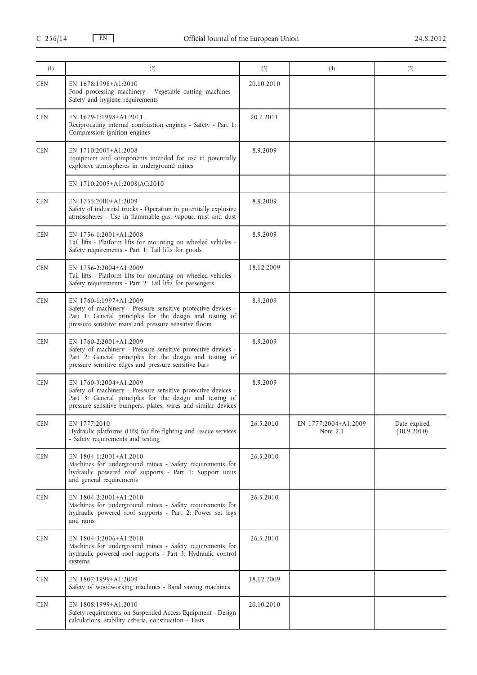| (1)        | (2)                                                                                                                                                                                                                  | (3)        | (4)                                | (5)                         |
|------------|----------------------------------------------------------------------------------------------------------------------------------------------------------------------------------------------------------------------|------------|------------------------------------|-----------------------------|
| <b>CEN</b> | EN 1678:1998+A1:2010<br>Food processing machinery - Vegetable cutting machines -<br>Safety and hygiene requirements                                                                                                  | 20.10.2010 |                                    |                             |
| <b>CEN</b> | EN 1679-1:1998+A1:2011<br>Reciprocating internal combustion engines - Safety - Part 1:<br>Compression ignition engines                                                                                               | 20.7.2011  |                                    |                             |
| <b>CEN</b> | EN 1710:2005+A1:2008<br>Equipment and components intended for use in potentially<br>explosive atmospheres in underground mines                                                                                       | 8.9.2009   |                                    |                             |
|            | EN 1710:2005+A1:2008/AC:2010                                                                                                                                                                                         |            |                                    |                             |
| <b>CEN</b> | EN 1755:2000+A1:2009<br>Safety of industrial trucks - Operation in potentially explosive<br>atmospheres - Use in flammable gas, vapour, mist and dust                                                                | 8.9.2009   |                                    |                             |
| <b>CEN</b> | EN 1756-1:2001+A1:2008<br>Tail lifts - Platform lifts for mounting on wheeled vehicles -<br>Safety requirements - Part 1: Tail lifts for goods                                                                       | 8.9.2009   |                                    |                             |
| <b>CEN</b> | EN 1756-2:2004+A1:2009<br>Tail lifts - Platform lifts for mounting on wheeled vehicles -<br>Safety requirements - Part 2: Tail lifts for passengers                                                                  | 18.12.2009 |                                    |                             |
| <b>CEN</b> | EN 1760-1:1997+A1:2009<br>Safety of machinery - Pressure sensitive protective devices -<br>Part 1: General principles for the design and testing of<br>pressure sensitive mats and pressure sensitive floors         | 8.9.2009   |                                    |                             |
| <b>CEN</b> | EN 1760-2:2001+A1:2009<br>Safety of machinery - Pressure sensitive protective devices -<br>Part 2: General principles for the design and testing of<br>pressure sensitive edges and pressure sensitive bars          | 8.9.2009   |                                    |                             |
| <b>CEN</b> | EN 1760-3:2004+A1:2009<br>Safety of machinery - Pressure sensitive protective devices -<br>Part 3: General principles for the design and testing of<br>pressure sensitive bumpers, plates, wires and similar devices | 8.9.2009   |                                    |                             |
| <b>CEN</b> | EN 1777:2010<br>Hydraulic platforms (HPs) for fire fighting and rescue services<br>- Safety requirements and testing                                                                                                 | 26.5.2010  | EN 1777:2004+A1:2009<br>Note $2.1$ | Date expired<br>(30.9.2010) |
| <b>CEN</b> | EN 1804-1:2001+A1:2010<br>Machines for underground mines - Safety requirements for<br>hydraulic powered roof supports - Part 1: Support units<br>and general requirements                                            | 26.5.2010  |                                    |                             |
| <b>CEN</b> | EN 1804-2:2001+A1:2010<br>Machines for underground mines - Safety requirements for<br>hydraulic powered roof supports - Part 2: Power set legs<br>and rams                                                           | 26.5.2010  |                                    |                             |
| <b>CEN</b> | EN 1804-3:2006+A1:2010<br>Machines for underground mines - Safety requirements for<br>hydraulic powered roof supports - Part 3: Hydraulic control<br>systems                                                         | 26.5.2010  |                                    |                             |
| <b>CEN</b> | EN 1807:1999+A1:2009<br>Safety of woodworking machines - Band sawing machines                                                                                                                                        | 18.12.2009 |                                    |                             |
| <b>CEN</b> | EN 1808:1999+A1:2010<br>Safety requirements on Suspended Access Equipment - Design<br>calculations, stability criteria, construction - Tests                                                                         | 20.10.2010 |                                    |                             |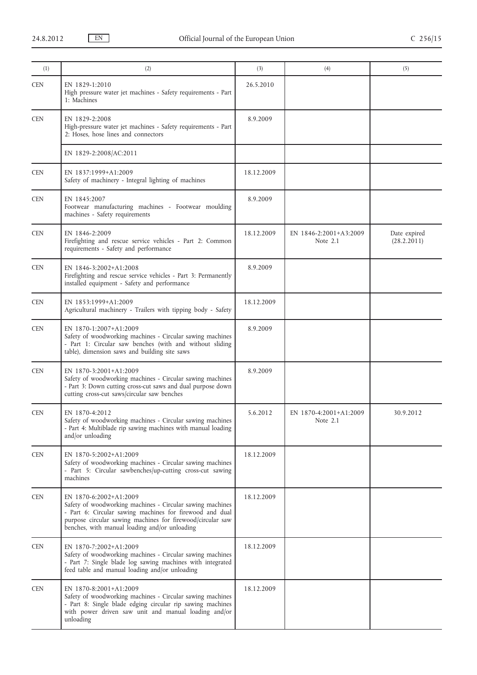| (1)        | (2)                                                                                                                                                                                                                                                            | (3)        | (4)                                | (5)                         |
|------------|----------------------------------------------------------------------------------------------------------------------------------------------------------------------------------------------------------------------------------------------------------------|------------|------------------------------------|-----------------------------|
| <b>CEN</b> | EN 1829-1:2010<br>High pressure water jet machines - Safety requirements - Part<br>1: Machines                                                                                                                                                                 | 26.5.2010  |                                    |                             |
| <b>CEN</b> | EN 1829-2:2008<br>High-pressure water jet machines - Safety requirements - Part<br>2: Hoses, hose lines and connectors                                                                                                                                         | 8.9.2009   |                                    |                             |
|            | EN 1829-2:2008/AC:2011                                                                                                                                                                                                                                         |            |                                    |                             |
| <b>CEN</b> | EN 1837:1999+A1:2009<br>Safety of machinery - Integral lighting of machines                                                                                                                                                                                    | 18.12.2009 |                                    |                             |
| <b>CEN</b> | EN 1845:2007<br>Footwear manufacturing machines - Footwear moulding<br>machines - Safety requirements                                                                                                                                                          | 8.9.2009   |                                    |                             |
| <b>CEN</b> | EN 1846-2:2009<br>Firefighting and rescue service vehicles - Part 2: Common<br>requirements - Safety and performance                                                                                                                                           | 18.12.2009 | EN 1846-2:2001+A3:2009<br>Note 2.1 | Date expired<br>(28.2.2011) |
| <b>CEN</b> | EN 1846-3:2002+A1:2008<br>Firefighting and rescue service vehicles - Part 3: Permanently<br>installed equipment - Safety and performance                                                                                                                       | 8.9.2009   |                                    |                             |
| <b>CEN</b> | EN 1853:1999+A1:2009<br>Agricultural machinery - Trailers with tipping body - Safety                                                                                                                                                                           | 18.12.2009 |                                    |                             |
| <b>CEN</b> | EN 1870-1:2007+A1:2009<br>Safety of woodworking machines - Circular sawing machines<br>- Part 1: Circular saw benches (with and without sliding<br>table), dimension saws and building site saws                                                               | 8.9.2009   |                                    |                             |
| <b>CEN</b> | EN 1870-3:2001+A1:2009<br>Safety of woodworking machines - Circular sawing machines<br>- Part 3: Down cutting cross-cut saws and dual purpose down<br>cutting cross-cut saws/circular saw benches                                                              | 8.9.2009   |                                    |                             |
| <b>CEN</b> | EN 1870-4:2012<br>Safety of woodworking machines - Circular sawing machines<br>- Part 4: Multiblade rip sawing machines with manual loading<br>and/or unloading                                                                                                | 5.6.2012   | EN 1870-4:2001+A1:2009<br>Note 2.1 | 30.9.2012                   |
| <b>CEN</b> | EN 1870-5:2002+A1:2009<br>Safety of woodworking machines - Circular sawing machines<br>- Part 5: Circular sawbenches/up-cutting cross-cut sawing<br>machines                                                                                                   | 18.12.2009 |                                    |                             |
| <b>CEN</b> | EN 1870-6:2002+A1:2009<br>Safety of woodworking machines - Circular sawing machines<br>- Part 6: Circular sawing machines for firewood and dual<br>purpose circular sawing machines for firewood/circular saw<br>benches, with manual loading and/or unloading | 18.12.2009 |                                    |                             |
| <b>CEN</b> | EN 1870-7:2002+A1:2009<br>Safety of woodworking machines - Circular sawing machines<br>- Part 7: Single blade log sawing machines with integrated<br>feed table and manual loading and/or unloading                                                            | 18.12.2009 |                                    |                             |
| <b>CEN</b> | EN 1870-8:2001+A1:2009<br>Safety of woodworking machines - Circular sawing machines<br>- Part 8: Single blade edging circular rip sawing machines<br>with power driven saw unit and manual loading and/or<br>unloading                                         | 18.12.2009 |                                    |                             |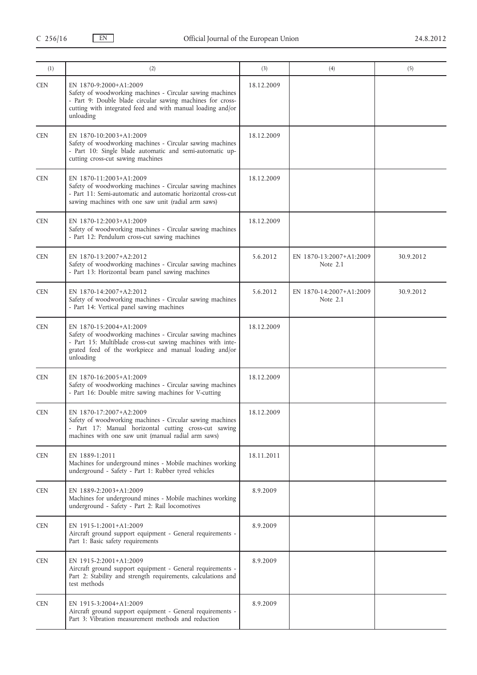| (1)        | (2)                                                                                                                                                                                                                           | (3)        | (4)                                   | (5)       |
|------------|-------------------------------------------------------------------------------------------------------------------------------------------------------------------------------------------------------------------------------|------------|---------------------------------------|-----------|
| <b>CEN</b> | EN 1870-9:2000+A1:2009<br>Safety of woodworking machines - Circular sawing machines<br>- Part 9: Double blade circular sawing machines for cross-<br>cutting with integrated feed and with manual loading and/or<br>unloading | 18.12.2009 |                                       |           |
| <b>CEN</b> | EN 1870-10:2003+A1:2009<br>Safety of woodworking machines - Circular sawing machines<br>- Part 10: Single blade automatic and semi-automatic up-<br>cutting cross-cut sawing machines                                         | 18.12.2009 |                                       |           |
| <b>CEN</b> | EN 1870-11:2003+A1:2009<br>Safety of woodworking machines - Circular sawing machines<br>- Part 11: Semi-automatic and automatic horizontal cross-cut<br>sawing machines with one saw unit (radial arm saws)                   | 18.12.2009 |                                       |           |
| <b>CEN</b> | EN 1870-12:2003+A1:2009<br>Safety of woodworking machines - Circular sawing machines<br>- Part 12: Pendulum cross-cut sawing machines                                                                                         | 18.12.2009 |                                       |           |
| <b>CEN</b> | EN 1870-13:2007+A2:2012<br>Safety of woodworking machines - Circular sawing machines<br>- Part 13: Horizontal beam panel sawing machines                                                                                      | 5.6.2012   | EN 1870-13:2007+A1:2009<br>Note $2.1$ | 30.9.2012 |
| <b>CEN</b> | EN 1870-14:2007+A2:2012<br>Safety of woodworking machines - Circular sawing machines<br>- Part 14: Vertical panel sawing machines                                                                                             | 5.6.2012   | EN 1870-14:2007+A1:2009<br>Note $2.1$ | 30.9.2012 |
| <b>CEN</b> | EN 1870-15:2004+A1:2009<br>Safety of woodworking machines - Circular sawing machines<br>- Part 15: Multiblade cross-cut sawing machines with inte-<br>grated feed of the workpiece and manual loading and/or<br>unloading     | 18.12.2009 |                                       |           |
| <b>CEN</b> | EN 1870-16:2005+A1:2009<br>Safety of woodworking machines - Circular sawing machines<br>- Part 16: Double mitre sawing machines for V-cutting                                                                                 | 18.12.2009 |                                       |           |
| <b>CEN</b> | EN 1870-17:2007+A2:2009<br>Safety of woodworking machines - Circular sawing machines<br>- Part 17: Manual horizontal cutting cross-cut sawing<br>machines with one saw unit (manual radial arm saws)                          | 18.12.2009 |                                       |           |
| <b>CEN</b> | EN 1889-1:2011<br>Machines for underground mines - Mobile machines working<br>underground - Safety - Part 1: Rubber tyred vehicles                                                                                            | 18.11.2011 |                                       |           |
| <b>CEN</b> | EN 1889-2:2003+A1:2009<br>Machines for underground mines - Mobile machines working<br>underground - Safety - Part 2: Rail locomotives                                                                                         | 8.9.2009   |                                       |           |
| <b>CEN</b> | EN 1915-1:2001+A1:2009<br>Aircraft ground support equipment - General requirements -<br>Part 1: Basic safety requirements                                                                                                     | 8.9.2009   |                                       |           |
| <b>CEN</b> | EN 1915-2:2001+A1:2009<br>Aircraft ground support equipment - General requirements -<br>Part 2: Stability and strength requirements, calculations and<br>test methods                                                         | 8.9.2009   |                                       |           |
| CEN        | EN 1915-3:2004+A1:2009<br>Aircraft ground support equipment - General requirements -<br>Part 3: Vibration measurement methods and reduction                                                                                   | 8.9.2009   |                                       |           |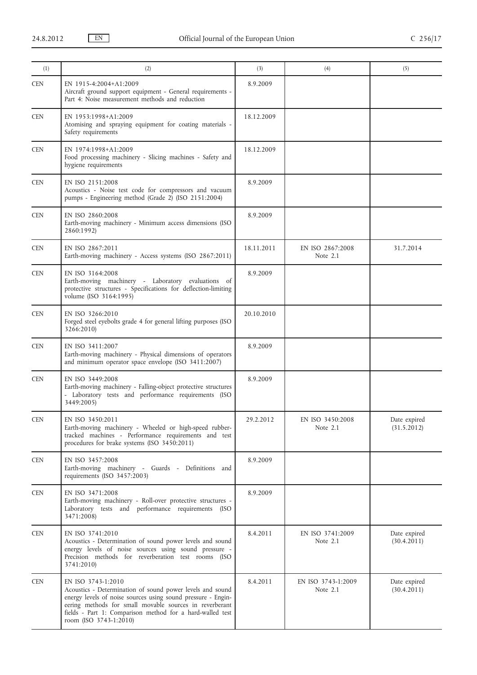| (1)        | (2)                                                                                                                                                                                                                                                                                               | (3)        | (4)                              | (5)                         |
|------------|---------------------------------------------------------------------------------------------------------------------------------------------------------------------------------------------------------------------------------------------------------------------------------------------------|------------|----------------------------------|-----------------------------|
| <b>CEN</b> | EN 1915-4:2004+A1:2009<br>Aircraft ground support equipment - General requirements -<br>Part 4: Noise measurement methods and reduction                                                                                                                                                           | 8.9.2009   |                                  |                             |
| <b>CEN</b> | EN 1953:1998+A1:2009<br>Atomising and spraying equipment for coating materials -<br>Safety requirements                                                                                                                                                                                           | 18.12.2009 |                                  |                             |
| <b>CEN</b> | EN 1974:1998+A1:2009<br>Food processing machinery - Slicing machines - Safety and<br>hygiene requirements                                                                                                                                                                                         | 18.12.2009 |                                  |                             |
| <b>CEN</b> | EN ISO 2151:2008<br>Acoustics - Noise test code for compressors and vacuum<br>pumps - Engineering method (Grade 2) (ISO 2151:2004)                                                                                                                                                                | 8.9.2009   |                                  |                             |
| <b>CEN</b> | EN ISO 2860:2008<br>Earth-moving machinery - Minimum access dimensions (ISO<br>2860:1992)                                                                                                                                                                                                         | 8.9.2009   |                                  |                             |
| <b>CEN</b> | EN ISO 2867:2011<br>Earth-moving machinery - Access systems (ISO 2867:2011)                                                                                                                                                                                                                       | 18.11.2011 | EN ISO 2867:2008<br>Note 2.1     | 31.7.2014                   |
| <b>CEN</b> | EN ISO 3164:2008<br>Earth-moving machinery - Laboratory evaluations of<br>protective structures - Specifications for deflection-limiting<br>volume (ISO 3164:1995)                                                                                                                                | 8.9.2009   |                                  |                             |
| <b>CEN</b> | EN ISO 3266:2010<br>Forged steel eyebolts grade 4 for general lifting purposes (ISO<br>3266:2010)                                                                                                                                                                                                 | 20.10.2010 |                                  |                             |
| <b>CEN</b> | EN ISO 3411:2007<br>Earth-moving machinery - Physical dimensions of operators<br>and minimum operator space envelope (ISO 3411:2007)                                                                                                                                                              | 8.9.2009   |                                  |                             |
| <b>CEN</b> | EN ISO 3449:2008<br>Earth-moving machinery - Falling-object protective structures<br>- Laboratory tests and performance requirements (ISO<br>3449:2005)                                                                                                                                           | 8.9.2009   |                                  |                             |
| <b>CEN</b> | EN ISO 3450:2011<br>Earth-moving machinery - Wheeled or high-speed rubber-<br>tracked machines - Performance requirements and test<br>procedures for brake systems (ISO 3450:2011)                                                                                                                | 29.2.2012  | EN ISO 3450:2008<br>Note 2.1     | Date expired<br>(31.5.2012) |
| <b>CEN</b> | EN ISO 3457:2008<br>Earth-moving machinery - Guards - Definitions and<br>requirements (ISO 3457:2003)                                                                                                                                                                                             | 8.9.2009   |                                  |                             |
| <b>CEN</b> | EN ISO 3471:2008<br>Earth-moving machinery - Roll-over protective structures -<br>Laboratory tests and performance requirements (ISO<br>3471:2008)                                                                                                                                                | 8.9.2009   |                                  |                             |
| <b>CEN</b> | EN ISO 3741:2010<br>Acoustics - Determination of sound power levels and sound<br>energy levels of noise sources using sound pressure -<br>Precision methods for reverberation test rooms (ISO<br>3741:2010)                                                                                       | 8.4.2011   | EN ISO 3741:2009<br>Note $2.1$   | Date expired<br>(30.4.2011) |
| <b>CEN</b> | EN ISO 3743-1:2010<br>Acoustics - Determination of sound power levels and sound<br>energy levels of noise sources using sound pressure - Engin-<br>eering methods for small movable sources in reverberant<br>fields - Part 1: Comparison method for a hard-walled test<br>room (ISO 3743-1:2010) | 8.4.2011   | EN ISO 3743-1:2009<br>Note $2.1$ | Date expired<br>(30.4.2011) |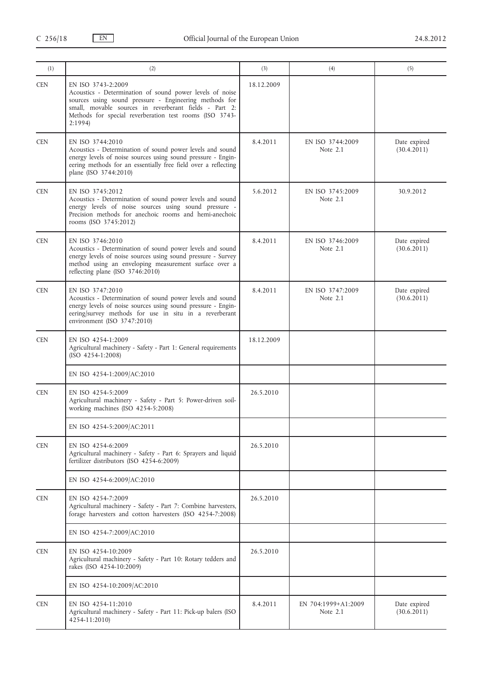| (1)        | (2)                                                                                                                                                                                                                                                                     | (3)        | (4)                             | (5)                         |
|------------|-------------------------------------------------------------------------------------------------------------------------------------------------------------------------------------------------------------------------------------------------------------------------|------------|---------------------------------|-----------------------------|
| <b>CEN</b> | EN ISO 3743-2:2009<br>Acoustics - Determination of sound power levels of noise<br>sources using sound pressure - Engineering methods for<br>small, movable sources in reverberant fields - Part 2:<br>Methods for special reverberation test rooms (ISO 3743-<br>2:1994 | 18.12.2009 |                                 |                             |
| <b>CEN</b> | EN ISO 3744:2010<br>Acoustics - Determination of sound power levels and sound<br>energy levels of noise sources using sound pressure - Engin-<br>eering methods for an essentially free field over a reflecting<br>plane (ISO 3744:2010)                                | 8.4.2011   | EN ISO 3744:2009<br>Note 2.1    | Date expired<br>(30.4.2011) |
| <b>CEN</b> | EN ISO 3745:2012<br>Acoustics - Determination of sound power levels and sound<br>energy levels of noise sources using sound pressure -<br>Precision methods for anechoic rooms and hemi-anechoic<br>rooms (ISO 3745:2012)                                               | 5.6.2012   | EN ISO 3745:2009<br>Note 2.1    | 30.9.2012                   |
| <b>CEN</b> | EN ISO 3746:2010<br>Acoustics - Determination of sound power levels and sound<br>energy levels of noise sources using sound pressure - Survey<br>method using an enveloping measurement surface over a<br>reflecting plane (ISO 3746:2010)                              | 8.4.2011   | EN ISO 3746:2009<br>Note 2.1    | Date expired<br>(30.6.2011) |
| <b>CEN</b> | EN ISO 3747:2010<br>Acoustics - Determination of sound power levels and sound<br>energy levels of noise sources using sound pressure - Engin-<br>eering/survey methods for use in situ in a reverberant<br>environment (ISO 3747:2010)                                  | 8.4.2011   | EN ISO 3747:2009<br>Note 2.1    | Date expired<br>(30.6.2011) |
| <b>CEN</b> | EN ISO 4254-1:2009<br>Agricultural machinery - Safety - Part 1: General requirements<br>$(ISO 4254-1:2008)$                                                                                                                                                             | 18.12.2009 |                                 |                             |
|            | EN ISO 4254-1:2009/AC:2010                                                                                                                                                                                                                                              |            |                                 |                             |
| <b>CEN</b> | EN ISO 4254-5:2009<br>Agricultural machinery - Safety - Part 5: Power-driven soil-<br>working machines (ISO 4254-5:2008)                                                                                                                                                | 26.5.2010  |                                 |                             |
|            | EN ISO 4254-5:2009/AC:2011                                                                                                                                                                                                                                              |            |                                 |                             |
| <b>CEN</b> | EN ISO 4254-6:2009<br>Agricultural machinery - Safety - Part 6: Sprayers and liquid<br>fertilizer distributors (ISO 4254-6:2009)                                                                                                                                        | 26.5.2010  |                                 |                             |
|            | EN ISO 4254-6:2009/AC:2010                                                                                                                                                                                                                                              |            |                                 |                             |
| <b>CEN</b> | EN ISO 4254-7:2009<br>Agricultural machinery - Safety - Part 7: Combine harvesters,<br>forage harvesters and cotton harvesters (ISO 4254-7:2008)                                                                                                                        | 26.5.2010  |                                 |                             |
|            | EN ISO 4254-7:2009/AC:2010                                                                                                                                                                                                                                              |            |                                 |                             |
| <b>CEN</b> | EN ISO 4254-10:2009<br>Agricultural machinery - Safety - Part 10: Rotary tedders and<br>rakes (ISO 4254-10:2009)                                                                                                                                                        | 26.5.2010  |                                 |                             |
|            | EN ISO 4254-10:2009/AC:2010                                                                                                                                                                                                                                             |            |                                 |                             |
| <b>CEN</b> | EN ISO 4254-11:2010<br>Agricultural machinery - Safety - Part 11: Pick-up balers (ISO<br>4254-11:2010)                                                                                                                                                                  | 8.4.2011   | EN 704:1999+A1:2009<br>Note 2.1 | Date expired<br>(30.6.2011) |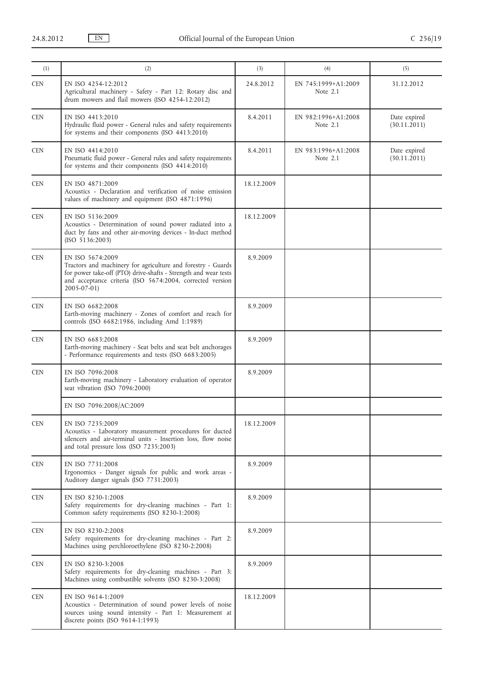| (1)        | (2)                                                                                                                                                                                                                                  | (3)        | (4)                               | (5)                          |
|------------|--------------------------------------------------------------------------------------------------------------------------------------------------------------------------------------------------------------------------------------|------------|-----------------------------------|------------------------------|
| <b>CEN</b> | EN ISO 4254-12:2012<br>Agricultural machinery - Safety - Part 12: Rotary disc and<br>drum mowers and flail mowers (ISO 4254-12:2012)                                                                                                 | 24.8.2012  | EN 745:1999+A1:2009<br>Note 2.1   | 31.12.2012                   |
| <b>CEN</b> | EN ISO 4413:2010<br>Hydraulic fluid power - General rules and safety requirements<br>for systems and their components (ISO 4413:2010)                                                                                                | 8.4.2011   | EN 982:1996+A1:2008<br>Note $2.1$ | Date expired<br>(30.11.2011) |
| <b>CEN</b> | EN ISO 4414:2010<br>Pneumatic fluid power - General rules and safety requirements<br>for systems and their components (ISO $4414:2010$ )                                                                                             | 8.4.2011   | EN 983:1996+A1:2008<br>Note 2.1   | Date expired<br>(30.11.2011) |
| <b>CEN</b> | EN ISO 4871:2009<br>Acoustics - Declaration and verification of noise emission<br>values of machinery and equipment (ISO 4871:1996)                                                                                                  | 18.12.2009 |                                   |                              |
| <b>CEN</b> | EN ISO 5136:2009<br>Acoustics - Determination of sound power radiated into a<br>duct by fans and other air-moving devices - In-duct method<br>(ISO 5136:2003)                                                                        | 18.12.2009 |                                   |                              |
| <b>CEN</b> | EN ISO 5674:2009<br>Tractors and machinery for agriculture and forestry - Guards<br>for power take-off (PTO) drive-shafts - Strength and wear tests<br>and acceptance criteria (ISO 5674:2004, corrected version<br>$2005 - 07 - 01$ | 8.9.2009   |                                   |                              |
| <b>CEN</b> | EN ISO 6682:2008<br>Earth-moving machinery - Zones of comfort and reach for<br>controls (ISO 6682:1986, including Amd 1:1989)                                                                                                        | 8.9.2009   |                                   |                              |
| <b>CEN</b> | EN ISO 6683:2008<br>Earth-moving machinery - Seat belts and seat belt anchorages<br>- Performance requirements and tests (ISO 6683:2005)                                                                                             | 8.9.2009   |                                   |                              |
| <b>CEN</b> | EN ISO 7096:2008<br>Earth-moving machinery - Laboratory evaluation of operator<br>seat vibration (ISO 7096:2000)                                                                                                                     | 8.9.2009   |                                   |                              |
|            | EN ISO 7096:2008/AC:2009                                                                                                                                                                                                             |            |                                   |                              |
| <b>CEN</b> | EN ISO 7235:2009<br>Acoustics - Laboratory measurement procedures for ducted<br>silencers and air-terminal units - Insertion loss, flow noise<br>and total pressure loss (ISO 7235:2003)                                             | 18.12.2009 |                                   |                              |
| <b>CEN</b> | EN ISO 7731:2008<br>Ergonomics - Danger signals for public and work areas -<br>Auditory danger signals (ISO 7731:2003)                                                                                                               | 8.9.2009   |                                   |                              |
| <b>CEN</b> | EN ISO 8230-1:2008<br>Safety requirements for dry-cleaning machines - Part 1:<br>Common safety requirements (ISO 8230-1:2008)                                                                                                        | 8.9.2009   |                                   |                              |
| <b>CEN</b> | EN ISO 8230-2:2008<br>Safety requirements for dry-cleaning machines - Part 2:<br>Machines using perchloroethylene (ISO 8230-2:2008)                                                                                                  | 8.9.2009   |                                   |                              |
| <b>CEN</b> | EN ISO 8230-3:2008<br>Safety requirements for dry-cleaning machines - Part 3:<br>Machines using combustible solvents (ISO 8230-3:2008)                                                                                               | 8.9.2009   |                                   |                              |
| <b>CEN</b> | EN ISO 9614-1:2009<br>Acoustics - Determination of sound power levels of noise<br>sources using sound intensity - Part 1: Measurement at<br>discrete points (ISO 9614-1:1993)                                                        | 18.12.2009 |                                   |                              |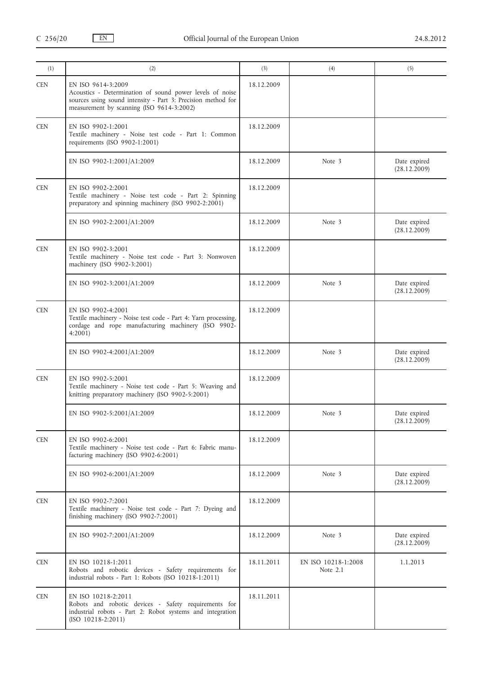| (1)        | (2)                                                                                                                                                                                         | (3)        | (4)                             | (5)                          |
|------------|---------------------------------------------------------------------------------------------------------------------------------------------------------------------------------------------|------------|---------------------------------|------------------------------|
| <b>CEN</b> | EN ISO 9614-3:2009<br>Acoustics - Determination of sound power levels of noise<br>sources using sound intensity - Part 3: Precision method for<br>measurement by scanning (ISO 9614-3:2002) | 18.12.2009 |                                 |                              |
| <b>CEN</b> | EN ISO 9902-1:2001<br>Textile machinery - Noise test code - Part 1: Common<br>requirements (ISO 9902-1:2001)                                                                                | 18.12.2009 |                                 |                              |
|            | EN ISO 9902-1:2001/A1:2009                                                                                                                                                                  | 18.12.2009 | Note 3                          | Date expired<br>(28.12.2009) |
| <b>CEN</b> | EN ISO 9902-2:2001<br>Textile machinery - Noise test code - Part 2: Spinning<br>preparatory and spinning machinery (ISO 9902-2:2001)                                                        | 18.12.2009 |                                 |                              |
|            | EN ISO 9902-2:2001/A1:2009                                                                                                                                                                  | 18.12.2009 | Note 3                          | Date expired<br>(28.12.2009) |
| <b>CEN</b> | EN ISO 9902-3:2001<br>Textile machinery - Noise test code - Part 3: Nonwoven<br>machinery (ISO 9902-3:2001)                                                                                 | 18.12.2009 |                                 |                              |
|            | EN ISO 9902-3:2001/A1:2009                                                                                                                                                                  | 18.12.2009 | Note 3                          | Date expired<br>(28.12.2009) |
| <b>CEN</b> | EN ISO 9902-4:2001<br>Textile machinery - Noise test code - Part 4: Yarn processing,<br>cordage and rope manufacturing machinery (ISO 9902-<br>4:2001                                       | 18.12.2009 |                                 |                              |
|            | EN ISO 9902-4:2001/A1:2009                                                                                                                                                                  | 18.12.2009 | Note 3                          | Date expired<br>(28.12.2009) |
| <b>CEN</b> | EN ISO 9902-5:2001<br>Textile machinery - Noise test code - Part 5: Weaving and<br>knitting preparatory machinery (ISO 9902-5:2001)                                                         | 18.12.2009 |                                 |                              |
|            | EN ISO 9902-5:2001/A1:2009                                                                                                                                                                  | 18.12.2009 | Note 3                          | Date expired<br>(28.12.2009) |
| <b>CEN</b> | EN ISO 9902-6:2001<br>Textile machinery - Noise test code - Part 6: Fabric manu-<br>facturing machinery (ISO 9902-6:2001)                                                                   | 18.12.2009 |                                 |                              |
|            | EN ISO 9902-6:2001/A1:2009                                                                                                                                                                  | 18.12.2009 | Note 3                          | Date expired<br>(28.12.2009) |
| <b>CEN</b> | EN ISO 9902-7:2001<br>Textile machinery - Noise test code - Part 7: Dyeing and<br>finishing machinery (ISO 9902-7:2001)                                                                     | 18.12.2009 |                                 |                              |
|            | EN ISO 9902-7:2001/A1:2009                                                                                                                                                                  | 18.12.2009 | Note 3                          | Date expired<br>(28.12.2009) |
| <b>CEN</b> | EN ISO 10218-1:2011<br>Robots and robotic devices - Safety requirements for<br>industrial robots - Part 1: Robots (ISO 10218-1:2011)                                                        | 18.11.2011 | EN ISO 10218-1:2008<br>Note 2.1 | 1.1.2013                     |
| <b>CEN</b> | EN ISO 10218-2:2011<br>Robots and robotic devices - Safety requirements for<br>industrial robots - Part 2: Robot systems and integration<br>$(ISO 10218-2:2011)$                            | 18.11.2011 |                                 |                              |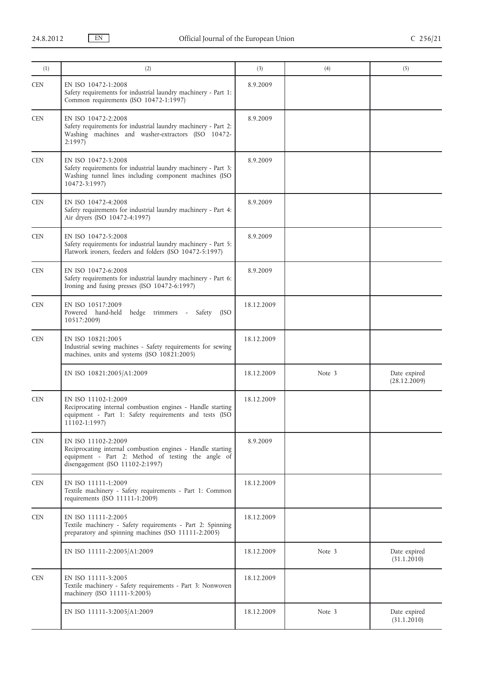| (1)        | (2)                                                                                                                                                                          | (3)        | (4)    | (5)                          |
|------------|------------------------------------------------------------------------------------------------------------------------------------------------------------------------------|------------|--------|------------------------------|
| <b>CEN</b> | EN ISO 10472-1:2008<br>Safety requirements for industrial laundry machinery - Part 1:<br>Common requirements (ISO 10472-1:1997)                                              | 8.9.2009   |        |                              |
| <b>CEN</b> | EN ISO 10472-2:2008<br>Safety requirements for industrial laundry machinery - Part 2:<br>Washing machines and washer-extractors (ISO 10472-<br>2:1997                        | 8.9.2009   |        |                              |
| <b>CEN</b> | EN ISO 10472-3:2008<br>Safety requirements for industrial laundry machinery - Part 3:<br>Washing tunnel lines including component machines (ISO<br>10472-3:1997)             | 8.9.2009   |        |                              |
| <b>CEN</b> | EN ISO 10472-4:2008<br>Safety requirements for industrial laundry machinery - Part 4:<br>Air dryers (ISO 10472-4:1997)                                                       | 8.9.2009   |        |                              |
| <b>CEN</b> | EN ISO 10472-5:2008<br>Safety requirements for industrial laundry machinery - Part 5:<br>Flatwork ironers, feeders and folders (ISO 10472-5:1997)                            | 8.9.2009   |        |                              |
| <b>CEN</b> | EN ISO 10472-6:2008<br>Safety requirements for industrial laundry machinery - Part 6:<br>Ironing and fusing presses (ISO 10472-6:1997)                                       | 8.9.2009   |        |                              |
| <b>CEN</b> | EN ISO 10517:2009<br>Powered hand-held hedge trimmers - Safety<br>(ISO<br>10517:2009)                                                                                        | 18.12.2009 |        |                              |
| <b>CEN</b> | EN ISO 10821:2005<br>Industrial sewing machines - Safety requirements for sewing<br>machines, units and systems (ISO 10821:2005)                                             | 18.12.2009 |        |                              |
|            | EN ISO 10821:2005/A1:2009                                                                                                                                                    | 18.12.2009 | Note 3 | Date expired<br>(28.12.2009) |
| <b>CEN</b> | EN ISO 11102-1:2009<br>Reciprocating internal combustion engines - Handle starting<br>equipment - Part 1: Safety requirements and tests (ISO<br>11102-1:1997)                | 18.12.2009 |        |                              |
| <b>CEN</b> | EN ISO 11102-2:2009<br>Reciprocating internal combustion engines - Handle starting<br>equipment - Part 2: Method of testing the angle of<br>disengagement (ISO 11102-2:1997) | 8.9.2009   |        |                              |
| <b>CEN</b> | EN ISO 11111-1:2009<br>Textile machinery - Safety requirements - Part 1: Common<br>requirements (ISO 11111-1:2009)                                                           | 18.12.2009 |        |                              |
| <b>CEN</b> | EN ISO 11111-2:2005<br>Textile machinery - Safety requirements - Part 2: Spinning<br>preparatory and spinning machines (ISO 11111-2:2005)                                    | 18.12.2009 |        |                              |
|            | EN ISO 11111-2:2005/A1:2009                                                                                                                                                  | 18.12.2009 | Note 3 | Date expired<br>(31.1.2010)  |
| <b>CEN</b> | EN ISO 11111-3:2005<br>Textile machinery - Safety requirements - Part 3: Nonwoven<br>machinery (ISO 11111-3:2005)                                                            | 18.12.2009 |        |                              |
|            | EN ISO 11111-3:2005/A1:2009                                                                                                                                                  | 18.12.2009 | Note 3 | Date expired<br>(31.1.2010)  |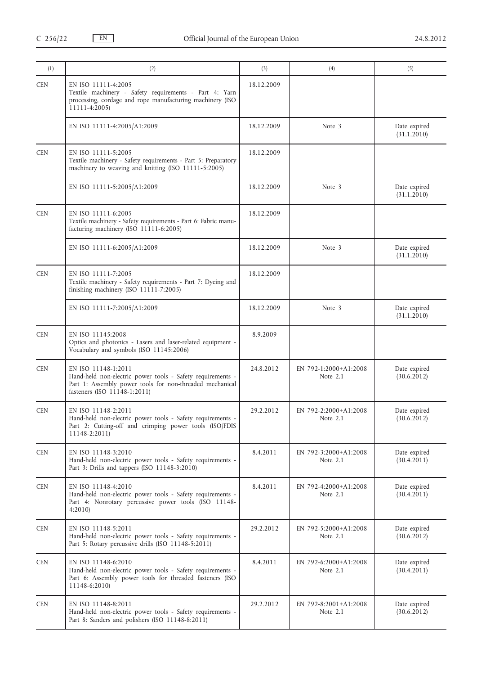| (1)        | (2)                                                                                                                                                                           | (3)        | (4)                                 | (5)                         |
|------------|-------------------------------------------------------------------------------------------------------------------------------------------------------------------------------|------------|-------------------------------------|-----------------------------|
| <b>CEN</b> | EN ISO 11111-4:2005<br>Textile machinery - Safety requirements - Part 4: Yarn<br>processing, cordage and rope manufacturing machinery (ISO<br>11111-4:2005)                   | 18.12.2009 |                                     |                             |
|            | EN ISO 11111-4:2005/A1:2009                                                                                                                                                   | 18.12.2009 | Note 3                              | Date expired<br>(31.1.2010) |
| <b>CEN</b> | EN ISO 11111-5:2005<br>Textile machinery - Safety requirements - Part 5: Preparatory<br>machinery to weaving and knitting (ISO 11111-5:2005)                                  | 18.12.2009 |                                     |                             |
|            | EN ISO 11111-5:2005/A1:2009                                                                                                                                                   | 18.12.2009 | Note 3                              | Date expired<br>(31.1.2010) |
| <b>CEN</b> | EN ISO 11111-6:2005<br>Textile machinery - Safety requirements - Part 6: Fabric manu-<br>facturing machinery (ISO 11111-6:2005)                                               | 18.12.2009 |                                     |                             |
|            | EN ISO 11111-6:2005/A1:2009                                                                                                                                                   | 18.12.2009 | Note 3                              | Date expired<br>(31.1.2010) |
| <b>CEN</b> | EN ISO 11111-7:2005<br>Textile machinery - Safety requirements - Part 7: Dyeing and<br>finishing machinery (ISO 11111-7:2005)                                                 | 18.12.2009 |                                     |                             |
|            | EN ISO 11111-7:2005/A1:2009                                                                                                                                                   | 18.12.2009 | Note 3                              | Date expired<br>(31.1.2010) |
| <b>CEN</b> | EN ISO 11145:2008<br>Optics and photonics - Lasers and laser-related equipment -<br>Vocabulary and symbols (ISO 11145:2006)                                                   | 8.9.2009   |                                     |                             |
| <b>CEN</b> | EN ISO 11148-1:2011<br>Hand-held non-electric power tools - Safety requirements -<br>Part 1: Assembly power tools for non-threaded mechanical<br>fasteners (ISO 11148-1:2011) | 24.8.2012  | EN 792-1:2000+A1:2008<br>Note $2.1$ | Date expired<br>(30.6.2012) |
| <b>CEN</b> | EN ISO 11148-2:2011<br>Hand-held non-electric power tools - Safety requirements -<br>Part 2: Cutting-off and crimping power tools (ISO/FDIS<br>11148-2:2011)                  | 29.2.2012  | EN 792-2:2000+A1:2008<br>Note $2.1$ | Date expired<br>(30.6.2012) |
| <b>CEN</b> | EN ISO 11148-3:2010<br>Hand-held non-electric power tools - Safety requirements -<br>Part 3: Drills and tappers (ISO 11148-3:2010)                                            | 8.4.2011   | EN 792-3:2000+A1:2008<br>Note 2.1   | Date expired<br>(30.4.2011) |
| <b>CEN</b> | EN ISO 11148-4:2010<br>Hand-held non-electric power tools - Safety requirements -<br>Part 4: Nonrotary percussive power tools (ISO 11148-<br>4:2010                           | 8.4.2011   | EN 792-4:2000+A1:2008<br>Note 2.1   | Date expired<br>(30.4.2011) |
| <b>CEN</b> | EN ISO 11148-5:2011<br>Hand-held non-electric power tools - Safety requirements -<br>Part 5: Rotary percussive drills (ISO 11148-5:2011)                                      | 29.2.2012  | EN 792-5:2000+A1:2008<br>Note $2.1$ | Date expired<br>(30.6.2012) |
| <b>CEN</b> | EN ISO 11148-6:2010<br>Hand-held non-electric power tools - Safety requirements -<br>Part 6: Assembly power tools for threaded fasteners (ISO<br>11148-6:2010)                | 8.4.2011   | EN 792-6:2000+A1:2008<br>Note 2.1   | Date expired<br>(30.4.2011) |
| <b>CEN</b> | EN ISO 11148-8:2011<br>Hand-held non-electric power tools - Safety requirements -<br>Part 8: Sanders and polishers (ISO 11148-8:2011)                                         | 29.2.2012  | EN 792-8:2001+A1:2008<br>Note $2.1$ | Date expired<br>(30.6.2012) |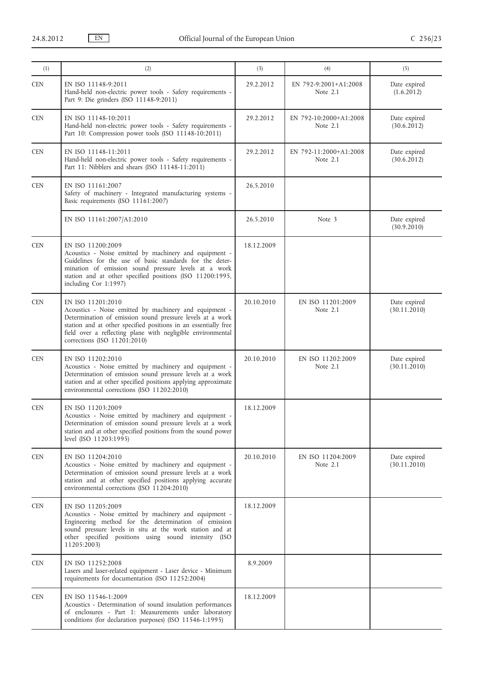| (1)        | (2)                                                                                                                                                                                                                                                                                                        | (3)        | (4)                                | (5)                          |
|------------|------------------------------------------------------------------------------------------------------------------------------------------------------------------------------------------------------------------------------------------------------------------------------------------------------------|------------|------------------------------------|------------------------------|
| <b>CEN</b> | EN ISO 11148-9:2011<br>Hand-held non-electric power tools - Safety requirements -<br>Part 9: Die grinders (ISO 11148-9:2011)                                                                                                                                                                               | 29.2.2012  | EN 792-9:2001+A1:2008<br>Note 2.1  | Date expired<br>(1.6.2012)   |
| <b>CEN</b> | EN ISO 11148-10:2011<br>Hand-held non-electric power tools - Safety requirements -<br>Part 10: Compression power tools (ISO 11148-10:2011)                                                                                                                                                                 | 29.2.2012  | EN 792-10:2000+A1:2008<br>Note 2.1 | Date expired<br>(30.6.2012)  |
| <b>CEN</b> | EN ISO 11148-11:2011<br>Hand-held non-electric power tools - Safety requirements -<br>Part 11: Nibblers and shears (ISO 11148-11:2011)                                                                                                                                                                     | 29.2.2012  | EN 792-11:2000+A1:2008<br>Note 2.1 | Date expired<br>(30.6.2012)  |
| <b>CEN</b> | EN ISO 11161:2007<br>Safety of machinery - Integrated manufacturing systems -<br>Basic requirements (ISO 11161:2007)                                                                                                                                                                                       | 26.5.2010  |                                    |                              |
|            | EN ISO 11161:2007/A1:2010                                                                                                                                                                                                                                                                                  | 26.5.2010  | Note 3                             | Date expired<br>(30.9.2010)  |
| <b>CEN</b> | EN ISO 11200:2009<br>Acoustics - Noise emitted by machinery and equipment -<br>Guidelines for the use of basic standards for the deter-<br>mination of emission sound pressure levels at a work<br>station and at other specified positions (ISO 11200:1995,<br>including Cor 1:1997)                      | 18.12.2009 |                                    |                              |
| <b>CEN</b> | EN ISO 11201:2010<br>Acoustics - Noise emitted by machinery and equipment -<br>Determination of emission sound pressure levels at a work<br>station and at other specified positions in an essentially free<br>field over a reflecting plane with negligible environmental<br>corrections (ISO 11201:2010) | 20.10.2010 | EN ISO 11201:2009<br>Note 2.1      | Date expired<br>(30.11.2010) |
| <b>CEN</b> | EN ISO 11202:2010<br>Acoustics - Noise emitted by machinery and equipment -<br>Determination of emission sound pressure levels at a work<br>station and at other specified positions applying approximate<br>environmental corrections (ISO 11202:2010)                                                    | 20.10.2010 | EN ISO 11202:2009<br>Note 2.1      | Date expired<br>(30.11.2010) |
| <b>CEN</b> | EN ISO 11203:2009<br>Acoustics - Noise emitted by machinery and equipment -<br>Determination of emission sound pressure levels at a work<br>station and at other specified positions from the sound power<br>level (ISO 11203:1995)                                                                        | 18.12.2009 |                                    |                              |
| <b>CEN</b> | EN ISO 11204:2010<br>Acoustics - Noise emitted by machinery and equipment -<br>Determination of emission sound pressure levels at a work<br>station and at other specified positions applying accurate<br>environmental corrections (ISO 11204:2010)                                                       | 20.10.2010 | EN ISO 11204:2009<br>Note $2.1$    | Date expired<br>(30.11.2010) |
| <b>CEN</b> | EN ISO 11205:2009<br>Acoustics - Noise emitted by machinery and equipment -<br>Engineering method for the determination of emission<br>sound pressure levels in situ at the work station and at<br>other specified positions using sound intensity (ISO<br>11205:2003)                                     | 18.12.2009 |                                    |                              |
| <b>CEN</b> | EN ISO 11252:2008<br>Lasers and laser-related equipment - Laser device - Minimum<br>requirements for documentation (ISO 11252:2004)                                                                                                                                                                        | 8.9.2009   |                                    |                              |
| <b>CEN</b> | EN ISO 11546-1:2009<br>Acoustics - Determination of sound insulation performances<br>of enclosures - Part 1: Measurements under laboratory<br>conditions (for declaration purposes) (ISO 11546-1:1995)                                                                                                     | 18.12.2009 |                                    |                              |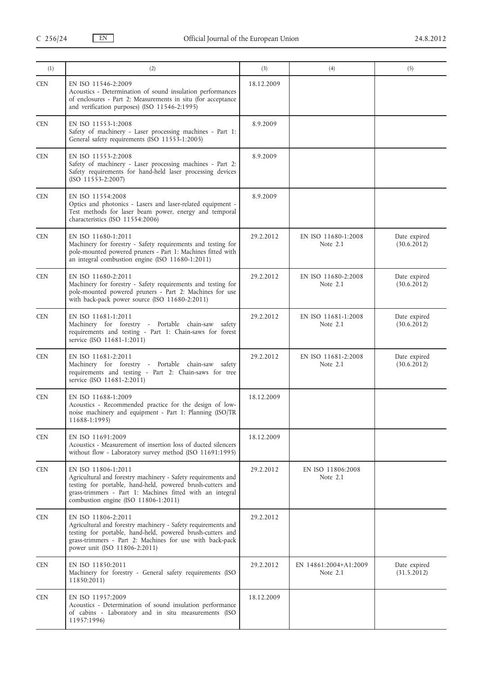| (1)        | (2)                                                                                                                                                                                                                                                     | (3)        | (4)                                 | (5)                         |
|------------|---------------------------------------------------------------------------------------------------------------------------------------------------------------------------------------------------------------------------------------------------------|------------|-------------------------------------|-----------------------------|
| <b>CEN</b> | EN ISO 11546-2:2009<br>Acoustics - Determination of sound insulation performances<br>of enclosures - Part 2: Measurements in situ (for acceptance<br>and verification purposes) (ISO 11546-2:1995)                                                      | 18.12.2009 |                                     |                             |
| <b>CEN</b> | EN ISO 11553-1:2008<br>Safety of machinery - Laser processing machines - Part 1:<br>General safety requirements (ISO 11553-1:2005)                                                                                                                      | 8.9.2009   |                                     |                             |
| <b>CEN</b> | EN ISO 11553-2:2008<br>Safety of machinery - Laser processing machines - Part 2:<br>Safety requirements for hand-held laser processing devices<br>$(ISO 11553-2:2007)$                                                                                  | 8.9.2009   |                                     |                             |
| <b>CEN</b> | EN ISO 11554:2008<br>Optics and photonics - Lasers and laser-related equipment -<br>Test methods for laser beam power, energy and temporal<br>characteristics (ISO 11554:2006)                                                                          | 8.9.2009   |                                     |                             |
| <b>CEN</b> | EN ISO 11680-1:2011<br>Machinery for forestry - Safety requirements and testing for<br>pole-mounted powered pruners - Part 1: Machines fitted with<br>an integral combustion engine (ISO 11680-1:2011)                                                  | 29.2.2012  | EN ISO 11680-1:2008<br>Note 2.1     | Date expired<br>(30.6.2012) |
| <b>CEN</b> | EN ISO 11680-2:2011<br>Machinery for forestry - Safety requirements and testing for<br>pole-mounted powered pruners - Part 2: Machines for use<br>with back-pack power source (ISO 11680-2:2011)                                                        | 29.2.2012  | EN ISO 11680-2:2008<br>Note 2.1     | Date expired<br>(30.6.2012) |
| <b>CEN</b> | EN ISO 11681-1:2011<br>Machinery for forestry - Portable chain-saw<br>safety<br>requirements and testing - Part 1: Chain-saws for forest<br>service (ISO 11681-1:2011)                                                                                  | 29.2.2012  | EN ISO 11681-1:2008<br>Note $2.1$   | Date expired<br>(30.6.2012) |
| <b>CEN</b> | EN ISO 11681-2:2011<br>Machinery for forestry - Portable chain-saw safety<br>requirements and testing - Part 2: Chain-saws for tree<br>service (ISO 11681-2:2011)                                                                                       | 29.2.2012  | EN ISO 11681-2:2008<br>Note 2.1     | Date expired<br>(30.6.2012) |
| <b>CEN</b> | EN ISO 11688-1:2009<br>Acoustics - Recommended practice for the design of low-<br>noise machinery and equipment - Part 1: Planning (ISO/TR<br>11688-1:1995)                                                                                             | 18.12.2009 |                                     |                             |
| <b>CEN</b> | EN ISO 11691:2009<br>Acoustics - Measurement of insertion loss of ducted silencers<br>without flow - Laboratory survey method (ISO 11691:1995)                                                                                                          | 18.12.2009 |                                     |                             |
| <b>CEN</b> | EN ISO 11806-1:2011<br>Agricultural and forestry machinery - Safety requirements and<br>testing for portable, hand-held, powered brush-cutters and<br>grass-trimmers - Part 1: Machines fitted with an integral<br>combustion engine (ISO 11806-1:2011) | 29.2.2012  | EN ISO 11806:2008<br>Note 2.1       |                             |
| <b>CEN</b> | EN ISO 11806-2:2011<br>Agricultural and forestry machinery - Safety requirements and<br>testing for portable, hand-held, powered brush-cutters and<br>grass-trimmers - Part 2: Machines for use with back-pack<br>power unit (ISO 11806-2:2011)         | 29.2.2012  |                                     |                             |
| <b>CEN</b> | EN ISO 11850:2011<br>Machinery for forestry - General safety requirements (ISO<br>11850:2011)                                                                                                                                                           | 29.2.2012  | EN 14861:2004+A1:2009<br>Note $2.1$ | Date expired<br>(31.5.2012) |
| <b>CEN</b> | EN ISO 11957:2009<br>Acoustics - Determination of sound insulation performance<br>of cabins - Laboratory and in situ measurements (ISO<br>11957:1996)                                                                                                   | 18.12.2009 |                                     |                             |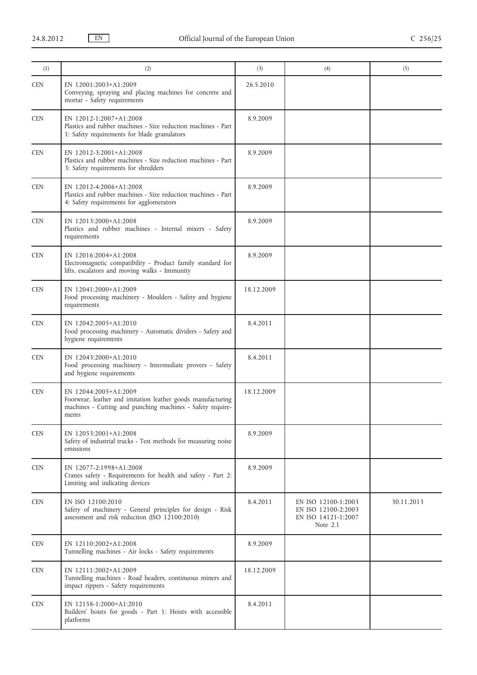| (1)        | (2)                                                                                                                                                         | (3)        | (4)                                                                           | (5)        |
|------------|-------------------------------------------------------------------------------------------------------------------------------------------------------------|------------|-------------------------------------------------------------------------------|------------|
| <b>CEN</b> | EN 12001:2003+A1:2009<br>Conveying, spraying and placing machines for concrete and<br>mortar - Safety requirements                                          | 26.5.2010  |                                                                               |            |
| <b>CEN</b> | EN 12012-1:2007+A1:2008<br>Plastics and rubber machines - Size reduction machines - Part<br>1: Safety requirements for blade granulators                    | 8.9.2009   |                                                                               |            |
| <b>CEN</b> | EN 12012-3:2001+A1:2008<br>Plastics and rubber machines - Size reduction machines - Part<br>3: Safety requirements for shredders                            | 8.9.2009   |                                                                               |            |
| <b>CEN</b> | EN 12012-4:2006+A1:2008<br>Plastics and rubber machines - Size reduction machines - Part<br>4: Safety requirements for agglomerators                        | 8.9.2009   |                                                                               |            |
| <b>CEN</b> | EN 12013:2000+A1:2008<br>Plastics and rubber machines - Internal mixers - Safety<br>requirements                                                            | 8.9.2009   |                                                                               |            |
| <b>CEN</b> | EN 12016:2004+A1:2008<br>Electromagnetic compatibility - Product family standard for<br>lifts, escalators and moving walks - Immunity                       | 8.9.2009   |                                                                               |            |
| <b>CEN</b> | EN 12041:2000+A1:2009<br>Food processing machinery - Moulders - Safety and hygiene<br>requirements                                                          | 18.12.2009 |                                                                               |            |
| <b>CEN</b> | EN 12042:2005+A1:2010<br>Food processing machinery - Automatic dividers - Safety and<br>hygiene requirements                                                | 8.4.2011   |                                                                               |            |
| <b>CEN</b> | EN 12043:2000+A1:2010<br>Food processing machinery - Intermediate provers - Safety<br>and hygiene requirements                                              | 8.4.2011   |                                                                               |            |
| <b>CEN</b> | EN 12044:2005+A1:2009<br>Footwear, leather and imitation leather goods manufacturing<br>machines - Cutting and punching machines - Safety require-<br>ments | 18.12.2009 |                                                                               |            |
| <b>CEN</b> | EN 12053:2001+A1:2008<br>Safety of industrial trucks - Test methods for measuring noise<br>emissions                                                        | 8.9.2009   |                                                                               |            |
| <b>CEN</b> | EN 12077-2:1998+A1:2008<br>Cranes safety - Requirements for health and safety - Part 2:<br>Limiting and indicating devices                                  | 8.9.2009   |                                                                               |            |
| <b>CEN</b> | EN ISO 12100:2010<br>Safety of machinery - General principles for design - Risk<br>assessment and risk reduction (ISO 12100:2010)                           | 8.4.2011   | EN ISO 12100-1:2003<br>EN ISO 12100-2:2003<br>EN ISO 14121-1:2007<br>Note 2.1 | 30.11.2013 |
| <b>CEN</b> | EN 12110:2002+A1:2008<br>Tunnelling machines - Air locks - Safety requirements                                                                              | 8.9.2009   |                                                                               |            |
| <b>CEN</b> | EN 12111:2002+A1:2009<br>Tunnelling machines - Road headers, continuous miners and<br>impact rippers - Safety requirements                                  | 18.12.2009 |                                                                               |            |
| <b>CEN</b> | EN 12158-1:2000+A1:2010<br>Builders' hoists for goods - Part 1: Hoists with accessible<br>platforms                                                         | 8.4.2011   |                                                                               |            |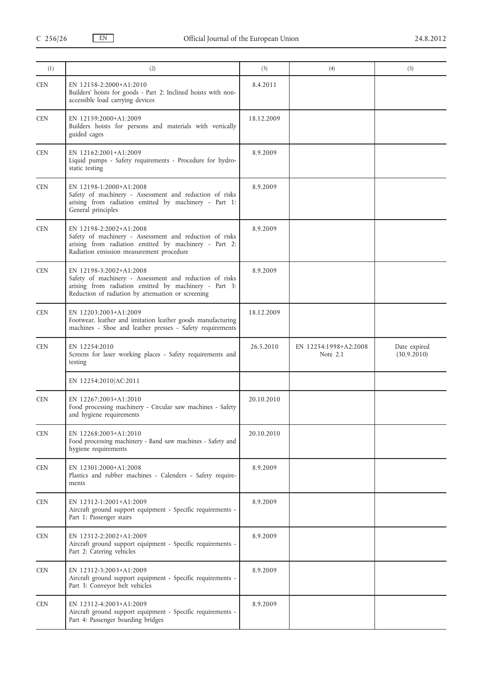| (1)        | (2)                                                                                                                                                                                               | (3)        | (4)                                 | (5)                         |
|------------|---------------------------------------------------------------------------------------------------------------------------------------------------------------------------------------------------|------------|-------------------------------------|-----------------------------|
| <b>CEN</b> | EN 12158-2:2000+A1:2010<br>Builders' hoists for goods - Part 2: Inclined hoists with non-<br>accessible load carrying devices                                                                     | 8.4.2011   |                                     |                             |
| <b>CEN</b> | EN 12159:2000+A1:2009<br>Builders hoists for persons and materials with vertically<br>guided cages                                                                                                | 18.12.2009 |                                     |                             |
| <b>CEN</b> | EN 12162:2001+A1:2009<br>Liquid pumps - Safety requirements - Procedure for hydro-<br>static testing                                                                                              | 8.9.2009   |                                     |                             |
| <b>CEN</b> | EN 12198-1:2000+A1:2008<br>Safety of machinery - Assessment and reduction of risks<br>arising from radiation emitted by machinery - Part 1:<br>General principles                                 | 8.9.2009   |                                     |                             |
| <b>CEN</b> | EN 12198-2:2002+A1:2008<br>Safety of machinery - Assessment and reduction of risks<br>arising from radiation emitted by machinery - Part 2:<br>Radiation emission measurement procedure           | 8.9.2009   |                                     |                             |
| <b>CEN</b> | EN 12198-3:2002+A1:2008<br>Safety of machinery - Assessment and reduction of risks<br>arising from radiation emitted by machinery - Part 3:<br>Reduction of radiation by attenuation or screening | 8.9.2009   |                                     |                             |
| <b>CEN</b> | EN 12203:2003+A1:2009<br>Footwear, leather and imitation leather goods manufacturing<br>machines - Shoe and leather presses - Safety requirements                                                 | 18.12.2009 |                                     |                             |
| <b>CEN</b> | EN 12254:2010<br>Screens for laser working places - Safety requirements and<br>testing                                                                                                            | 26.5.2010  | EN 12254:1998+A2:2008<br>Note $2.1$ | Date expired<br>(30.9.2010) |
|            | EN 12254:2010/AC:2011                                                                                                                                                                             |            |                                     |                             |
| <b>CEN</b> | EN 12267:2003+A1:2010<br>Food processing machinery - Circular saw machines - Safety<br>and hygiene requirements                                                                                   | 20.10.2010 |                                     |                             |
| <b>CEN</b> | EN 12268:2003+A1:2010<br>Food processing machinery - Band saw machines - Safety and<br>hygiene requirements                                                                                       | 20.10.2010 |                                     |                             |
| <b>CEN</b> | EN 12301:2000+A1:2008<br>Plastics and rubber machines - Calenders - Safety require-<br>ments                                                                                                      | 8.9.2009   |                                     |                             |
| <b>CEN</b> | EN 12312-1:2001+A1:2009<br>Aircraft ground support equipment - Specific requirements -<br>Part 1: Passenger stairs                                                                                | 8.9.2009   |                                     |                             |
| <b>CEN</b> | EN 12312-2:2002+A1:2009<br>Aircraft ground support equipment - Specific requirements -<br>Part 2: Catering vehicles                                                                               | 8.9.2009   |                                     |                             |
| <b>CEN</b> | EN 12312-3:2003+A1:2009<br>Aircraft ground support equipment - Specific requirements -<br>Part 3: Conveyor belt vehicles                                                                          | 8.9.2009   |                                     |                             |
| <b>CEN</b> | EN 12312-4:2003+A1:2009<br>Aircraft ground support equipment - Specific requirements -<br>Part 4: Passenger boarding bridges                                                                      | 8.9.2009   |                                     |                             |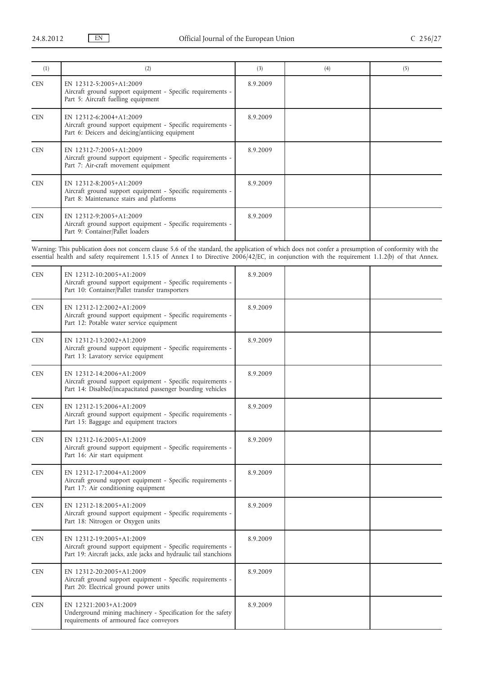| (1)        | (2)                                                                                                                                       | (3)      | (4) | (5) |
|------------|-------------------------------------------------------------------------------------------------------------------------------------------|----------|-----|-----|
| <b>CEN</b> | EN 12312-5:2005+A1:2009<br>Aircraft ground support equipment - Specific requirements -<br>Part 5: Aircraft fuelling equipment             | 8.9.2009 |     |     |
| <b>CEN</b> | EN 12312-6:2004+A1:2009<br>Aircraft ground support equipment - Specific requirements -<br>Part 6: Deicers and deicing/antiicing equipment | 8.9.2009 |     |     |
| <b>CEN</b> | EN 12312-7:2005+A1:2009<br>Aircraft ground support equipment - Specific requirements -<br>Part 7: Air-craft movement equipment            | 8.9.2009 |     |     |
| <b>CEN</b> | EN 12312-8:2005+A1:2009<br>Aircraft ground support equipment - Specific requirements -<br>Part 8: Maintenance stairs and platforms        | 8.9.2009 |     |     |
| <b>CEN</b> | EN 12312-9:2005+A1:2009<br>Aircraft ground support equipment - Specific requirements -<br>Part 9: Container/Pallet loaders                | 8.9.2009 |     |     |

Warning: This publication does not concern clause 5.6 of the standard, the application of which does not confer a presumption of conformity with the essential health and safety requirement 1.5.15 of Annex I to Directive 2006/42/EC, in conjunction with the requirement 1.1.2(b) of that Annex.

| <b>CEN</b> | EN 12312-10:2005+A1:2009<br>Aircraft ground support equipment - Specific requirements -<br>Part 10: Container/Pallet transfer transporters                   | 8.9.2009 |  |
|------------|--------------------------------------------------------------------------------------------------------------------------------------------------------------|----------|--|
| <b>CEN</b> | EN 12312-12:2002+A1:2009<br>Aircraft ground support equipment - Specific requirements -<br>Part 12: Potable water service equipment                          | 8.9.2009 |  |
| <b>CEN</b> | EN 12312-13:2002+A1:2009<br>Aircraft ground support equipment - Specific requirements -<br>Part 13: Lavatory service equipment                               | 8.9.2009 |  |
| <b>CEN</b> | EN 12312-14:2006+A1:2009<br>Aircraft ground support equipment - Specific requirements -<br>Part 14: Disabled/incapacitated passenger boarding vehicles       | 8.9.2009 |  |
| <b>CEN</b> | EN 12312-15:2006+A1:2009<br>Aircraft ground support equipment - Specific requirements -<br>Part 15: Baggage and equipment tractors                           | 8.9.2009 |  |
| <b>CEN</b> | EN 12312-16:2005+A1:2009<br>Aircraft ground support equipment - Specific requirements -<br>Part 16: Air start equipment                                      | 8.9.2009 |  |
| <b>CEN</b> | EN 12312-17:2004+A1:2009<br>Aircraft ground support equipment - Specific requirements -<br>Part 17: Air conditioning equipment                               | 8.9.2009 |  |
| <b>CEN</b> | EN 12312-18:2005+A1:2009<br>Aircraft ground support equipment - Specific requirements -<br>Part 18: Nitrogen or Oxygen units                                 | 8.9.2009 |  |
| <b>CEN</b> | EN 12312-19:2005+A1:2009<br>Aircraft ground support equipment - Specific requirements -<br>Part 19: Aircraft jacks, axle jacks and hydraulic tail stanchions | 8.9.2009 |  |
| <b>CEN</b> | EN 12312-20:2005+A1:2009<br>Aircraft ground support equipment - Specific requirements -<br>Part 20: Electrical ground power units                            | 8.9.2009 |  |
| CEN        | EN 12321:2003+A1:2009<br>Underground mining machinery - Specification for the safety<br>requirements of armoured face conveyors                              | 8.9.2009 |  |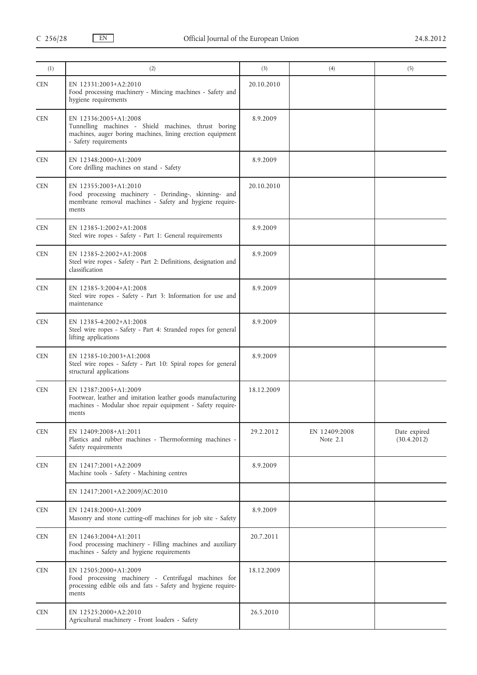| (1)        | (2)                                                                                                                                                                  | (3)        | (4)                       | (5)                         |
|------------|----------------------------------------------------------------------------------------------------------------------------------------------------------------------|------------|---------------------------|-----------------------------|
| <b>CEN</b> | EN 12331:2003+A2:2010<br>Food processing machinery - Mincing machines - Safety and<br>hygiene requirements                                                           | 20.10.2010 |                           |                             |
| <b>CEN</b> | EN 12336:2005+A1:2008<br>Tunnelling machines - Shield machines, thrust boring<br>machines, auger boring machines, lining erection equipment<br>- Safety requirements | 8.9.2009   |                           |                             |
| <b>CEN</b> | EN 12348:2000+A1:2009<br>Core drilling machines on stand - Safety                                                                                                    | 8.9.2009   |                           |                             |
| <b>CEN</b> | EN 12355:2003+A1:2010<br>Food processing machinery - Derinding-, skinning- and<br>membrane removal machines - Safety and hygiene require-<br>ments                   | 20.10.2010 |                           |                             |
| <b>CEN</b> | EN 12385-1:2002+A1:2008<br>Steel wire ropes - Safety - Part 1: General requirements                                                                                  | 8.9.2009   |                           |                             |
| <b>CEN</b> | EN 12385-2:2002+A1:2008<br>Steel wire ropes - Safety - Part 2: Definitions, designation and<br>classification                                                        | 8.9.2009   |                           |                             |
| <b>CEN</b> | EN 12385-3:2004+A1:2008<br>Steel wire ropes - Safety - Part 3: Information for use and<br>maintenance                                                                | 8.9.2009   |                           |                             |
| <b>CEN</b> | EN 12385-4:2002+A1:2008<br>Steel wire ropes - Safety - Part 4: Stranded ropes for general<br>lifting applications                                                    | 8.9.2009   |                           |                             |
| <b>CEN</b> | EN 12385-10:2003+A1:2008<br>Steel wire ropes - Safety - Part 10: Spiral ropes for general<br>structural applications                                                 | 8.9.2009   |                           |                             |
| <b>CEN</b> | EN 12387:2005+A1:2009<br>Footwear, leather and imitation leather goods manufacturing<br>machines - Modular shoe repair equipment - Safety require-<br>ments          | 18.12.2009 |                           |                             |
| <b>CEN</b> | EN 12409:2008+A1:2011<br>Plastics and rubber machines - Thermoforming machines -<br>Safety requirements                                                              | 29.2.2012  | EN 12409:2008<br>Note 2.1 | Date expired<br>(30.4.2012) |
| <b>CEN</b> | EN 12417:2001+A2:2009<br>Machine tools - Safety - Machining centres                                                                                                  | 8.9.2009   |                           |                             |
|            | EN 12417:2001+A2:2009/AC:2010                                                                                                                                        |            |                           |                             |
| <b>CEN</b> | EN 12418:2000+A1:2009<br>Masonry and stone cutting-off machines for job site - Safety                                                                                | 8.9.2009   |                           |                             |
| <b>CEN</b> | EN 12463:2004+A1:2011<br>Food processing machinery - Filling machines and auxiliary<br>machines - Safety and hygiene requirements                                    | 20.7.2011  |                           |                             |
| <b>CEN</b> | EN 12505:2000+A1:2009<br>Food processing machinery - Centrifugal machines for<br>processing edible oils and fats - Safety and hygiene require-<br>ments              | 18.12.2009 |                           |                             |
| <b>CEN</b> | EN 12525:2000+A2:2010<br>Agricultural machinery - Front loaders - Safety                                                                                             | 26.5.2010  |                           |                             |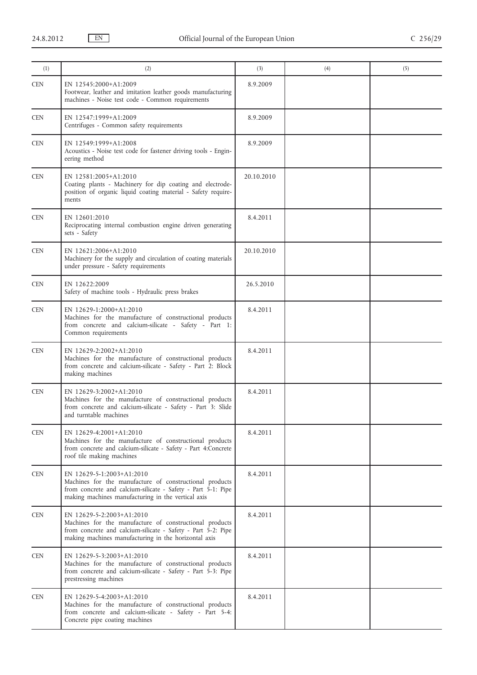| (1)        | (2)                                                                                                                                                                                                          | (3)        | (4) | (5) |
|------------|--------------------------------------------------------------------------------------------------------------------------------------------------------------------------------------------------------------|------------|-----|-----|
| <b>CEN</b> | EN 12545:2000+A1:2009<br>Footwear, leather and imitation leather goods manufacturing<br>machines - Noise test code - Common requirements                                                                     | 8.9.2009   |     |     |
| <b>CEN</b> | EN 12547:1999+A1:2009<br>Centrifuges - Common safety requirements                                                                                                                                            | 8.9.2009   |     |     |
| <b>CEN</b> | EN 12549:1999+A1:2008<br>Acoustics - Noise test code for fastener driving tools - Engin-<br>eering method                                                                                                    | 8.9.2009   |     |     |
| <b>CEN</b> | EN 12581:2005+A1:2010<br>Coating plants - Machinery for dip coating and electrode-<br>position of organic liquid coating material - Safety require-<br>ments                                                 | 20.10.2010 |     |     |
| <b>CEN</b> | EN 12601:2010<br>Reciprocating internal combustion engine driven generating<br>sets - Safety                                                                                                                 | 8.4.2011   |     |     |
| <b>CEN</b> | EN 12621:2006+A1:2010<br>Machinery for the supply and circulation of coating materials<br>under pressure - Safety requirements                                                                               | 20.10.2010 |     |     |
| <b>CEN</b> | EN 12622:2009<br>Safety of machine tools - Hydraulic press brakes                                                                                                                                            | 26.5.2010  |     |     |
| <b>CEN</b> | EN 12629-1:2000+A1:2010<br>Machines for the manufacture of constructional products<br>from concrete and calcium-silicate - Safety - Part 1:<br>Common requirements                                           | 8.4.2011   |     |     |
| <b>CEN</b> | EN 12629-2:2002+A1:2010<br>Machines for the manufacture of constructional products<br>from concrete and calcium-silicate - Safety - Part 2: Block<br>making machines                                         | 8.4.2011   |     |     |
| <b>CEN</b> | EN 12629-3:2002+A1:2010<br>Machines for the manufacture of constructional products<br>from concrete and calcium-silicate - Safety - Part 3: Slide<br>and turntable machines                                  | 8.4.2011   |     |     |
| <b>CEN</b> | EN 12629-4:2001+A1:2010<br>Machines for the manufacture of constructional products<br>from concrete and calcium-silicate - Safety - Part 4:Concrete<br>roof tile making machines                             | 8.4.2011   |     |     |
| <b>CEN</b> | EN 12629-5-1:2003+A1:2010<br>Machines for the manufacture of constructional products<br>from concrete and calcium-silicate - Safety - Part 5-1: Pipe<br>making machines manufacturing in the vertical axis   | 8.4.2011   |     |     |
| <b>CEN</b> | EN 12629-5-2:2003+A1:2010<br>Machines for the manufacture of constructional products<br>from concrete and calcium-silicate - Safety - Part 5-2: Pipe<br>making machines manufacturing in the horizontal axis | 8.4.2011   |     |     |
| <b>CEN</b> | EN 12629-5-3:2003+A1:2010<br>Machines for the manufacture of constructional products<br>from concrete and calcium-silicate - Safety - Part 5-3: Pipe<br>prestressing machines                                | 8.4.2011   |     |     |
| <b>CEN</b> | EN 12629-5-4:2003+A1:2010<br>Machines for the manufacture of constructional products<br>from concrete and calcium-silicate - Safety - Part 5-4:<br>Concrete pipe coating machines                            | 8.4.2011   |     |     |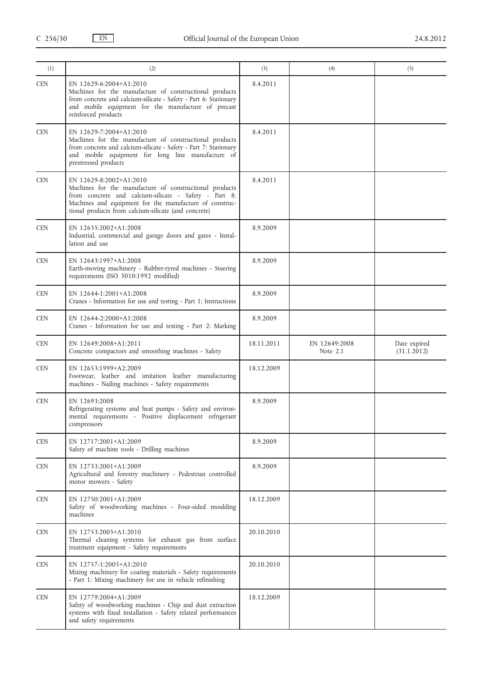| (1)        | (2)                                                                                                                                                                                                                                                            | (3)        | (4)                         | (5)                         |
|------------|----------------------------------------------------------------------------------------------------------------------------------------------------------------------------------------------------------------------------------------------------------------|------------|-----------------------------|-----------------------------|
| <b>CEN</b> | EN 12629-6:2004+A1:2010<br>Machines for the manufacture of constructional products<br>from concrete and calcium-silicate - Safety - Part 6: Stationary<br>and mobile equipment for the manufacture of precast<br>reinforced products                           | 8.4.2011   |                             |                             |
| <b>CEN</b> | EN 12629-7:2004+A1:2010<br>Machines for the manufacture of constructional products<br>from concrete and calcium-silicate - Safety - Part 7: Stationary<br>and mobile equipment for long line manufacture of<br>prestressed products                            | 8.4.2011   |                             |                             |
| <b>CEN</b> | EN 12629-8:2002+A1:2010<br>Machines for the manufacture of constructional products<br>from concrete and calcium-silicate - Safety - Part 8:<br>Machines and equipment for the manufacture of construc-<br>tional products from calcium-silicate (and concrete) | 8.4.2011   |                             |                             |
| <b>CEN</b> | EN 12635:2002+A1:2008<br>Industrial, commercial and garage doors and gates - Instal-<br>lation and use                                                                                                                                                         | 8.9.2009   |                             |                             |
| <b>CEN</b> | EN 12643:1997+A1:2008<br>Earth-moving machinery - Rubber-tyred machines - Steering<br>requirements (ISO 5010:1992 modified)                                                                                                                                    | 8.9.2009   |                             |                             |
| <b>CEN</b> | EN 12644-1:2001+A1:2008<br>Cranes - Information for use and testing - Part 1: Instructions                                                                                                                                                                     | 8.9.2009   |                             |                             |
| <b>CEN</b> | EN 12644-2:2000+A1:2008<br>Cranes - Information for use and testing - Part 2: Marking                                                                                                                                                                          | 8.9.2009   |                             |                             |
| <b>CEN</b> | EN 12649:2008+A1:2011<br>Concrete compactors and smoothing machines - Safety                                                                                                                                                                                   | 18.11.2011 | EN 12649:2008<br>Note $2.1$ | Date expired<br>(31.1.2012) |
| <b>CEN</b> | EN 12653:1999+A2:2009<br>Footwear, leather and imitation leather manufacturing<br>machines - Nailing machines - Safety requirements                                                                                                                            | 18.12.2009 |                             |                             |
| <b>CEN</b> | EN 12693:2008<br>Refrigerating systems and heat pumps - Safety and environ-<br>mental requirements - Positive displacement refrigerant<br>compressors                                                                                                          | 8.9.2009   |                             |                             |
| <b>CEN</b> | EN 12717:2001+A1:2009<br>Safety of machine tools - Drilling machines                                                                                                                                                                                           | 8.9.2009   |                             |                             |
| <b>CEN</b> | EN 12733:2001+A1:2009<br>Agricultural and forestry machinery - Pedestrian controlled<br>motor mowers - Safety                                                                                                                                                  | 8.9.2009   |                             |                             |
| <b>CEN</b> | EN 12750:2001+A1:2009<br>Safety of woodworking machines - Four-sided moulding<br>machines                                                                                                                                                                      | 18.12.2009 |                             |                             |
| <b>CEN</b> | EN 12753:2005+A1:2010<br>Thermal cleaning systems for exhaust gas from surface<br>treatment equipment - Safety requirements                                                                                                                                    | 20.10.2010 |                             |                             |
| <b>CEN</b> | EN 12757-1:2005+A1:2010<br>Mixing machinery for coating materials - Safety requirements<br>- Part 1: Mixing machinery for use in vehicle refinishing                                                                                                           | 20.10.2010 |                             |                             |
| <b>CEN</b> | EN 12779:2004+A1:2009<br>Safety of woodworking machines - Chip and dust extraction<br>systems with fixed installation - Safety related performances<br>and safety requirements                                                                                 | 18.12.2009 |                             |                             |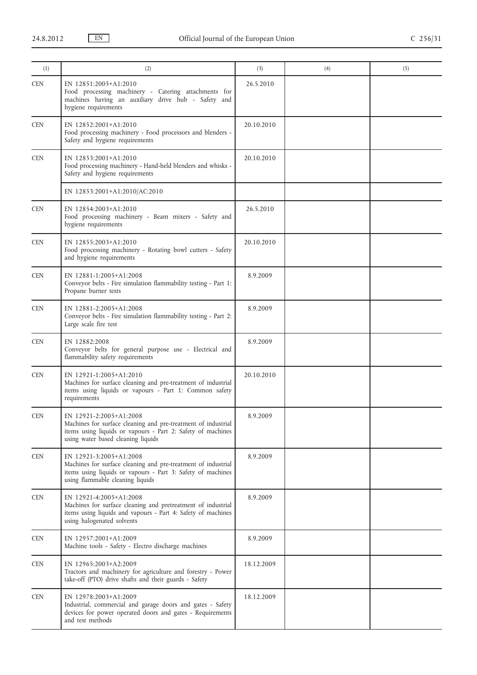| (1)        | (2)                                                                                                                                                                                           | (3)        | (4) | (5) |
|------------|-----------------------------------------------------------------------------------------------------------------------------------------------------------------------------------------------|------------|-----|-----|
| <b>CEN</b> | EN 12851:2005+A1:2010<br>Food processing machinery - Catering attachments for<br>machines having an auxiliary drive hub - Safety and<br>hygiene requirements                                  | 26.5.2010  |     |     |
| <b>CEN</b> | EN 12852:2001+A1:2010<br>Food processing machinery - Food processors and blenders -<br>Safety and hygiene requirements                                                                        | 20.10.2010 |     |     |
| <b>CEN</b> | EN 12853:2001+A1:2010<br>Food processing machinery - Hand-held blenders and whisks -<br>Safety and hygiene requirements                                                                       | 20.10.2010 |     |     |
|            | EN 12853:2001+A1:2010/AC:2010                                                                                                                                                                 |            |     |     |
| <b>CEN</b> | EN 12854:2003+A1:2010<br>Food processing machinery - Beam mixers - Safety and<br>hygiene requirements                                                                                         | 26.5.2010  |     |     |
| <b>CEN</b> | EN 12855:2003+A1:2010<br>Food processing machinery - Rotating bowl cutters - Safety<br>and hygiene requirements                                                                               | 20.10.2010 |     |     |
| <b>CEN</b> | EN 12881-1:2005+A1:2008<br>Conveyor belts - Fire simulation flammability testing - Part 1:<br>Propane burner tests                                                                            | 8.9.2009   |     |     |
| <b>CEN</b> | EN 12881-2:2005+A1:2008<br>Conveyor belts - Fire simulation flammability testing - Part 2:<br>Large scale fire test                                                                           | 8.9.2009   |     |     |
| <b>CEN</b> | EN 12882:2008<br>Conveyor belts for general purpose use - Electrical and<br>flammability safety requirements                                                                                  | 8.9.2009   |     |     |
| <b>CEN</b> | EN 12921-1:2005+A1:2010<br>Machines for surface cleaning and pre-treatment of industrial<br>items using liquids or vapours - Part 1: Common safety<br>requirements                            | 20.10.2010 |     |     |
| <b>CEN</b> | EN 12921-2:2005+A1:2008<br>Machines for surface cleaning and pre-treatment of industrial<br>items using liquids or vapours - Part 2: Safety of machines<br>using water based cleaning liquids | 8.9.2009   |     |     |
| <b>CEN</b> | EN 12921-3:2005+A1:2008<br>Machines for surface cleaning and pre-treatment of industrial<br>items using liquids or vapours - Part 3: Safety of machines<br>using flammable cleaning liquids   | 8.9.2009   |     |     |
| <b>CEN</b> | EN 12921-4:2005+A1:2008<br>Machines for surface cleaning and pretreatment of industrial<br>items using liquids and vapours - Part 4: Safety of machines<br>using halogenated solvents         | 8.9.2009   |     |     |
| <b>CEN</b> | EN 12957:2001+A1:2009<br>Machine tools - Safety - Electro discharge machines                                                                                                                  | 8.9.2009   |     |     |
| <b>CEN</b> | EN 12965:2003+A2:2009<br>Tractors and machinery for agriculture and forestry - Power<br>take-off (PTO) drive shafts and their guards - Safety                                                 | 18.12.2009 |     |     |
| <b>CEN</b> | EN 12978:2003+A1:2009<br>Industrial, commercial and garage doors and gates - Safety<br>devices for power operated doors and gates - Requirements<br>and test methods                          | 18.12.2009 |     |     |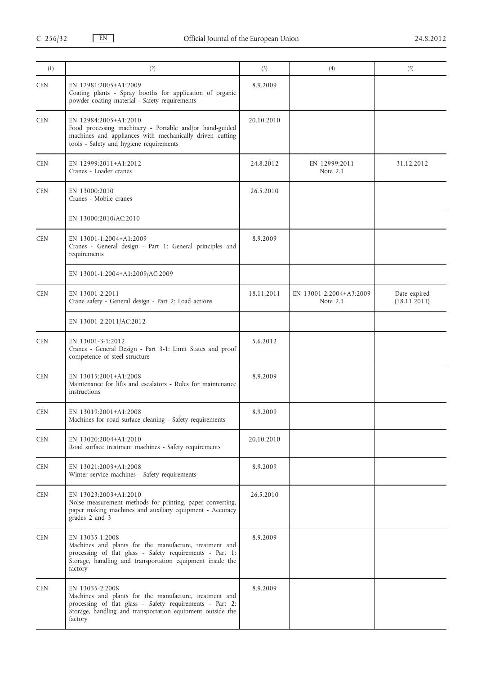| (1)        | (2)                                                                                                                                                                                                            | (3)        | (4)                                 | (5)                          |
|------------|----------------------------------------------------------------------------------------------------------------------------------------------------------------------------------------------------------------|------------|-------------------------------------|------------------------------|
| <b>CEN</b> | EN 12981:2005+A1:2009<br>Coating plants - Spray booths for application of organic<br>powder coating material - Safety requirements                                                                             | 8.9.2009   |                                     |                              |
| <b>CEN</b> | EN 12984:2005+A1:2010<br>Food processing machinery - Portable and/or hand-guided<br>machines and appliances with mechanically driven cutting<br>tools - Safety and hygiene requirements                        | 20.10.2010 |                                     |                              |
| <b>CEN</b> | EN 12999:2011+A1:2012<br>Cranes - Loader cranes                                                                                                                                                                | 24.8.2012  | EN 12999:2011<br>Note 2.1           | 31.12.2012                   |
| <b>CEN</b> | EN 13000:2010<br>Cranes - Mobile cranes                                                                                                                                                                        | 26.5.2010  |                                     |                              |
|            | EN 13000:2010/AC:2010                                                                                                                                                                                          |            |                                     |                              |
| <b>CEN</b> | EN 13001-1:2004+A1:2009<br>Cranes - General design - Part 1: General principles and<br>requirements                                                                                                            | 8.9.2009   |                                     |                              |
|            | EN 13001-1:2004+A1:2009/AC:2009                                                                                                                                                                                |            |                                     |                              |
| <b>CEN</b> | EN 13001-2:2011<br>Crane safety - General design - Part 2: Load actions                                                                                                                                        | 18.11.2011 | EN 13001-2:2004+A3:2009<br>Note 2.1 | Date expired<br>(18.11.2011) |
|            | EN 13001-2:2011/AC:2012                                                                                                                                                                                        |            |                                     |                              |
| <b>CEN</b> | EN 13001-3-1:2012<br>Cranes - General Design - Part 3-1: Limit States and proof<br>competence of steel structure                                                                                               | 5.6.2012   |                                     |                              |
| <b>CEN</b> | EN 13015:2001+A1:2008<br>Maintenance for lifts and escalators - Rules for maintenance<br>instructions                                                                                                          | 8.9.2009   |                                     |                              |
| <b>CEN</b> | EN 13019:2001+A1:2008<br>Machines for road surface cleaning - Safety requirements                                                                                                                              | 8.9.2009   |                                     |                              |
| <b>CEN</b> | EN 13020:2004+A1:2010<br>Road surface treatment machines - Safety requirements                                                                                                                                 | 20.10.2010 |                                     |                              |
| <b>CEN</b> | EN 13021:2003+A1:2008<br>Winter service machines - Safety requirements                                                                                                                                         | 8.9.2009   |                                     |                              |
| <b>CEN</b> | EN 13023:2003+A1:2010<br>Noise measurement methods for printing, paper converting,<br>paper making machines and auxiliary equipment - Accuracy<br>grades 2 and 3                                               | 26.5.2010  |                                     |                              |
| <b>CEN</b> | EN 13035-1:2008<br>Machines and plants for the manufacture, treatment and<br>processing of flat glass - Safety requirements - Part 1:<br>Storage, handling and transportation equipment inside the<br>factory  | 8.9.2009   |                                     |                              |
| <b>CEN</b> | EN 13035-2:2008<br>Machines and plants for the manufacture, treatment and<br>processing of flat glass - Safety requirements - Part 2:<br>Storage, handling and transportation equipment outside the<br>factory | 8.9.2009   |                                     |                              |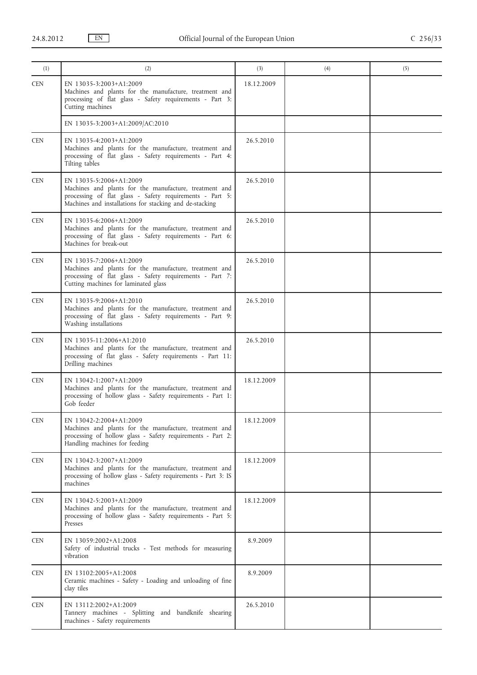| (1)        | (2)                                                                                                                                                                                                      | (3)        | (4) | (5) |
|------------|----------------------------------------------------------------------------------------------------------------------------------------------------------------------------------------------------------|------------|-----|-----|
| <b>CEN</b> | EN 13035-3:2003+A1:2009<br>Machines and plants for the manufacture, treatment and<br>processing of flat glass - Safety requirements - Part 3:<br>Cutting machines                                        | 18.12.2009 |     |     |
|            | EN 13035-3:2003+A1:2009/AC:2010                                                                                                                                                                          |            |     |     |
| <b>CEN</b> | EN 13035-4:2003+A1:2009<br>Machines and plants for the manufacture, treatment and<br>processing of flat glass - Safety requirements - Part 4:<br>Tilting tables                                          | 26.5.2010  |     |     |
| <b>CEN</b> | EN 13035-5:2006+A1:2009<br>Machines and plants for the manufacture, treatment and<br>processing of flat glass - Safety requirements - Part 5:<br>Machines and installations for stacking and de-stacking | 26.5.2010  |     |     |
| <b>CEN</b> | EN 13035-6:2006+A1:2009<br>Machines and plants for the manufacture, treatment and<br>processing of flat glass - Safety requirements - Part 6:<br>Machines for break-out                                  | 26.5.2010  |     |     |
| <b>CEN</b> | EN 13035-7:2006+A1:2009<br>Machines and plants for the manufacture, treatment and<br>processing of flat glass - Safety requirements - Part 7:<br>Cutting machines for laminated glass                    | 26.5.2010  |     |     |
| <b>CEN</b> | EN 13035-9:2006+A1:2010<br>Machines and plants for the manufacture, treatment and<br>processing of flat glass - Safety requirements - Part 9:<br>Washing installations                                   | 26.5.2010  |     |     |
| <b>CEN</b> | EN 13035-11:2006+A1:2010<br>Machines and plants for the manufacture, treatment and<br>processing of flat glass - Safety requirements - Part 11:<br>Drilling machines                                     | 26.5.2010  |     |     |
| <b>CEN</b> | EN 13042-1:2007+A1:2009<br>Machines and plants for the manufacture, treatment and<br>processing of hollow glass - Safety requirements - Part 1:<br>Gob feeder                                            | 18.12.2009 |     |     |
| <b>CEN</b> | EN 13042-2:2004+A1:2009<br>Machines and plants for the manufacture, treatment and<br>processing of hollow glass - Safety requirements - Part 2:<br>Handling machines for feeding                         | 18.12.2009 |     |     |
| <b>CEN</b> | EN 13042-3:2007+A1:2009<br>Machines and plants for the manufacture, treatment and<br>processing of hollow glass - Safety requirements - Part 3: IS<br>machines                                           | 18.12.2009 |     |     |
| <b>CEN</b> | EN 13042-5:2003+A1:2009<br>Machines and plants for the manufacture, treatment and<br>processing of hollow glass - Safety requirements - Part 5:<br>Presses                                               | 18.12.2009 |     |     |
| <b>CEN</b> | EN 13059:2002+A1:2008<br>Safety of industrial trucks - Test methods for measuring<br>vibration                                                                                                           | 8.9.2009   |     |     |
| <b>CEN</b> | EN 13102:2005+A1:2008<br>Ceramic machines - Safety - Loading and unloading of fine<br>clay tiles                                                                                                         | 8.9.2009   |     |     |
| <b>CEN</b> | EN 13112:2002+A1:2009<br>Tannery machines - Splitting and bandknife shearing<br>machines - Safety requirements                                                                                           | 26.5.2010  |     |     |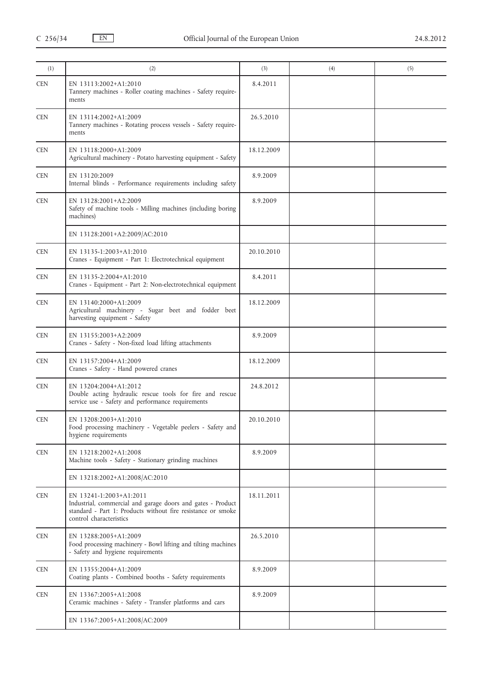| (1)        | (2)                                                                                                                                                                               | (3)        | (4) | (5) |
|------------|-----------------------------------------------------------------------------------------------------------------------------------------------------------------------------------|------------|-----|-----|
| <b>CEN</b> | EN 13113:2002+A1:2010<br>Tannery machines - Roller coating machines - Safety require-<br>ments                                                                                    | 8.4.2011   |     |     |
| <b>CEN</b> | EN 13114:2002+A1:2009<br>Tannery machines - Rotating process vessels - Safety require-<br>ments                                                                                   | 26.5.2010  |     |     |
| <b>CEN</b> | EN 13118:2000+A1:2009<br>Agricultural machinery - Potato harvesting equipment - Safety                                                                                            | 18.12.2009 |     |     |
| <b>CEN</b> | EN 13120:2009<br>Internal blinds - Performance requirements including safety                                                                                                      | 8.9.2009   |     |     |
| <b>CEN</b> | EN 13128:2001+A2:2009<br>Safety of machine tools - Milling machines (including boring<br>machines)                                                                                | 8.9.2009   |     |     |
|            | EN 13128:2001+A2:2009/AC:2010                                                                                                                                                     |            |     |     |
| <b>CEN</b> | EN 13135-1:2003+A1:2010<br>Cranes - Equipment - Part 1: Electrotechnical equipment                                                                                                | 20.10.2010 |     |     |
| <b>CEN</b> | EN 13135-2:2004+A1:2010<br>Cranes - Equipment - Part 2: Non-electrotechnical equipment                                                                                            | 8.4.2011   |     |     |
| <b>CEN</b> | EN 13140:2000+A1:2009<br>Agricultural machinery - Sugar beet and fodder beet<br>harvesting equipment - Safety                                                                     | 18.12.2009 |     |     |
| <b>CEN</b> | EN 13155:2003+A2:2009<br>Cranes - Safety - Non-fixed load lifting attachments                                                                                                     | 8.9.2009   |     |     |
| <b>CEN</b> | EN 13157:2004+A1:2009<br>Cranes - Safety - Hand powered cranes                                                                                                                    | 18.12.2009 |     |     |
| <b>CEN</b> | EN 13204:2004+A1:2012<br>Double acting hydraulic rescue tools for fire and rescue<br>service use - Safety and performance requirements                                            | 24.8.2012  |     |     |
| CEN        | EN 13208:2003+A1:2010<br>Food processing machinery - Vegetable peelers - Safety and<br>hygiene requirements                                                                       | 20.10.2010 |     |     |
| <b>CEN</b> | EN 13218:2002+A1:2008<br>Machine tools - Safety - Stationary grinding machines                                                                                                    | 8.9.2009   |     |     |
|            | EN 13218:2002+A1:2008/AC:2010                                                                                                                                                     |            |     |     |
| <b>CEN</b> | EN 13241-1:2003+A1:2011<br>Industrial, commercial and garage doors and gates - Product<br>standard - Part 1: Products without fire resistance or smoke<br>control characteristics | 18.11.2011 |     |     |
| <b>CEN</b> | EN 13288:2005+A1:2009<br>Food processing machinery - Bowl lifting and tilting machines<br>- Safety and hygiene requirements                                                       | 26.5.2010  |     |     |
| <b>CEN</b> | EN 13355:2004+A1:2009<br>Coating plants - Combined booths - Safety requirements                                                                                                   | 8.9.2009   |     |     |
| <b>CEN</b> | EN 13367:2005+A1:2008<br>Ceramic machines - Safety - Transfer platforms and cars                                                                                                  | 8.9.2009   |     |     |
|            | EN 13367:2005+A1:2008/AC:2009                                                                                                                                                     |            |     |     |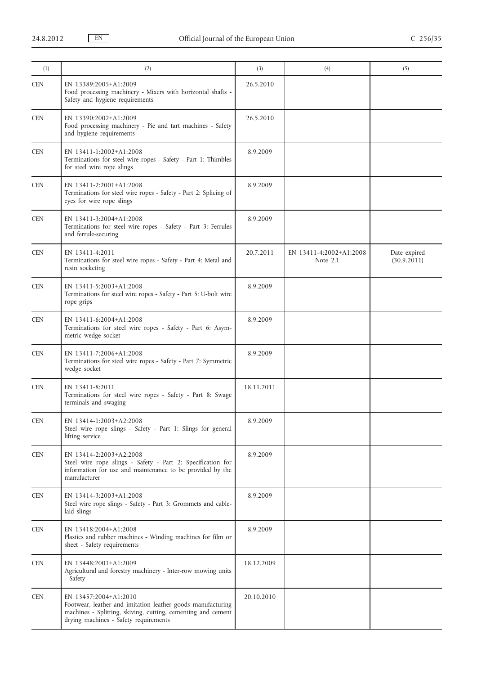| (1)                         | (2)                                                                                                                                                                                           | (3)        | (4)                                   | (5)                         |
|-----------------------------|-----------------------------------------------------------------------------------------------------------------------------------------------------------------------------------------------|------------|---------------------------------------|-----------------------------|
| <b>CEN</b>                  | EN 13389:2005+A1:2009<br>Food processing machinery - Mixers with horizontal shafts -<br>Safety and hygiene requirements                                                                       | 26.5.2010  |                                       |                             |
| <b>CEN</b>                  | EN 13390:2002+A1:2009<br>Food processing machinery - Pie and tart machines - Safety<br>and hygiene requirements                                                                               | 26.5.2010  |                                       |                             |
| <b>CEN</b>                  | EN 13411-1:2002+A1:2008<br>Terminations for steel wire ropes - Safety - Part 1: Thimbles<br>for steel wire rope slings                                                                        | 8.9.2009   |                                       |                             |
| <b>CEN</b>                  | EN 13411-2:2001+A1:2008<br>Terminations for steel wire ropes - Safety - Part 2: Splicing of<br>eyes for wire rope slings                                                                      | 8.9.2009   |                                       |                             |
| <b>CEN</b>                  | EN 13411-3:2004+A1:2008<br>Terminations for steel wire ropes - Safety - Part 3: Ferrules<br>and ferrule-securing                                                                              | 8.9.2009   |                                       |                             |
| <b>CEN</b>                  | EN 13411-4:2011<br>Terminations for steel wire ropes - Safety - Part 4: Metal and<br>resin socketing                                                                                          | 20.7.2011  | EN 13411-4:2002+A1:2008<br>Note $2.1$ | Date expired<br>(30.9.2011) |
| <b>CEN</b>                  | EN 13411-5:2003+A1:2008<br>Terminations for steel wire ropes - Safety - Part 5: U-bolt wire<br>rope grips                                                                                     | 8.9.2009   |                                       |                             |
| <b>CEN</b>                  | EN 13411-6:2004+A1:2008<br>Terminations for steel wire ropes - Safety - Part 6: Asym-<br>metric wedge socket                                                                                  | 8.9.2009   |                                       |                             |
| <b>CEN</b>                  | EN 13411-7:2006+A1:2008<br>Terminations for steel wire ropes - Safety - Part 7: Symmetric<br>wedge socket                                                                                     | 8.9.2009   |                                       |                             |
| <b>CEN</b>                  | EN 13411-8:2011<br>Terminations for steel wire ropes - Safety - Part 8: Swage<br>terminals and swaging                                                                                        | 18.11.2011 |                                       |                             |
| $\ensuremath{\mathsf{CEN}}$ | EN 13414-1:2003+A2:2008<br>Steel wire rope slings - Safety - Part 1: Slings for general<br>lifting service                                                                                    | 8.9.2009   |                                       |                             |
| <b>CEN</b>                  | EN 13414-2:2003+A2:2008<br>Steel wire rope slings - Safety - Part 2: Specification for<br>information for use and maintenance to be provided by the<br>manufacturer                           | 8.9.2009   |                                       |                             |
| <b>CEN</b>                  | EN 13414-3:2003+A1:2008<br>Steel wire rope slings - Safety - Part 3: Grommets and cable-<br>laid slings                                                                                       | 8.9.2009   |                                       |                             |
| <b>CEN</b>                  | EN 13418:2004+A1:2008<br>Plastics and rubber machines - Winding machines for film or<br>sheet - Safety requirements                                                                           | 8.9.2009   |                                       |                             |
| <b>CEN</b>                  | EN 13448:2001+A1:2009<br>Agricultural and forestry machinery - Inter-row mowing units<br>- Safety                                                                                             | 18.12.2009 |                                       |                             |
| <b>CEN</b>                  | EN 13457:2004+A1:2010<br>Footwear, leather and imitation leather goods manufacturing<br>machines - Splitting, skiving, cutting, cementing and cement<br>drying machines - Safety requirements | 20.10.2010 |                                       |                             |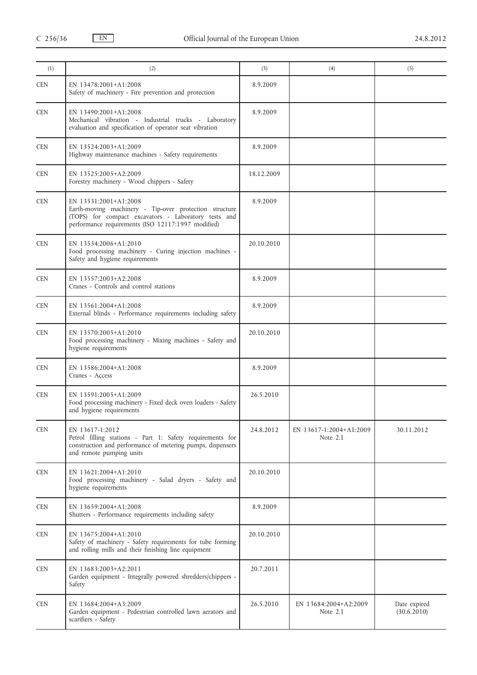| (1)        | (2)                                                                                                                                                                                           | (3)        | (4)                                 | (5)                         |
|------------|-----------------------------------------------------------------------------------------------------------------------------------------------------------------------------------------------|------------|-------------------------------------|-----------------------------|
| <b>CEN</b> | EN 13478:2001+A1:2008<br>Safety of machinery - Fire prevention and protection                                                                                                                 | 8.9.2009   |                                     |                             |
| <b>CEN</b> | EN 13490:2001+A1:2008<br>Mechanical vibration - Industrial trucks - Laboratory<br>evaluation and specification of operator seat vibration                                                     | 8.9.2009   |                                     |                             |
| <b>CEN</b> | EN 13524:2003+A1:2009<br>Highway maintenance machines - Safety requirements                                                                                                                   | 8.9.2009   |                                     |                             |
| <b>CEN</b> | EN 13525:2005+A2:2009<br>Forestry machinery - Wood chippers - Safety                                                                                                                          | 18.12.2009 |                                     |                             |
| <b>CEN</b> | EN 13531:2001+A1:2008<br>Earth-moving machinery - Tip-over protection structure<br>(TOPS) for compact excavators - Laboratory tests and<br>performance requirements (ISO 12117:1997 modified) | 8.9.2009   |                                     |                             |
| <b>CEN</b> | EN 13534:2006+A1:2010<br>Food processing machinery - Curing injection machines -<br>Safety and hygiene requirements                                                                           | 20.10.2010 |                                     |                             |
| <b>CEN</b> | EN 13557:2003+A2:2008<br>Cranes - Controls and control stations                                                                                                                               | 8.9.2009   |                                     |                             |
| <b>CEN</b> | EN 13561:2004+A1:2008<br>External blinds - Performance requirements including safety                                                                                                          | 8.9.2009   |                                     |                             |
| <b>CEN</b> | EN 13570:2005+A1:2010<br>Food processing machinery - Mixing machines - Safety and<br>hygiene requirements                                                                                     | 20.10.2010 |                                     |                             |
| <b>CEN</b> | EN 13586:2004+A1:2008<br>Cranes - Access                                                                                                                                                      | 8.9.2009   |                                     |                             |
| <b>CEN</b> | EN 13591:2005+A1:2009<br>Food processing machinery - Fixed deck oven loaders - Safety<br>and hygiene requirements                                                                             | 26.5.2010  |                                     |                             |
| <b>CEN</b> | EN 13617-1:2012<br>Petrol filling stations - Part 1: Safety requirements for<br>construction and performance of metering pumps, dispensers<br>and remote pumping units                        | 24.8.2012  | EN 13617-1:2004+A1:2009<br>Note 2.1 | 30.11.2012                  |
| <b>CEN</b> | EN 13621:2004+A1:2010<br>Food processing machinery - Salad dryers - Safety and<br>hygiene requirements                                                                                        | 20.10.2010 |                                     |                             |
| <b>CEN</b> | EN 13659:2004+A1:2008<br>Shutters - Performance requirements including safety                                                                                                                 | 8.9.2009   |                                     |                             |
| <b>CEN</b> | EN 13675:2004+A1:2010<br>Safety of machinery - Safety requirements for tube forming<br>and rolling mills and their finishing line equipment                                                   | 20.10.2010 |                                     |                             |
| <b>CEN</b> | EN 13683:2003+A2:2011<br>Garden equipment - Integrally powered shredders/chippers -<br>Safety                                                                                                 | 20.7.2011  |                                     |                             |
| <b>CEN</b> | EN 13684:2004+A3:2009<br>Garden equipment - Pedestrian controlled lawn aerators and<br>scarifiers - Safety                                                                                    | 26.5.2010  | EN 13684:2004+A2:2009<br>Note $2.1$ | Date expired<br>(30.6.2010) |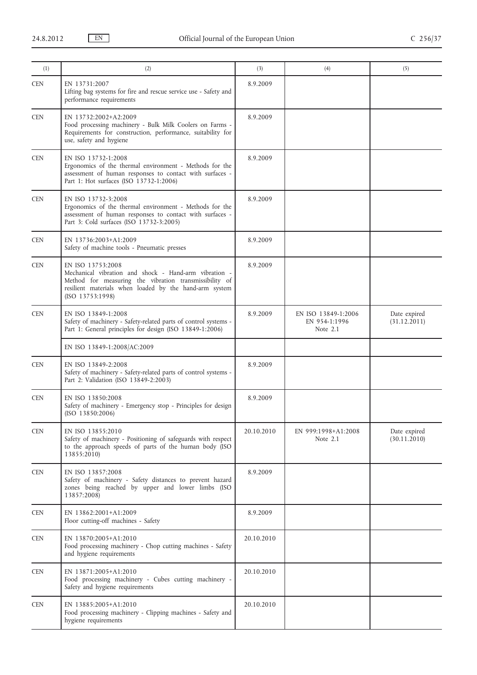| (1)        | (2)                                                                                                                                                                                                                | (3)        | (4)                                                | (5)                          |
|------------|--------------------------------------------------------------------------------------------------------------------------------------------------------------------------------------------------------------------|------------|----------------------------------------------------|------------------------------|
| <b>CEN</b> | EN 13731:2007<br>Lifting bag systems for fire and rescue service use - Safety and<br>performance requirements                                                                                                      | 8.9.2009   |                                                    |                              |
| <b>CEN</b> | EN 13732:2002+A2:2009<br>Food processing machinery - Bulk Milk Coolers on Farms -<br>Requirements for construction, performance, suitability for<br>use, safety and hygiene                                        | 8.9.2009   |                                                    |                              |
| <b>CEN</b> | EN ISO 13732-1:2008<br>Ergonomics of the thermal environment - Methods for the<br>assessment of human responses to contact with surfaces -<br>Part 1: Hot surfaces (ISO 13732-1:2006)                              | 8.9.2009   |                                                    |                              |
| <b>CEN</b> | EN ISO 13732-3:2008<br>Ergonomics of the thermal environment - Methods for the<br>assessment of human responses to contact with surfaces -<br>Part 3: Cold surfaces (ISO 13732-3:2005)                             | 8.9.2009   |                                                    |                              |
| <b>CEN</b> | EN 13736:2003+A1:2009<br>Safety of machine tools - Pneumatic presses                                                                                                                                               | 8.9.2009   |                                                    |                              |
| <b>CEN</b> | EN ISO 13753:2008<br>Mechanical vibration and shock - Hand-arm vibration -<br>Method for measuring the vibration transmissibility of<br>resilient materials when loaded by the hand-arm system<br>(ISO 13753:1998) | 8.9.2009   |                                                    |                              |
| <b>CEN</b> | EN ISO 13849-1:2008<br>Safety of machinery - Safety-related parts of control systems -<br>Part 1: General principles for design (ISO 13849-1:2006)                                                                 | 8.9.2009   | EN ISO 13849-1:2006<br>EN 954-1:1996<br>Note $2.1$ | Date expired<br>(31.12.2011) |
|            | EN ISO 13849-1:2008/AC:2009                                                                                                                                                                                        |            |                                                    |                              |
| <b>CEN</b> | EN ISO 13849-2:2008<br>Safety of machinery - Safety-related parts of control systems -<br>Part 2: Validation (ISO 13849-2:2003)                                                                                    | 8.9.2009   |                                                    |                              |
| <b>CEN</b> | EN ISO 13850:2008<br>Safety of machinery - Emergency stop - Principles for design<br>(ISO 13850:2006)                                                                                                              | 8.9.2009   |                                                    |                              |
| <b>CEN</b> | EN ISO 13855:2010<br>Safety of machinery - Positioning of safeguards with respect<br>to the approach speeds of parts of the human body (ISO<br>13855:2010)                                                         | 20.10.2010 | EN 999:1998+A1:2008<br>Note $2.1$                  | Date expired<br>(30.11.2010) |
| <b>CEN</b> | EN ISO 13857:2008<br>Safety of machinery - Safety distances to prevent hazard<br>zones being reached by upper and lower limbs (ISO<br>13857:2008)                                                                  | 8.9.2009   |                                                    |                              |
| <b>CEN</b> | EN 13862:2001+A1:2009<br>Floor cutting-off machines - Safety                                                                                                                                                       | 8.9.2009   |                                                    |                              |
| <b>CEN</b> | EN 13870:2005+A1:2010<br>Food processing machinery - Chop cutting machines - Safety<br>and hygiene requirements                                                                                                    | 20.10.2010 |                                                    |                              |
| <b>CEN</b> | EN 13871:2005+A1:2010<br>Food processing machinery - Cubes cutting machinery -<br>Safety and hygiene requirements                                                                                                  | 20.10.2010 |                                                    |                              |
| <b>CEN</b> | EN 13885:2005+A1:2010<br>Food processing machinery - Clipping machines - Safety and<br>hygiene requirements                                                                                                        | 20.10.2010 |                                                    |                              |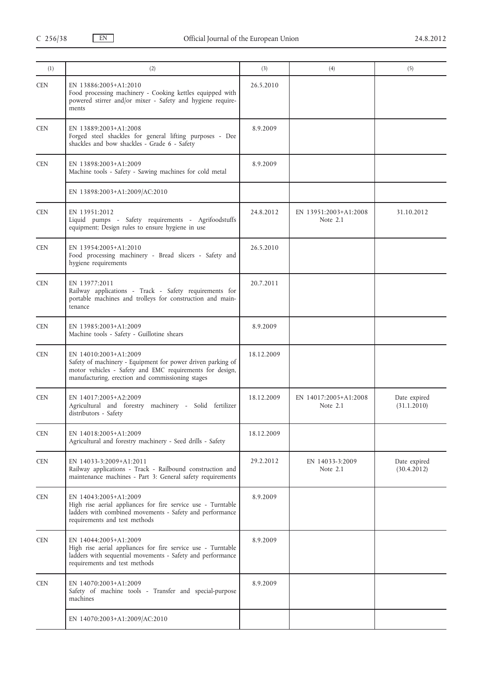| (1)        | (2)                                                                                                                                                                                                  | (3)        | (4)                                 | (5)                         |
|------------|------------------------------------------------------------------------------------------------------------------------------------------------------------------------------------------------------|------------|-------------------------------------|-----------------------------|
| <b>CEN</b> | EN 13886:2005+A1:2010<br>Food processing machinery - Cooking kettles equipped with<br>powered stirrer and/or mixer - Safety and hygiene require-<br>ments                                            | 26.5.2010  |                                     |                             |
| <b>CEN</b> | EN 13889:2003+A1:2008<br>Forged steel shackles for general lifting purposes - Dee<br>shackles and bow shackles - Grade 6 - Safety                                                                    | 8.9.2009   |                                     |                             |
| <b>CEN</b> | EN 13898:2003+A1:2009<br>Machine tools - Safety - Sawing machines for cold metal                                                                                                                     | 8.9.2009   |                                     |                             |
|            | EN 13898:2003+A1:2009/AC:2010                                                                                                                                                                        |            |                                     |                             |
| <b>CEN</b> | EN 13951:2012<br>Liquid pumps - Safety requirements - Agrifoodstuffs<br>equipment; Design rules to ensure hygiene in use                                                                             | 24.8.2012  | EN 13951:2003+A1:2008<br>Note $2.1$ | 31.10.2012                  |
| <b>CEN</b> | EN 13954:2005+A1:2010<br>Food processing machinery - Bread slicers - Safety and<br>hygiene requirements                                                                                              | 26.5.2010  |                                     |                             |
| <b>CEN</b> | EN 13977:2011<br>Railway applications - Track - Safety requirements for<br>portable machines and trolleys for construction and main-<br>tenance                                                      | 20.7.2011  |                                     |                             |
| <b>CEN</b> | EN 13985:2003+A1:2009<br>Machine tools - Safety - Guillotine shears                                                                                                                                  | 8.9.2009   |                                     |                             |
| <b>CEN</b> | EN 14010:2003+A1:2009<br>Safety of machinery - Equipment for power driven parking of<br>motor vehicles - Safety and EMC requirements for design,<br>manufacturing, erection and commissioning stages | 18.12.2009 |                                     |                             |
| <b>CEN</b> | EN 14017:2005+A2:2009<br>Agricultural and forestry machinery - Solid fertilizer<br>distributors - Safety                                                                                             | 18.12.2009 | EN 14017:2005+A1:2008<br>Note 2.1   | Date expired<br>(31.1.2010) |
| <b>CEN</b> | EN 14018:2005+A1:2009<br>Agricultural and forestry machinery - Seed drills - Safety                                                                                                                  | 18.12.2009 |                                     |                             |
| <b>CEN</b> | EN 14033-3:2009+A1:2011<br>Railway applications - Track - Railbound construction and<br>maintenance machines - Part 3: General safety requirements                                                   | 29.2.2012  | EN 14033-3:2009<br>Note $2.1$       | Date expired<br>(30.4.2012) |
| <b>CEN</b> | EN 14043:2005+A1:2009<br>High rise aerial appliances for fire service use - Turntable<br>ladders with combined movements - Safety and performance<br>requirements and test methods                   | 8.9.2009   |                                     |                             |
| <b>CEN</b> | EN 14044:2005+A1:2009<br>High rise aerial appliances for fire service use - Turntable<br>ladders with sequential movements - Safety and performance<br>requirements and test methods                 | 8.9.2009   |                                     |                             |
| <b>CEN</b> | EN 14070:2003+A1:2009<br>Safety of machine tools - Transfer and special-purpose<br>machines                                                                                                          | 8.9.2009   |                                     |                             |
|            | EN 14070:2003+A1:2009/AC:2010                                                                                                                                                                        |            |                                     |                             |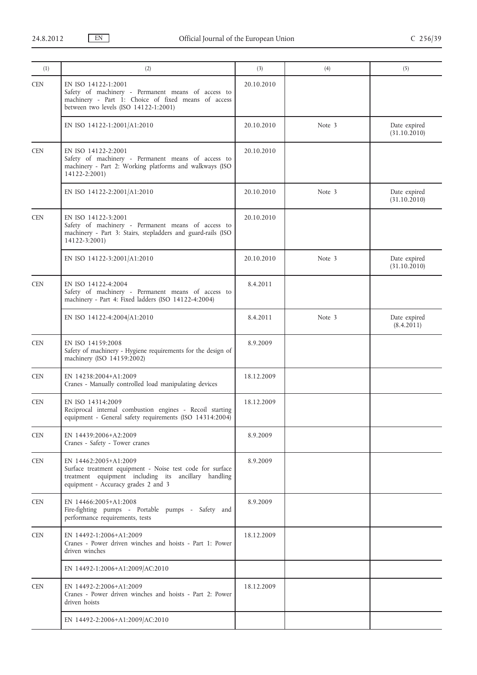| (1)        | (2)                                                                                                                                                                               | (3)        | (4)    | (5)                          |
|------------|-----------------------------------------------------------------------------------------------------------------------------------------------------------------------------------|------------|--------|------------------------------|
| <b>CEN</b> | EN ISO 14122-1:2001<br>Safety of machinery - Permanent means of access to<br>machinery - Part 1: Choice of fixed means of access<br>between two levels (ISO 14122-1:2001)         | 20.10.2010 |        |                              |
|            | EN ISO 14122-1:2001/A1:2010                                                                                                                                                       | 20.10.2010 | Note 3 | Date expired<br>(31.10.2010) |
| <b>CEN</b> | EN ISO 14122-2:2001<br>Safety of machinery - Permanent means of access to<br>machinery - Part 2: Working platforms and walkways (ISO<br>14122-2:2001)                             | 20.10.2010 |        |                              |
|            | EN ISO 14122-2:2001/A1:2010                                                                                                                                                       | 20.10.2010 | Note 3 | Date expired<br>(31.10.2010) |
| <b>CEN</b> | EN ISO 14122-3:2001<br>Safety of machinery - Permanent means of access to<br>machinery - Part 3: Stairs, stepladders and guard-rails (ISO<br>14122-3:2001)                        | 20.10.2010 |        |                              |
|            | EN ISO 14122-3:2001/A1:2010                                                                                                                                                       | 20.10.2010 | Note 3 | Date expired<br>(31.10.2010) |
| <b>CEN</b> | EN ISO 14122-4:2004<br>Safety of machinery - Permanent means of access to<br>machinery - Part 4: Fixed ladders (ISO 14122-4:2004)                                                 | 8.4.2011   |        |                              |
|            | EN ISO 14122-4:2004/A1:2010                                                                                                                                                       | 8.4.2011   | Note 3 | Date expired<br>(8.4.2011)   |
| <b>CEN</b> | EN ISO 14159:2008<br>Safety of machinery - Hygiene requirements for the design of<br>machinery (ISO 14159:2002)                                                                   | 8.9.2009   |        |                              |
| <b>CEN</b> | EN 14238:2004+A1:2009<br>Cranes - Manually controlled load manipulating devices                                                                                                   | 18.12.2009 |        |                              |
| <b>CEN</b> | EN ISO 14314:2009<br>Reciprocal internal combustion engines - Recoil starting<br>equipment - General safety requirements (ISO 14314:2004)                                         | 18.12.2009 |        |                              |
| <b>CEN</b> | EN 14439:2006+A2:2009<br>Cranes - Safety - Tower cranes                                                                                                                           | 8.9.2009   |        |                              |
| <b>CEN</b> | EN 14462:2005+A1:2009<br>Surface treatment equipment - Noise test code for surface<br>treatment equipment including its ancillary handling<br>equipment - Accuracy grades 2 and 3 | 8.9.2009   |        |                              |
| <b>CEN</b> | EN 14466:2005+A1:2008<br>Fire-fighting pumps - Portable pumps - Safety and<br>performance requirements, tests                                                                     | 8.9.2009   |        |                              |
| <b>CEN</b> | EN 14492-1:2006+A1:2009<br>Cranes - Power driven winches and hoists - Part 1: Power<br>driven winches                                                                             | 18.12.2009 |        |                              |
|            | EN 14492-1:2006+A1:2009/AC:2010                                                                                                                                                   |            |        |                              |
| <b>CEN</b> | EN 14492-2:2006+A1:2009<br>Cranes - Power driven winches and hoists - Part 2: Power<br>driven hoists                                                                              | 18.12.2009 |        |                              |
|            | EN 14492-2:2006+A1:2009/AC:2010                                                                                                                                                   |            |        |                              |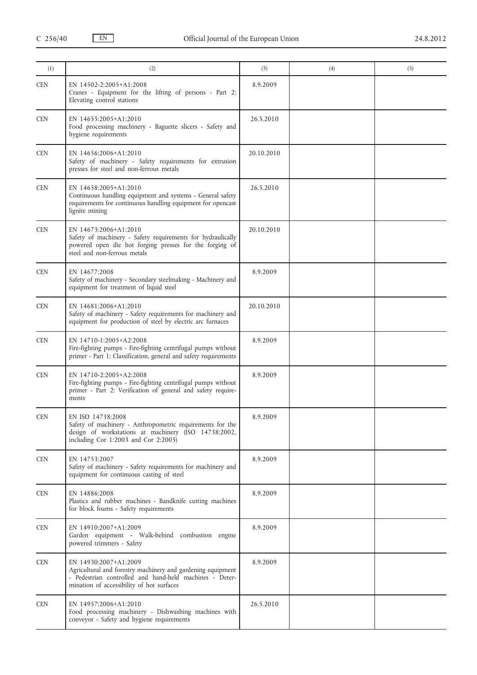| (1)        | (2)                                                                                                                                                                                          | (3)        | (4) | (5) |
|------------|----------------------------------------------------------------------------------------------------------------------------------------------------------------------------------------------|------------|-----|-----|
| <b>CEN</b> | EN 14502-2:2005+A1:2008<br>Cranes - Equipment for the lifting of persons - Part 2:<br>Elevating control stations                                                                             | 8.9.2009   |     |     |
| <b>CEN</b> | EN 14655:2005+A1:2010<br>Food processing machinery - Baguette slicers - Safety and<br>hygiene requirements                                                                                   | 26.5.2010  |     |     |
| <b>CEN</b> | EN 14656:2006+A1:2010<br>Safety of machinery - Safety requirements for extrusion<br>presses for steel and non-ferrous metals                                                                 | 20.10.2010 |     |     |
| <b>CEN</b> | EN 14658:2005+A1:2010<br>Continuous handling equipment and systems - General safety<br>requirements for continuous handling equipment for opencast<br>lignite mining                         | 26.5.2010  |     |     |
| <b>CEN</b> | EN 14673:2006+A1:2010<br>Safety of machinery - Safety requirements for hydraulically<br>powered open die hot forging presses for the forging of<br>steel and non-ferrous metals              | 20.10.2010 |     |     |
| <b>CEN</b> | EN 14677:2008<br>Safety of machinery - Secondary steelmaking - Machinery and<br>equipment for treatment of liquid steel                                                                      | 8.9.2009   |     |     |
| <b>CEN</b> | EN 14681:2006+A1:2010<br>Safety of machinery - Safety requirements for machinery and<br>equipment for production of steel by electric arc furnaces                                           | 20.10.2010 |     |     |
| <b>CEN</b> | EN 14710-1:2005+A2:2008<br>Fire-fighting pumps - Fire-fighting centrifugal pumps without<br>primer - Part 1: Classification, general and safety requirements                                 | 8.9.2009   |     |     |
| <b>CEN</b> | EN 14710-2:2005+A2:2008<br>Fire-fighting pumps - Fire-fighting centrifugal pumps without<br>primer - Part 2: Verification of general and safety require-<br>ments                            | 8.9.2009   |     |     |
| <b>CEN</b> | EN ISO 14738:2008<br>Safety of machinery - Anthropometric requirements for the<br>design of workstations at machinery (ISO 14738:2002,<br>including Cor 1:2003 and Cor 2:2005)               | 8.9.2009   |     |     |
| <b>CEN</b> | EN 14753:2007<br>Safety of machinery - Safety requirements for machinery and<br>equipment for continuous casting of steel                                                                    | 8.9.2009   |     |     |
| <b>CEN</b> | EN 14886:2008<br>Plastics and rubber machines - Bandknife cutting machines<br>for block foams - Safety requirements                                                                          | 8.9.2009   |     |     |
| <b>CEN</b> | EN 14910:2007+A1:2009<br>Garden equipment - Walk-behind combustion engine<br>powered trimmers - Safety                                                                                       | 8.9.2009   |     |     |
| <b>CEN</b> | EN 14930:2007+A1:2009<br>Agricultural and forestry machinery and gardening equipment<br>- Pedestrian controlled and hand-held machines - Deter-<br>mination of accessibility of hot surfaces | 8.9.2009   |     |     |
| <b>CEN</b> | EN 14957:2006+A1:2010<br>Food processing machinery - Dishwashing machines with<br>conveyor - Safety and hygiene requirements                                                                 | 26.5.2010  |     |     |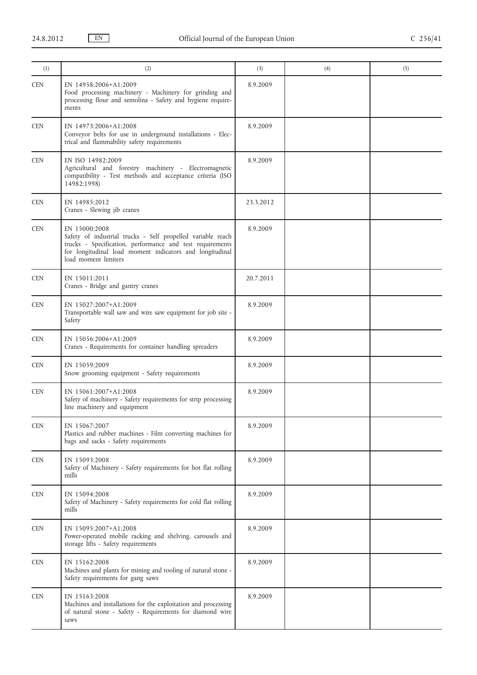| (1)        | (2)                                                                                                                                                                                                                           | (3)       | (4) | (5) |
|------------|-------------------------------------------------------------------------------------------------------------------------------------------------------------------------------------------------------------------------------|-----------|-----|-----|
| <b>CEN</b> | EN 14958:2006+A1:2009<br>Food processing machinery - Machinery for grinding and<br>processing flour and semolina - Safety and hygiene require-<br>ments                                                                       | 8.9.2009  |     |     |
| <b>CEN</b> | EN 14973:2006+A1:2008<br>Conveyor belts for use in underground installations - Elec-<br>trical and flammability safety requirements                                                                                           | 8.9.2009  |     |     |
| <b>CEN</b> | EN ISO 14982:2009<br>Agricultural and forestry machinery - Electromagnetic<br>compatibility - Test methods and acceptance criteria (ISO<br>14982:1998)                                                                        | 8.9.2009  |     |     |
| <b>CEN</b> | EN 14985:2012<br>Cranes - Slewing jib cranes                                                                                                                                                                                  | 23.3.2012 |     |     |
| <b>CEN</b> | EN 15000:2008<br>Safety of industrial trucks - Self propelled variable reach<br>trucks - Specification, performance and test requirements<br>for longitudinal load moment indicators and longitudinal<br>load moment limiters | 8.9.2009  |     |     |
| <b>CEN</b> | EN 15011:2011<br>Cranes - Bridge and gantry cranes                                                                                                                                                                            | 20.7.2011 |     |     |
| <b>CEN</b> | EN 15027:2007+A1:2009<br>Transportable wall saw and wire saw equipment for job site -<br>Safety                                                                                                                               | 8.9.2009  |     |     |
| <b>CEN</b> | EN 15056:2006+A1:2009<br>Cranes - Requirements for container handling spreaders                                                                                                                                               | 8.9.2009  |     |     |
| <b>CEN</b> | EN 15059:2009<br>Snow grooming equipment - Safety requirements                                                                                                                                                                | 8.9.2009  |     |     |
| <b>CEN</b> | EN 15061:2007+A1:2008<br>Safety of machinery - Safety requirements for strip processing<br>line machinery and equipment                                                                                                       | 8.9.2009  |     |     |
| <b>CEN</b> | EN 15067:2007<br>Plastics and rubber machines - Film converting machines for<br>bags and sacks - Safety requirements                                                                                                          | 8.9.2009  |     |     |
| <b>CEN</b> | EN 15093:2008<br>Safety of Machinery - Safety requirements for hot flat rolling<br>mills                                                                                                                                      | 8.9.2009  |     |     |
| <b>CEN</b> | EN 15094:2008<br>Safety of Machinery - Safety requirements for cold flat rolling<br>mills                                                                                                                                     | 8.9.2009  |     |     |
| <b>CEN</b> | EN 15095:2007+A1:2008<br>Power-operated mobile racking and shelving, carousels and<br>storage lifts - Safety requirements                                                                                                     | 8.9.2009  |     |     |
| <b>CEN</b> | EN 15162:2008<br>Machines and plants for mining and tooling of natural stone -<br>Safety requirements for gang saws                                                                                                           | 8.9.2009  |     |     |
| <b>CEN</b> | EN 15163:2008<br>Machines and installations for the exploitation and processing<br>of natural stone - Safety - Requirements for diamond wire<br>saws                                                                          | 8.9.2009  |     |     |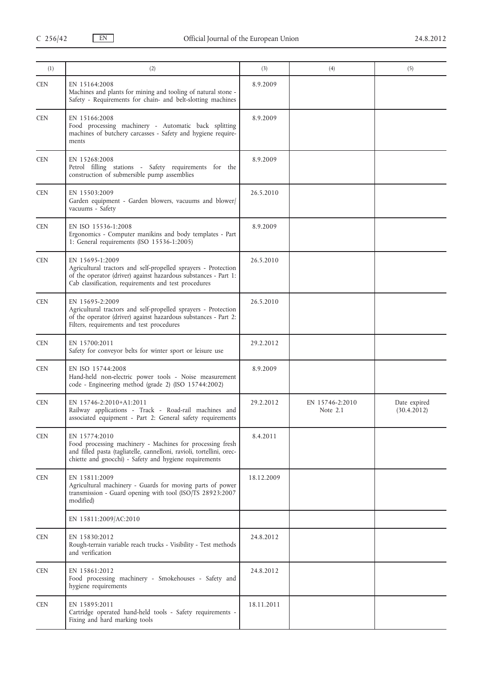|                                                                                                                                                                                                               |            |                               | (5)                         |
|---------------------------------------------------------------------------------------------------------------------------------------------------------------------------------------------------------------|------------|-------------------------------|-----------------------------|
| EN 15164:2008<br>Machines and plants for mining and tooling of natural stone -<br>Safety - Requirements for chain- and belt-slotting machines                                                                 | 8.9.2009   |                               |                             |
| EN 15166:2008<br>Food processing machinery - Automatic back splitting<br>machines of butchery carcasses - Safety and hygiene require-<br>ments                                                                | 8.9.2009   |                               |                             |
| EN 15268:2008<br>Petrol filling stations - Safety requirements for the<br>construction of submersible pump assemblies                                                                                         | 8.9.2009   |                               |                             |
| EN 15503:2009<br>Garden equipment - Garden blowers, vacuums and blower<br>vacuums - Safety                                                                                                                    | 26.5.2010  |                               |                             |
| EN ISO 15536-1:2008<br>Ergonomics - Computer manikins and body templates - Part<br>1: General requirements (ISO 15536-1:2005)                                                                                 | 8.9.2009   |                               |                             |
| EN 15695-1:2009<br>Agricultural tractors and self-propelled sprayers - Protection<br>of the operator (driver) against hazardous substances - Part 1:<br>Cab classification, requirements and test procedures  | 26.5.2010  |                               |                             |
| EN 15695-2:2009<br>Agricultural tractors and self-propelled sprayers - Protection<br>of the operator (driver) against hazardous substances - Part 2:<br>Filters, requirements and test procedures             | 26.5.2010  |                               |                             |
| EN 15700:2011<br>Safety for conveyor belts for winter sport or leisure use                                                                                                                                    | 29.2.2012  |                               |                             |
| EN ISO 15744:2008<br>Hand-held non-electric power tools - Noise measurement<br>code - Engineering method (grade 2) (ISO 15744:2002)                                                                           | 8.9.2009   |                               |                             |
| EN 15746-2:2010+A1:2011<br>Railway applications - Track - Road-rail machines and<br>associated equipment - Part 2: General safety requirements                                                                | 29.2.2012  | EN 15746-2:2010<br>Note $2.1$ | Date expired<br>(30.4.2012) |
| EN 15774:2010<br>Food processing machinery - Machines for processing fresh<br>and filled pasta (tagliatelle, cannelloni, ravioli, tortellini, orec-<br>chiette and gnocchi) - Safety and hygiene requirements | 8.4.2011   |                               |                             |
| EN 15811:2009<br>Agricultural machinery - Guards for moving parts of power<br>transmission - Guard opening with tool (ISO/TS 28923:2007<br>modified)                                                          | 18.12.2009 |                               |                             |
| EN 15811:2009/AC:2010                                                                                                                                                                                         |            |                               |                             |
| EN 15830:2012<br>Rough-terrain variable reach trucks - Visibility - Test methods<br>and verification                                                                                                          | 24.8.2012  |                               |                             |
| EN 15861:2012<br>Food processing machinery - Smokehouses - Safety and<br>hygiene requirements                                                                                                                 | 24.8.2012  |                               |                             |
| EN 15895:2011<br>Cartridge operated hand-held tools - Safety requirements -<br>Fixing and hard marking tools                                                                                                  | 18.11.2011 |                               |                             |
|                                                                                                                                                                                                               | (2)        | (3)                           | (4)                         |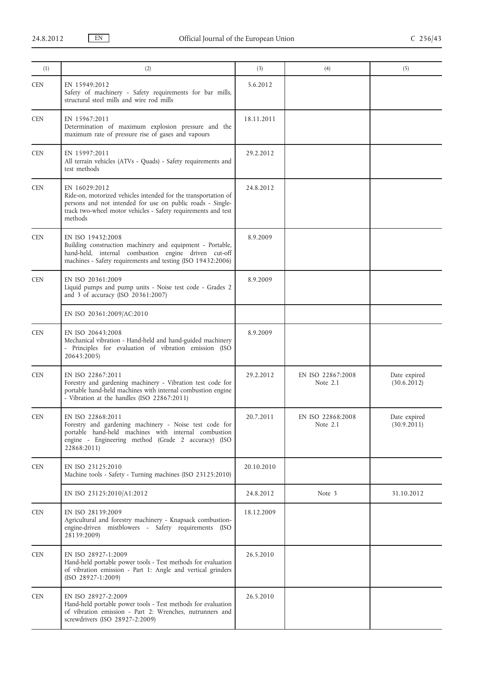| (1)                         | (2)                                                                                                                                                                                                                       | (3)        | (4)                           | (5)                         |
|-----------------------------|---------------------------------------------------------------------------------------------------------------------------------------------------------------------------------------------------------------------------|------------|-------------------------------|-----------------------------|
| <b>CEN</b>                  | EN 15949:2012<br>Safety of machinery - Safety requirements for bar mills,<br>structural steel mills and wire rod mills                                                                                                    | 5.6.2012   |                               |                             |
| <b>CEN</b>                  | EN 15967:2011<br>Determination of maximum explosion pressure and the<br>maximum rate of pressure rise of gases and vapours                                                                                                | 18.11.2011 |                               |                             |
| <b>CEN</b>                  | EN 15997:2011<br>All terrain vehicles (ATVs - Quads) - Safety requirements and<br>test methods                                                                                                                            | 29.2.2012  |                               |                             |
| <b>CEN</b>                  | EN 16029:2012<br>Ride-on, motorized vehicles intended for the transportation of<br>persons and not intended for use on public roads - Single-<br>track two-wheel motor vehicles - Safety requirements and test<br>methods | 24.8.2012  |                               |                             |
| <b>CEN</b>                  | EN ISO 19432:2008<br>Building construction machinery and equipment - Portable,<br>hand-held, internal combustion engine driven cut-off<br>machines - Safety requirements and testing (ISO 19432:2006)                     | 8.9.2009   |                               |                             |
| <b>CEN</b>                  | EN ISO 20361:2009<br>Liquid pumps and pump units - Noise test code - Grades 2<br>and 3 of accuracy (ISO 20361:2007)                                                                                                       | 8.9.2009   |                               |                             |
|                             | EN ISO 20361:2009/AC:2010                                                                                                                                                                                                 |            |                               |                             |
| <b>CEN</b>                  | EN ISO 20643:2008<br>Mechanical vibration - Hand-held and hand-guided machinery<br>- Principles for evaluation of vibration emission (ISO<br>20643:2005)                                                                  | 8.9.2009   |                               |                             |
| <b>CEN</b>                  | EN ISO 22867:2011<br>Forestry and gardening machinery - Vibration test code for<br>portable hand-held machines with internal combustion engine<br>- Vibration at the handles (ISO 22867:2011)                             | 29.2.2012  | EN ISO 22867:2008<br>Note 2.1 | Date expired<br>(30.6.2012) |
| $\ensuremath{\mathsf{CEN}}$ | EN ISO 22868:2011<br>Forestry and gardening machinery - Noise test code for<br>portable hand-held machines with internal combustion<br>engine - Engineering method (Grade 2 accuracy) (ISO<br>22868:2011)                 | 20.7.2011  | EN ISO 22868:2008<br>Note 2.1 | Date expired<br>(30.9.2011) |
| <b>CEN</b>                  | EN ISO 23125:2010<br>Machine tools - Safety - Turning machines (ISO 23125:2010)                                                                                                                                           | 20.10.2010 |                               |                             |
|                             | EN ISO 23125:2010/A1:2012                                                                                                                                                                                                 | 24.8.2012  | Note 3                        | 31.10.2012                  |
| CEN                         | EN ISO 28139:2009<br>Agricultural and forestry machinery - Knapsack combustion-<br>engine-driven mistblowers - Safety requirements (ISO<br>28139:2009)                                                                    | 18.12.2009 |                               |                             |
| <b>CEN</b>                  | EN ISO 28927-1:2009<br>Hand-held portable power tools - Test methods for evaluation<br>of vibration emission - Part 1: Angle and vertical grinders<br>$(ISO 28927-1:2009)$                                                | 26.5.2010  |                               |                             |
| <b>CEN</b>                  | EN ISO 28927-2:2009<br>Hand-held portable power tools - Test methods for evaluation<br>of vibration emission - Part 2: Wrenches, nutrunners and<br>screwdrivers (ISO 28927-2:2009)                                        | 26.5.2010  |                               |                             |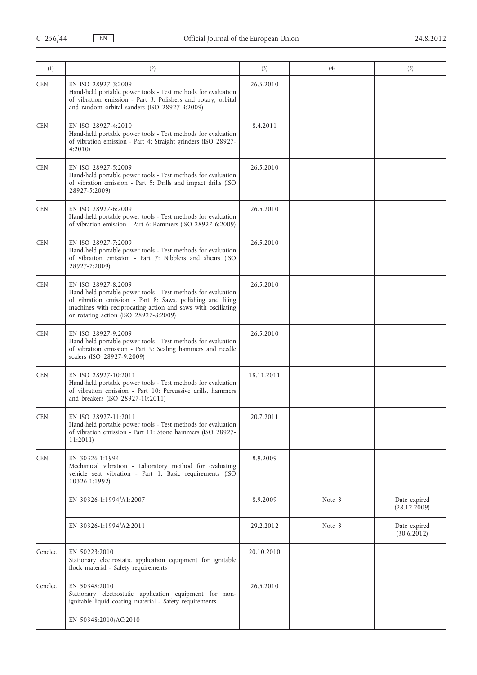| (1)        | (2)                                                                                                                                                                                                                                                        | (3)        | (4)    | (5)                          |
|------------|------------------------------------------------------------------------------------------------------------------------------------------------------------------------------------------------------------------------------------------------------------|------------|--------|------------------------------|
| <b>CEN</b> | EN ISO 28927-3:2009<br>Hand-held portable power tools - Test methods for evaluation<br>of vibration emission - Part 3: Polishers and rotary, orbital<br>and random orbital sanders (ISO 28927-3:2009)                                                      | 26.5.2010  |        |                              |
| <b>CEN</b> | EN ISO 28927-4:2010<br>Hand-held portable power tools - Test methods for evaluation<br>of vibration emission - Part 4: Straight grinders (ISO 28927-<br>4:2010                                                                                             | 8.4.2011   |        |                              |
| <b>CEN</b> | EN ISO 28927-5:2009<br>Hand-held portable power tools - Test methods for evaluation<br>of vibration emission - Part 5: Drills and impact drills (ISO<br>28927-5:2009)                                                                                      | 26.5.2010  |        |                              |
| <b>CEN</b> | EN ISO 28927-6:2009<br>Hand-held portable power tools - Test methods for evaluation<br>of vibration emission - Part 6: Rammers (ISO 28927-6:2009)                                                                                                          | 26.5.2010  |        |                              |
| <b>CEN</b> | EN ISO 28927-7:2009<br>Hand-held portable power tools - Test methods for evaluation<br>of vibration emission - Part 7: Nibblers and shears (ISO<br>28927-7:2009)                                                                                           | 26.5.2010  |        |                              |
| <b>CEN</b> | EN ISO 28927-8:2009<br>Hand-held portable power tools - Test methods for evaluation<br>of vibration emission - Part 8: Saws, polishing and filing<br>machines with reciprocating action and saws with oscillating<br>or rotating action (ISO 28927-8:2009) | 26.5.2010  |        |                              |
| <b>CEN</b> | EN ISO 28927-9:2009<br>Hand-held portable power tools - Test methods for evaluation<br>of vibration emission - Part 9: Scaling hammers and needle<br>scalers (ISO 28927-9:2009)                                                                            | 26.5.2010  |        |                              |
| <b>CEN</b> | EN ISO 28927-10:2011<br>Hand-held portable power tools - Test methods for evaluation<br>of vibration emission - Part 10: Percussive drills, hammers<br>and breakers (ISO 28927-10:2011)                                                                    | 18.11.2011 |        |                              |
| <b>CEN</b> | EN ISO 28927-11:2011<br>Hand-held portable power tools - Test methods for evaluation<br>of vibration emission - Part 11: Stone hammers (ISO 28927-<br>11:2011                                                                                              | 20.7.2011  |        |                              |
| <b>CEN</b> | EN 30326-1:1994<br>Mechanical vibration - Laboratory method for evaluating<br>vehicle seat vibration - Part 1: Basic requirements (ISO<br>10326-1:1992)                                                                                                    | 8.9.2009   |        |                              |
|            | EN 30326-1:1994/A1:2007                                                                                                                                                                                                                                    | 8.9.2009   | Note 3 | Date expired<br>(28.12.2009) |
|            | EN 30326-1:1994/A2:2011                                                                                                                                                                                                                                    | 29.2.2012  | Note 3 | Date expired<br>(30.6.2012)  |
| Cenelec    | EN 50223:2010<br>Stationary electrostatic application equipment for ignitable<br>flock material - Safety requirements                                                                                                                                      | 20.10.2010 |        |                              |
| Cenelec    | EN 50348:2010<br>Stationary electrostatic application equipment for non-<br>ignitable liquid coating material - Safety requirements                                                                                                                        | 26.5.2010  |        |                              |
|            | EN 50348:2010/AC:2010                                                                                                                                                                                                                                      |            |        |                              |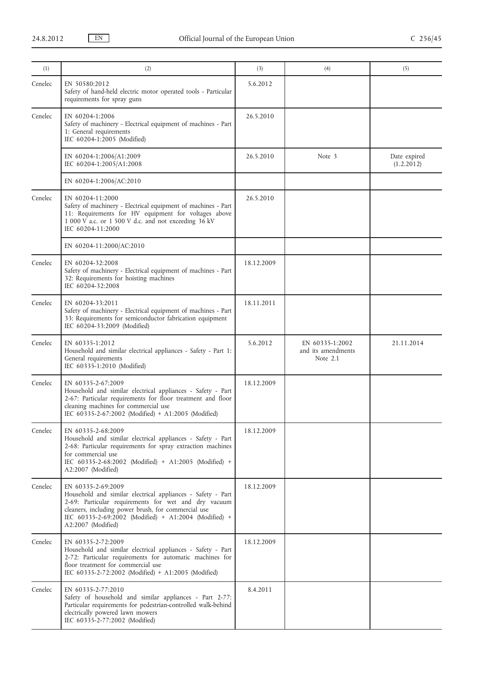| (1)     | (2)                                                                                                                                                                                                                                                                             | (3)        | (4)                                                 | (5)                        |
|---------|---------------------------------------------------------------------------------------------------------------------------------------------------------------------------------------------------------------------------------------------------------------------------------|------------|-----------------------------------------------------|----------------------------|
| Cenelec | EN 50580:2012<br>Safety of hand-held electric motor operated tools - Particular<br>requirements for spray guns                                                                                                                                                                  | 5.6.2012   |                                                     |                            |
| Cenelec | EN 60204-1:2006<br>Safety of machinery - Electrical equipment of machines - Part<br>1: General requirements<br>IEC 60204-1:2005 (Modified)                                                                                                                                      | 26.5.2010  |                                                     |                            |
|         | EN 60204-1:2006/A1:2009<br>IEC 60204-1:2005/A1:2008                                                                                                                                                                                                                             | 26.5.2010  | Note 3                                              | Date expired<br>(1.2.2012) |
|         | EN 60204-1:2006/AC:2010                                                                                                                                                                                                                                                         |            |                                                     |                            |
| Cenelec | EN 60204-11:2000<br>Safety of machinery - Electrical equipment of machines - Part<br>11: Requirements for HV equipment for voltages above<br>1 000 V a.c. or 1 500 V d.c. and not exceeding 36 kV<br>IEC 60204-11:2000                                                          | 26.5.2010  |                                                     |                            |
|         | EN 60204-11:2000/AC:2010                                                                                                                                                                                                                                                        |            |                                                     |                            |
| Cenelec | EN 60204-32:2008<br>Safety of machinery - Electrical equipment of machines - Part<br>32: Requirements for hoisting machines<br>IEC 60204-32:2008                                                                                                                                | 18.12.2009 |                                                     |                            |
| Cenelec | EN 60204-33:2011<br>Safety of machinery - Electrical equipment of machines - Part<br>33: Requirements for semiconductor fabrication equipment<br>IEC 60204-33:2009 (Modified)                                                                                                   | 18.11.2011 |                                                     |                            |
| Cenelec | EN 60335-1:2012<br>Household and similar electrical appliances - Safety - Part 1:<br>General requirements<br>IEC 60335-1:2010 (Modified)                                                                                                                                        | 5.6.2012   | EN 60335-1:2002<br>and its amendments<br>Note $2.1$ | 21.11.2014                 |
| Cenelec | EN 60335-2-67:2009<br>Household and similar electrical appliances - Safety - Part<br>2-67: Particular requirements for floor treatment and floor<br>cleaning machines for commercial use<br>IEC 60335-2-67:2002 (Modified) + A1:2005 (Modified)                                 | 18.12.2009 |                                                     |                            |
| Cenelec | EN 60335-2-68:2009<br>Household and similar electrical appliances - Safety - Part<br>2-68: Particular requirements for spray extraction machines<br>for commercial use<br>IEC 60335-2-68:2002 (Modified) + A1:2005 (Modified) +<br>A2:2007 (Modified)                           | 18.12.2009 |                                                     |                            |
| Cenelec | EN 60335-2-69:2009<br>Household and similar electrical appliances - Safety - Part<br>2-69: Particular requirements for wet and dry vacuum<br>cleaners, including power brush, for commercial use<br>IEC 60335-2-69:2002 (Modified) + A1:2004 (Modified) +<br>A2:2007 (Modified) | 18.12.2009 |                                                     |                            |
| Cenelec | EN 60335-2-72:2009<br>Household and similar electrical appliances - Safety - Part<br>2-72: Particular requirements for automatic machines for<br>floor treatment for commercial use<br>IEC 60335-2-72:2002 (Modified) + A1:2005 (Modified)                                      | 18.12.2009 |                                                     |                            |
| Cenelec | EN 60335-2-77:2010<br>Safety of household and similar appliances - Part 2-77:<br>Particular requirements for pedestrian-controlled walk-behind<br>electrically powered lawn mowers<br>IEC 60335-2-77:2002 (Modified)                                                            | 8.4.2011   |                                                     |                            |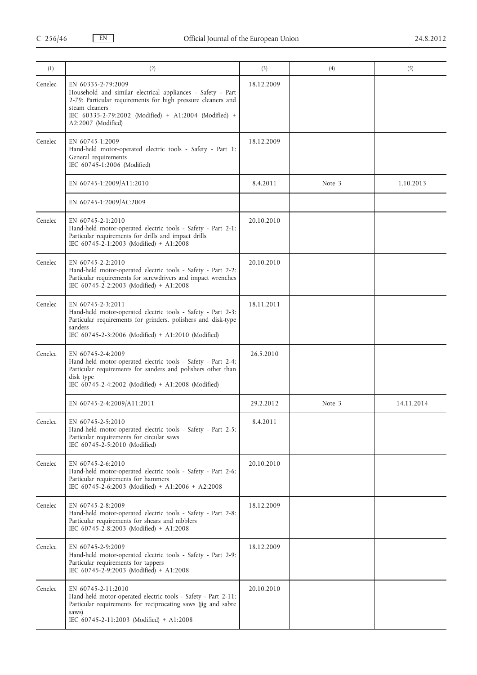| (1)     | (2)                                                                                                                                                                                                                                                | (3)        | (4)    | (5)        |
|---------|----------------------------------------------------------------------------------------------------------------------------------------------------------------------------------------------------------------------------------------------------|------------|--------|------------|
| Cenelec | EN 60335-2-79:2009<br>Household and similar electrical appliances - Safety - Part<br>2-79: Particular requirements for high pressure cleaners and<br>steam cleaners<br>IEC 60335-2-79:2002 (Modified) + A1:2004 (Modified) +<br>A2:2007 (Modified) | 18.12.2009 |        |            |
| Cenelec | EN 60745-1:2009<br>Hand-held motor-operated electric tools - Safety - Part 1:<br>General requirements<br>IEC 60745-1:2006 (Modified)                                                                                                               | 18.12.2009 |        |            |
|         | EN 60745-1:2009/A11:2010                                                                                                                                                                                                                           | 8.4.2011   | Note 3 | 1.10.2013  |
|         | EN 60745-1:2009/AC:2009                                                                                                                                                                                                                            |            |        |            |
| Cenelec | EN 60745-2-1:2010<br>Hand-held motor-operated electric tools - Safety - Part 2-1:<br>Particular requirements for drills and impact drills<br>IEC 60745-2-1:2003 (Modified) + A1:2008                                                               | 20.10.2010 |        |            |
| Cenelec | EN 60745-2-2:2010<br>Hand-held motor-operated electric tools - Safety - Part 2-2:<br>Particular requirements for screwdrivers and impact wrenches<br>IEC 60745-2-2:2003 (Modified) + A1:2008                                                       | 20.10.2010 |        |            |
| Cenelec | EN 60745-2-3:2011<br>Hand-held motor-operated electric tools - Safety - Part 2-3:<br>Particular requirements for grinders, polishers and disk-type<br>sanders<br>IEC 60745-2-3:2006 (Modified) + A1:2010 (Modified)                                | 18.11.2011 |        |            |
| Cenelec | EN 60745-2-4:2009<br>Hand-held motor-operated electric tools - Safety - Part 2-4:<br>Particular requirements for sanders and polishers other than<br>disk type<br>IEC 60745-2-4:2002 (Modified) + A1:2008 (Modified)                               | 26.5.2010  |        |            |
|         | EN 60745-2-4:2009/A11:2011                                                                                                                                                                                                                         | 29.2.2012  | Note 3 | 14.11.2014 |
| Cenelec | EN 60745-2-5:2010<br>Hand-held motor-operated electric tools - Safety - Part 2-5:<br>Particular requirements for circular saws<br>IEC 60745-2-5:2010 (Modified)                                                                                    | 8.4.2011   |        |            |
| Cenelec | EN 60745-2-6:2010<br>Hand-held motor-operated electric tools - Safety - Part 2-6:<br>Particular requirements for hammers<br>IEC 60745-2-6:2003 (Modified) + A1:2006 + A2:2008                                                                      | 20.10.2010 |        |            |
| Cenelec | EN 60745-2-8:2009<br>Hand-held motor-operated electric tools - Safety - Part 2-8:<br>Particular requirements for shears and nibblers<br>IEC 60745-2-8:2003 (Modified) + A1:2008                                                                    | 18.12.2009 |        |            |
| Cenelec | EN 60745-2-9:2009<br>Hand-held motor-operated electric tools - Safety - Part 2-9:<br>Particular requirements for tappers<br>IEC 60745-2-9:2003 (Modified) + A1:2008                                                                                | 18.12.2009 |        |            |
| Cenelec | EN 60745-2-11:2010<br>Hand-held motor-operated electric tools - Safety - Part 2-11:<br>Particular requirements for reciprocating saws (jig and sabre<br>saws)<br>IEC 60745-2-11:2003 (Modified) + A1:2008                                          | 20.10.2010 |        |            |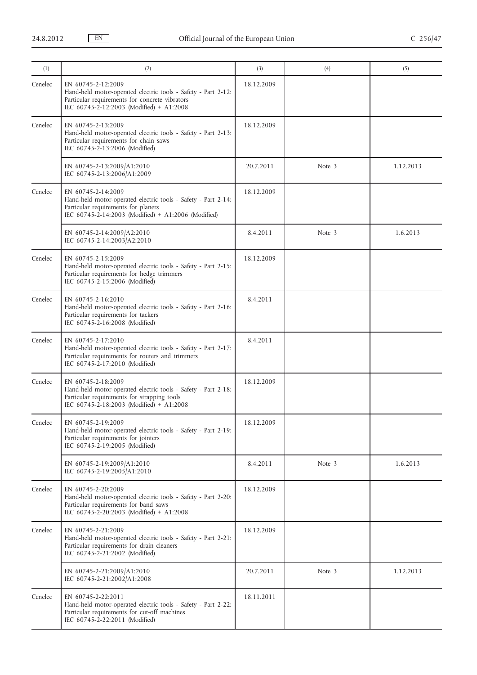| (1)     | (2)                                                                                                                                                                               | (3)        | (4)    | (5)       |
|---------|-----------------------------------------------------------------------------------------------------------------------------------------------------------------------------------|------------|--------|-----------|
| Cenelec | EN 60745-2-12:2009<br>Hand-held motor-operated electric tools - Safety - Part 2-12:<br>Particular requirements for concrete vibrators<br>IEC 60745-2-12:2003 (Modified) + A1:2008 | 18.12.2009 |        |           |
| Cenelec | EN 60745-2-13:2009<br>Hand-held motor-operated electric tools - Safety - Part 2-13:<br>Particular requirements for chain saws<br>IEC 60745-2-13:2006 (Modified)                   | 18.12.2009 |        |           |
|         | EN 60745-2-13:2009/A1:2010<br>IEC 60745-2-13:2006/A1:2009                                                                                                                         | 20.7.2011  | Note 3 | 1.12.2013 |
| Cenelec | EN 60745-2-14:2009<br>Hand-held motor-operated electric tools - Safety - Part 2-14:<br>Particular requirements for planers<br>IEC 60745-2-14:2003 (Modified) + A1:2006 (Modified) | 18.12.2009 |        |           |
|         | EN 60745-2-14:2009/A2:2010<br>IEC 60745-2-14:2003/A2:2010                                                                                                                         | 8.4.2011   | Note 3 | 1.6.2013  |
| Cenelec | EN 60745-2-15:2009<br>Hand-held motor-operated electric tools - Safety - Part 2-15:<br>Particular requirements for hedge trimmers<br>IEC 60745-2-15:2006 (Modified)               | 18.12.2009 |        |           |
| Cenelec | EN 60745-2-16:2010<br>Hand-held motor-operated electric tools - Safety - Part 2-16:<br>Particular requirements for tackers<br>IEC 60745-2-16:2008 (Modified)                      | 8.4.2011   |        |           |
| Cenelec | EN 60745-2-17:2010<br>Hand-held motor-operated electric tools - Safety - Part 2-17:<br>Particular requirements for routers and trimmers<br>IEC 60745-2-17:2010 (Modified)         | 8.4.2011   |        |           |
| Cenelec | EN 60745-2-18:2009<br>Hand-held motor-operated electric tools - Safety - Part 2-18:<br>Particular requirements for strapping tools<br>IEC 60745-2-18:2003 (Modified) + A1:2008    | 18.12.2009 |        |           |
| Cenelec | EN 60745-2-19:2009<br>Hand-held motor-operated electric tools - Safety - Part 2-19:<br>Particular requirements for jointers<br>IEC 60745-2-19:2005 (Modified)                     | 18.12.2009 |        |           |
|         | EN 60745-2-19:2009/A1:2010<br>IEC 60745-2-19:2005/A1:2010                                                                                                                         | 8.4.2011   | Note 3 | 1.6.2013  |
| Cenelec | EN 60745-2-20:2009<br>Hand-held motor-operated electric tools - Safety - Part 2-20:<br>Particular requirements for band saws<br>IEC 60745-2-20:2003 (Modified) + A1:2008          | 18.12.2009 |        |           |
| Cenelec | EN 60745-2-21:2009<br>Hand-held motor-operated electric tools - Safety - Part 2-21:<br>Particular requirements for drain cleaners<br>IEC 60745-2-21:2002 (Modified)               | 18.12.2009 |        |           |
|         | EN 60745-2-21:2009/A1:2010<br>IEC 60745-2-21:2002/A1:2008                                                                                                                         | 20.7.2011  | Note 3 | 1.12.2013 |
| Cenelec | EN 60745-2-22:2011<br>Hand-held motor-operated electric tools - Safety - Part 2-22:<br>Particular requirements for cut-off machines<br>IEC 60745-2-22:2011 (Modified)             | 18.11.2011 |        |           |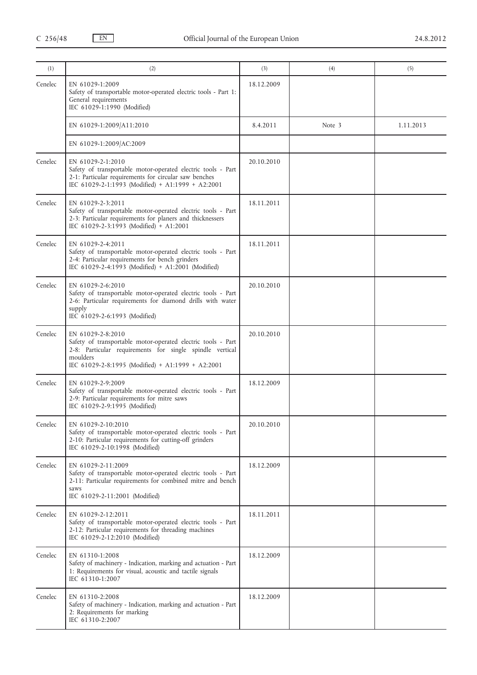| (1)     | (2)                                                                                                                                                                                                            | (3)        | (4)    | (5)       |
|---------|----------------------------------------------------------------------------------------------------------------------------------------------------------------------------------------------------------------|------------|--------|-----------|
| Cenelec | EN 61029-1:2009<br>Safety of transportable motor-operated electric tools - Part 1:<br>General requirements<br>IEC 61029-1:1990 (Modified)                                                                      | 18.12.2009 |        |           |
|         | EN 61029-1:2009/A11:2010                                                                                                                                                                                       | 8.4.2011   | Note 3 | 1.11.2013 |
|         | EN 61029-1:2009/AC:2009                                                                                                                                                                                        |            |        |           |
| Cenelec | EN 61029-2-1:2010<br>Safety of transportable motor-operated electric tools - Part<br>2-1: Particular requirements for circular saw benches<br>IEC 61029-2-1:1993 (Modified) + A1:1999 + A2:2001                | 20.10.2010 |        |           |
| Cenelec | EN 61029-2-3:2011<br>Safety of transportable motor-operated electric tools - Part<br>2-3: Particular requirements for planers and thicknessers<br>IEC 61029-2-3:1993 (Modified) + A1:2001                      | 18.11.2011 |        |           |
| Cenelec | EN 61029-2-4:2011<br>Safety of transportable motor-operated electric tools - Part<br>2-4: Particular requirements for bench grinders<br>IEC 61029-2-4:1993 (Modified) + A1:2001 (Modified)                     | 18.11.2011 |        |           |
| Cenelec | EN 61029-2-6:2010<br>Safety of transportable motor-operated electric tools - Part<br>2-6: Particular requirements for diamond drills with water<br>supply<br>IEC 61029-2-6:1993 (Modified)                     | 20.10.2010 |        |           |
| Cenelec | EN 61029-2-8:2010<br>Safety of transportable motor-operated electric tools - Part<br>2-8: Particular requirements for single spindle vertical<br>moulders<br>IEC 61029-2-8:1995 (Modified) + A1:1999 + A2:2001 | 20.10.2010 |        |           |
| Cenelec | EN 61029-2-9:2009<br>Safety of transportable motor-operated electric tools - Part<br>2-9: Particular requirements for mitre saws<br>IEC 61029-2-9:1995 (Modified)                                              | 18.12.2009 |        |           |
| Cenelec | EN 61029-2-10:2010<br>Safety of transportable motor-operated electric tools - Part<br>2-10: Particular requirements for cutting-off grinders<br>IEC 61029-2-10:1998 (Modified)                                 | 20.10.2010 |        |           |
| Cenelec | EN 61029-2-11:2009<br>Safety of transportable motor-operated electric tools - Part<br>2-11: Particular requirements for combined mitre and bench<br>saws<br>IEC 61029-2-11:2001 (Modified)                     | 18.12.2009 |        |           |
| Cenelec | EN 61029-2-12:2011<br>Safety of transportable motor-operated electric tools - Part<br>2-12: Particular requirements for threading machines<br>IEC 61029-2-12:2010 (Modified)                                   | 18.11.2011 |        |           |
| Cenelec | EN 61310-1:2008<br>Safety of machinery - Indication, marking and actuation - Part<br>1: Requirements for visual, acoustic and tactile signals<br>IEC 61310-1:2007                                              | 18.12.2009 |        |           |
| Cenelec | EN 61310-2:2008<br>Safety of machinery - Indication, marking and actuation - Part<br>2: Requirements for marking<br>IEC 61310-2:2007                                                                           | 18.12.2009 |        |           |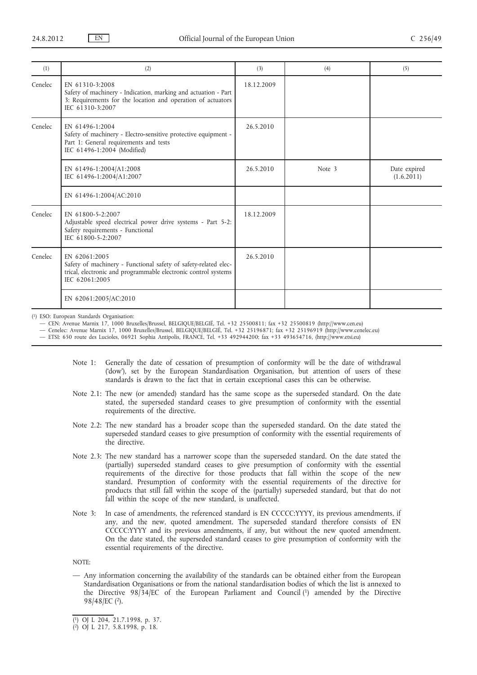| (1)     | (2)                                                                                                                                                                    | (3)        | (4)    | (5)                        |
|---------|------------------------------------------------------------------------------------------------------------------------------------------------------------------------|------------|--------|----------------------------|
| Cenelec | EN 61310-3:2008<br>Safety of machinery - Indication, marking and actuation - Part<br>3: Requirements for the location and operation of actuators<br>IEC 61310-3:2007   | 18.12.2009 |        |                            |
| Cenelec | EN 61496-1:2004<br>Safety of machinery - Electro-sensitive protective equipment -<br>Part 1: General requirements and tests<br>IEC 61496-1:2004 (Modified)             | 26.5.2010  |        |                            |
|         | EN 61496-1:2004/A1:2008<br>IEC 61496-1:2004/A1:2007                                                                                                                    | 26.5.2010  | Note 3 | Date expired<br>(1.6.2011) |
|         | EN 61496-1:2004/AC:2010                                                                                                                                                |            |        |                            |
| Cenelec | EN 61800-5-2:2007<br>Adjustable speed electrical power drive systems - Part 5-2:<br>Safety requirements - Functional<br>IEC 61800-5-2:2007                             | 18.12.2009 |        |                            |
| Cenelec | $EN$ 62061.2005<br>Safety of machinery - Functional safety of safety-related elec-<br>trical, electronic and programmable electronic control systems<br>IEC 62061:2005 | 26.5.2010  |        |                            |
|         | EN 62061:2005/AC:2010                                                                                                                                                  |            |        |                            |

( 1) ESO: European Standards Organisation:

— CEN: Avenue Marnix 17, 1000 Bruxelles/Brussel, BELGIQUE/BELGIË, Tel. +32 25500811; fax +32 25500819 ([http://www.cen.eu\)](http://www.cen.eu)

— Cenelec: Avenue Marnix 17, 1000 Bruxelles/Brussel, BELGIQUE/BELGIË, Tel. +32 25196871; fax +32 25196919 ([http://www.cenelec.eu\)](http://www.cenelec.eu)

— ETSI: 650 route des Lucioles, 06921 Sophia Antipolis, FRANCE, Tel. +33 492944200; fax +33 493654716, (<http://www.etsi.eu>)

- Note 1: Generally the date of cessation of presumption of conformity will be the date of withdrawal ('dow'), set by the European Standardisation Organisation, but attention of users of these standards is drawn to the fact that in certain exceptional cases this can be otherwise.
- Note 2.1: The new (or amended) standard has the same scope as the superseded standard. On the date stated, the superseded standard ceases to give presumption of conformity with the essential requirements of the directive.
- Note 2.2: The new standard has a broader scope than the superseded standard. On the date stated the superseded standard ceases to give presumption of conformity with the essential requirements of the directive.
- Note 2.3: The new standard has a narrower scope than the superseded standard. On the date stated the (partially) superseded standard ceases to give presumption of conformity with the essential requirements of the directive for those products that fall within the scope of the new standard. Presumption of conformity with the essential requirements of the directive for products that still fall within the scope of the (partially) superseded standard, but that do not fall within the scope of the new standard, is unaffected.
- Note 3: In case of amendments, the referenced standard is EN CCCCC:YYYY, its previous amendments, if any, and the new, quoted amendment. The superseded standard therefore consists of EN CCCCC:YYYY and its previous amendments, if any, but without the new quoted amendment. On the date stated, the superseded standard ceases to give presumption of conformity with the essential requirements of the directive.

NOTE:

— Any information concerning the availability of the standards can be obtained either from the European Standardisation Organisations or from the national standardisation bodies of which the list is annexed to the Directive 98/34/EC of the European Parliament and Council (1) amended by the Directive 98/48/EC (2).

<sup>(</sup> 1) OJ L 204, 21.7.1998, p. 37.

<sup>(</sup> 2) OJ L 217, 5.8.1998, p. 18.